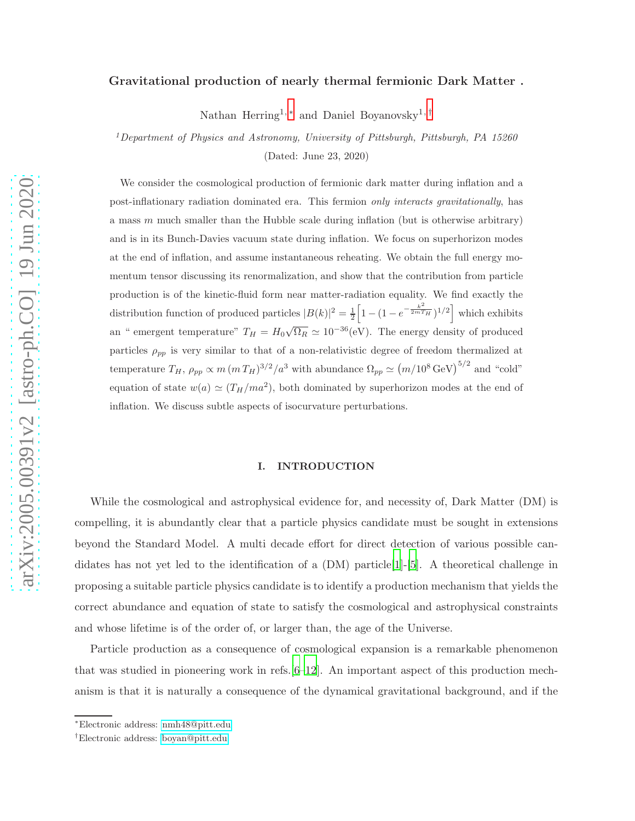# Gravitational production of nearly thermal fermionic Dark Matter .

Nathan Herring $^{1,\,*}$  and Daniel Boyanovsky $^{1,\,+}$ 

<sup>1</sup>Department of Physics and Astronomy, University of Pittsburgh, Pittsburgh, PA 15260 (Dated: June 23, 2020)

We consider the cosmological production of fermionic dark matter during inflation and a post-inflationary radiation dominated era. This fermion only interacts gravitationally, has a mass  $m$  much smaller than the Hubble scale during inflation (but is otherwise arbitrary) and is in its Bunch-Davies vacuum state during inflation. We focus on superhorizon modes at the end of inflation, and assume instantaneous reheating. We obtain the full energy momentum tensor discussing its renormalization, and show that the contribution from particle production is of the kinetic-fluid form near matter-radiation equality. We find exactly the distribution function of produced particles  $|B(k)|^2 = \frac{1}{2} \left[ 1 - (1 - e^{-\frac{k^2}{2mT_H}})^{1/2} \right]$  which exhibits an " emergent temperature"  $T_H = H_0 \sqrt{\Omega_R} \simeq 10^{-36} \text{(eV)}$ . The energy density of produced particles  $\rho_{pp}$  is very similar to that of a non-relativistic degree of freedom thermalized at temperature  $T_H$ ,  $\rho_{pp} \propto m (m T_H)^{3/2}/a^3$  with abundance  $\Omega_{pp} \simeq (m/10^8 \text{ GeV})^{5/2}$  and "cold" equation of state  $w(a) \simeq (T_H/ma^2)$ , both dominated by superhorizon modes at the end of inflation. We discuss subtle aspects of isocurvature perturbations.

### I. INTRODUCTION

While the cosmological and astrophysical evidence for, and necessity of, Dark Matter (DM) is compelling, it is abundantly clear that a particle physics candidate must be sought in extensions beyond the Standard Model. A multi decade effort for direct detection of various possible candidates has not yet led to the identification of a  $(DM)$  particle<sup>[\[1](#page-44-0)]</sup>-[\[5](#page-45-0)]. A theoretical challenge in proposing a suitable particle physics candidate is to identify a production mechanism that yields the correct abundance and equation of state to satisfy the cosmological and astrophysical constraints and whose lifetime is of the order of, or larger than, the age of the Universe.

Particle production as a consequence of cosmological expansion is a remarkable phenomenon that was studied in pioneering work in refs.[\[6](#page-45-1)[–12](#page-45-2)]. An important aspect of this production mechanism is that it is naturally a consequence of the dynamical gravitational background, and if the

<span id="page-0-0"></span><sup>∗</sup>Electronic address: [nmh48@pitt.edu](mailto:nmh48@pitt.edu)

<span id="page-0-1"></span><sup>†</sup>Electronic address: [boyan@pitt.edu](mailto:boyan@pitt.edu)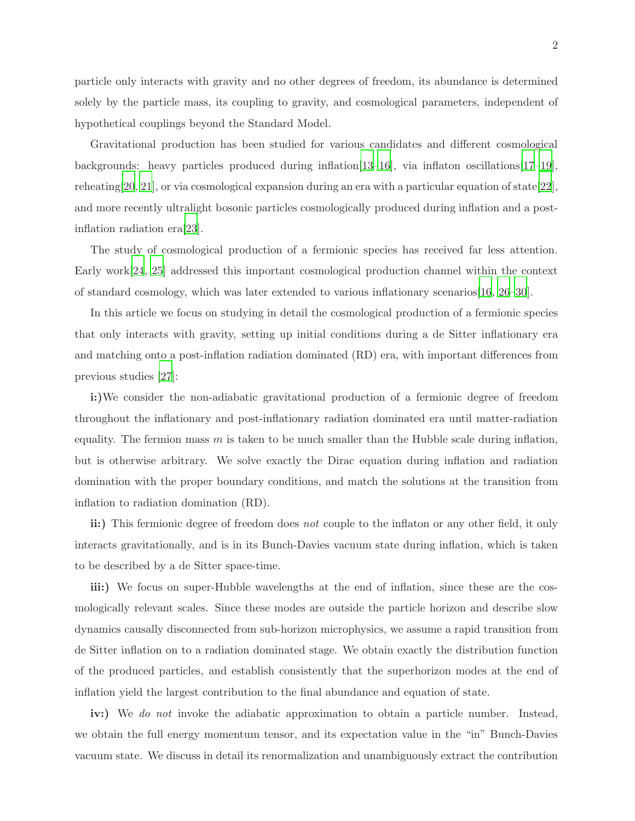particle only interacts with gravity and no other degrees of freedom, its abundance is determined solely by the particle mass, its coupling to gravity, and cosmological parameters, independent of hypothetical couplings beyond the Standard Model.

Gravitational production has been studied for various candidates and different cosmological backgrounds: heavy particles produced during inflation  $[13-16]$  $[13-16]$ , via inflaton oscillations  $[17-19]$  $[17-19]$ , reheating[\[20](#page-45-7), [21\]](#page-45-8), or via cosmological expansion during an era with a particular equation of state[\[22](#page-45-9)], and more recently ultralight bosonic particles cosmologically produced during inflation and a postinflation radiation era[\[23](#page-45-10)].

The study of cosmological production of a fermionic species has received far less attention. Early work[\[24](#page-45-11), [25](#page-45-12)] addressed this important cosmological production channel within the context of standard cosmology, which was later extended to various inflationary scenarios[\[16](#page-45-4), [26](#page-45-13)[–30](#page-46-0)].

In this article we focus on studying in detail the cosmological production of a fermionic species that only interacts with gravity, setting up initial conditions during a de Sitter inflationary era and matching onto a post-inflation radiation dominated (RD) era, with important differences from previous studies [\[27\]](#page-45-14):

i:)We consider the non-adiabatic gravitational production of a fermionic degree of freedom throughout the inflationary and post-inflationary radiation dominated era until matter-radiation equality. The fermion mass  $m$  is taken to be much smaller than the Hubble scale during inflation, but is otherwise arbitrary. We solve exactly the Dirac equation during inflation and radiation domination with the proper boundary conditions, and match the solutions at the transition from inflation to radiation domination (RD).

ii:) This fermionic degree of freedom does not couple to the inflaton or any other field, it only interacts gravitationally, and is in its Bunch-Davies vacuum state during inflation, which is taken to be described by a de Sitter space-time.

iii:) We focus on super-Hubble wavelengths at the end of inflation, since these are the cosmologically relevant scales. Since these modes are outside the particle horizon and describe slow dynamics causally disconnected from sub-horizon microphysics, we assume a rapid transition from de Sitter inflation on to a radiation dominated stage. We obtain exactly the distribution function of the produced particles, and establish consistently that the superhorizon modes at the end of inflation yield the largest contribution to the final abundance and equation of state.

iv:) We do not invoke the adiabatic approximation to obtain a particle number. Instead, we obtain the full energy momentum tensor, and its expectation value in the "in" Bunch-Davies vacuum state. We discuss in detail its renormalization and unambiguously extract the contribution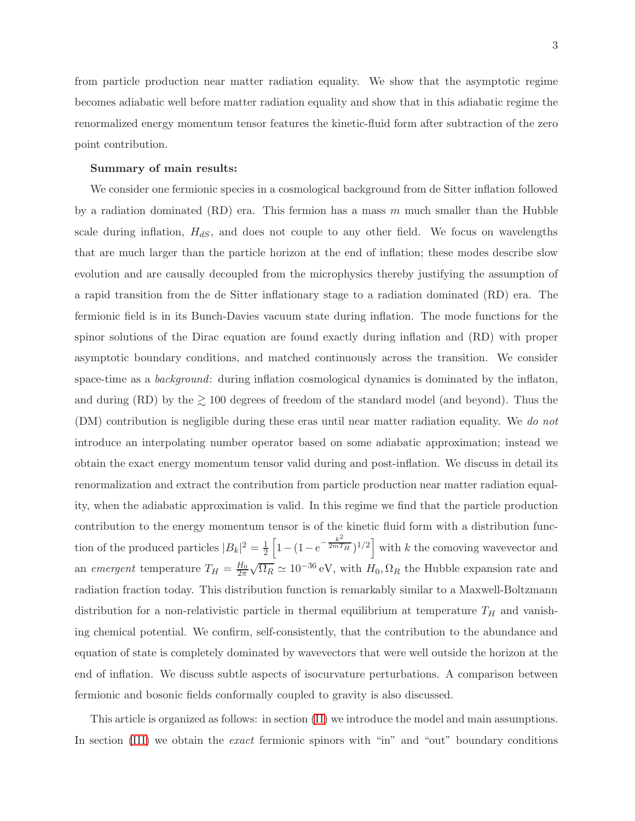from particle production near matter radiation equality. We show that the asymptotic regime becomes adiabatic well before matter radiation equality and show that in this adiabatic regime the renormalized energy momentum tensor features the kinetic-fluid form after subtraction of the zero point contribution.

### Summary of main results:

We consider one fermionic species in a cosmological background from de Sitter inflation followed by a radiation dominated (RD) era. This fermion has a mass  $m$  much smaller than the Hubble scale during inflation,  $H_{dS}$ , and does not couple to any other field. We focus on wavelengths that are much larger than the particle horizon at the end of inflation; these modes describe slow evolution and are causally decoupled from the microphysics thereby justifying the assumption of a rapid transition from the de Sitter inflationary stage to a radiation dominated (RD) era. The fermionic field is in its Bunch-Davies vacuum state during inflation. The mode functions for the spinor solutions of the Dirac equation are found exactly during inflation and (RD) with proper asymptotic boundary conditions, and matched continuously across the transition. We consider space-time as a *background*: during inflation cosmological dynamics is dominated by the inflaton, and during (RD) by the  $\gtrsim$  100 degrees of freedom of the standard model (and beyond). Thus the (DM) contribution is negligible during these eras until near matter radiation equality. We do not introduce an interpolating number operator based on some adiabatic approximation; instead we obtain the exact energy momentum tensor valid during and post-inflation. We discuss in detail its renormalization and extract the contribution from particle production near matter radiation equality, when the adiabatic approximation is valid. In this regime we find that the particle production contribution to the energy momentum tensor is of the kinetic fluid form with a distribution function of the produced particles  $|B_k|^2 = \frac{1}{2}$ 2  $\Big[1-\big(1-e^{-\frac{k^2}{2mT}}\Big]$  $\frac{k^2}{2mT_H}$ <sup>1/2</sup> with k the comoving wavevector and an *emergent* temperature  $T_H = \frac{H_0}{2\pi}$  $\frac{H_0}{2\pi}\sqrt{\Omega_R} \simeq 10^{-36}$  eV, with  $H_0, \Omega_R$  the Hubble expansion rate and radiation fraction today. This distribution function is remarkably similar to a Maxwell-Boltzmann distribution for a non-relativistic particle in thermal equilibrium at temperature  $T_H$  and vanishing chemical potential. We confirm, self-consistently, that the contribution to the abundance and equation of state is completely dominated by wavevectors that were well outside the horizon at the end of inflation. We discuss subtle aspects of isocurvature perturbations. A comparison between fermionic and bosonic fields conformally coupled to gravity is also discussed.

This article is organized as follows: in section [\(II\)](#page-3-0) we introduce the model and main assumptions. In section [\(III\)](#page-12-0) we obtain the *exact* fermionic spinors with "in" and "out" boundary conditions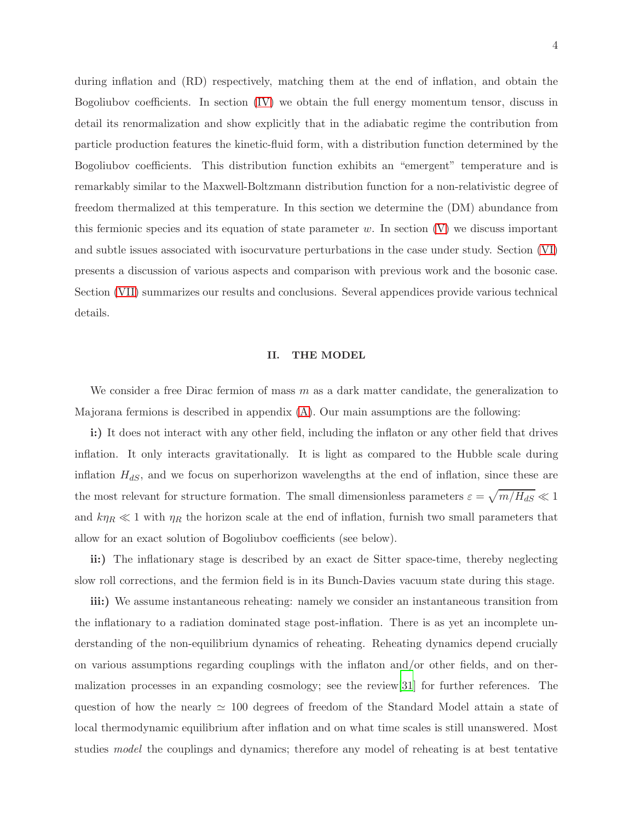during inflation and (RD) respectively, matching them at the end of inflation, and obtain the Bogoliubov coefficients. In section [\(IV\)](#page-19-0) we obtain the full energy momentum tensor, discuss in detail its renormalization and show explicitly that in the adiabatic regime the contribution from particle production features the kinetic-fluid form, with a distribution function determined by the Bogoliubov coefficients. This distribution function exhibits an "emergent" temperature and is remarkably similar to the Maxwell-Boltzmann distribution function for a non-relativistic degree of freedom thermalized at this temperature. In this section we determine the (DM) abundance from this fermionic species and its equation of state parameter w. In section  $(V)$  we discuss important and subtle issues associated with isocurvature perturbations in the case under study. Section [\(VI\)](#page-29-0) presents a discussion of various aspects and comparison with previous work and the bosonic case. Section [\(VII\)](#page-37-0) summarizes our results and conclusions. Several appendices provide various technical details.

### <span id="page-3-0"></span>II. THE MODEL

We consider a free Dirac fermion of mass  $m$  as a dark matter candidate, the generalization to Majorana fermions is described in appendix [\(A\)](#page-39-0). Our main assumptions are the following:

i:) It does not interact with any other field, including the inflaton or any other field that drives inflation. It only interacts gravitationally. It is light as compared to the Hubble scale during inflation  $H_{dS}$ , and we focus on superhorizon wavelengths at the end of inflation, since these are the most relevant for structure formation. The small dimensionless parameters  $\varepsilon = \sqrt{m/H_{dS}} \ll 1$ and  $k\eta_R \ll 1$  with  $\eta_R$  the horizon scale at the end of inflation, furnish two small parameters that allow for an exact solution of Bogoliubov coefficients (see below).

ii:) The inflationary stage is described by an exact de Sitter space-time, thereby neglecting slow roll corrections, and the fermion field is in its Bunch-Davies vacuum state during this stage.

iii:) We assume instantaneous reheating: namely we consider an instantaneous transition from the inflationary to a radiation dominated stage post-inflation. There is as yet an incomplete understanding of the non-equilibrium dynamics of reheating. Reheating dynamics depend crucially on various assumptions regarding couplings with the inflaton and/or other fields, and on thermalization processes in an expanding cosmology; see the review[\[31](#page-46-1)] for further references. The question of how the nearly  $\simeq$  100 degrees of freedom of the Standard Model attain a state of local thermodynamic equilibrium after inflation and on what time scales is still unanswered. Most studies model the couplings and dynamics; therefore any model of reheating is at best tentative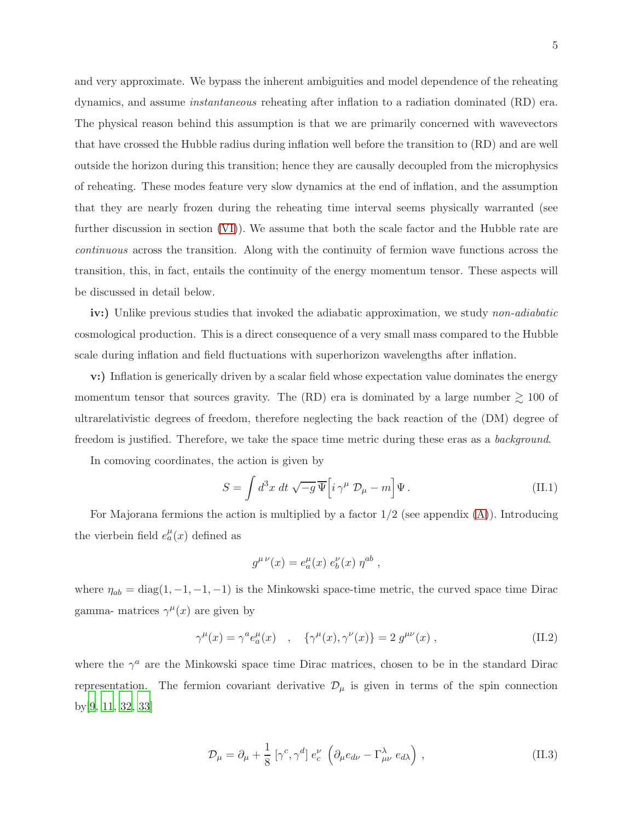and very approximate. We bypass the inherent ambiguities and model dependence of the reheating dynamics, and assume instantaneous reheating after inflation to a radiation dominated (RD) era. The physical reason behind this assumption is that we are primarily concerned with wavevectors that have crossed the Hubble radius during inflation well before the transition to (RD) and are well outside the horizon during this transition; hence they are causally decoupled from the microphysics of reheating. These modes feature very slow dynamics at the end of inflation, and the assumption that they are nearly frozen during the reheating time interval seems physically warranted (see further discussion in section [\(VI\)](#page-29-0)). We assume that both the scale factor and the Hubble rate are continuous across the transition. Along with the continuity of fermion wave functions across the transition, this, in fact, entails the continuity of the energy momentum tensor. These aspects will be discussed in detail below.

iv:) Unlike previous studies that invoked the adiabatic approximation, we study non-adiabatic cosmological production. This is a direct consequence of a very small mass compared to the Hubble scale during inflation and field fluctuations with superhorizon wavelengths after inflation.

v:) Inflation is generically driven by a scalar field whose expectation value dominates the energy momentum tensor that sources gravity. The (RD) era is dominated by a large number  $\gtrsim 100$  of ultrarelativistic degrees of freedom, therefore neglecting the back reaction of the (DM) degree of freedom is justified. Therefore, we take the space time metric during these eras as a background.

In comoving coordinates, the action is given by

$$
S = \int d^3x \, dt \, \sqrt{-g} \, \overline{\Psi} \Big[ i \, \gamma^{\mu} \, \mathcal{D}_{\mu} - m \Big] \Psi \,. \tag{II.1}
$$

For Majorana fermions the action is multiplied by a factor  $1/2$  (see appendix  $(A)$ ). Introducing the vierbein field  $e_a^{\mu}(x)$  defined as

$$
g^{\mu\nu}(x) = e_a^{\mu}(x) e_b^{\nu}(x) \eta^{ab} ,
$$

where  $\eta_{ab} = \text{diag}(1, -1, -1, -1)$  is the Minkowski space-time metric, the curved space time Dirac gamma- matrices  $\gamma^{\mu}(x)$  are given by

$$
\gamma^{\mu}(x) = \gamma^{a} e^{\mu}_{a}(x) \quad , \quad \{\gamma^{\mu}(x), \gamma^{\nu}(x)\} = 2 \, g^{\mu\nu}(x) \,, \tag{II.2}
$$

where the  $\gamma^a$  are the Minkowski space time Dirac matrices, chosen to be in the standard Dirac representation. The fermion covariant derivative  $\mathcal{D}_{\mu}$  is given in terms of the spin connection by[\[9](#page-45-15), [11](#page-45-16), [32](#page-46-2), [33\]](#page-46-3)

$$
\mathcal{D}_{\mu} = \partial_{\mu} + \frac{1}{8} \left[ \gamma^{c}, \gamma^{d} \right] e_{c}^{\nu} \left( \partial_{\mu} e_{d\nu} - \Gamma^{\lambda}_{\mu\nu} e_{d\lambda} \right), \qquad (II.3)
$$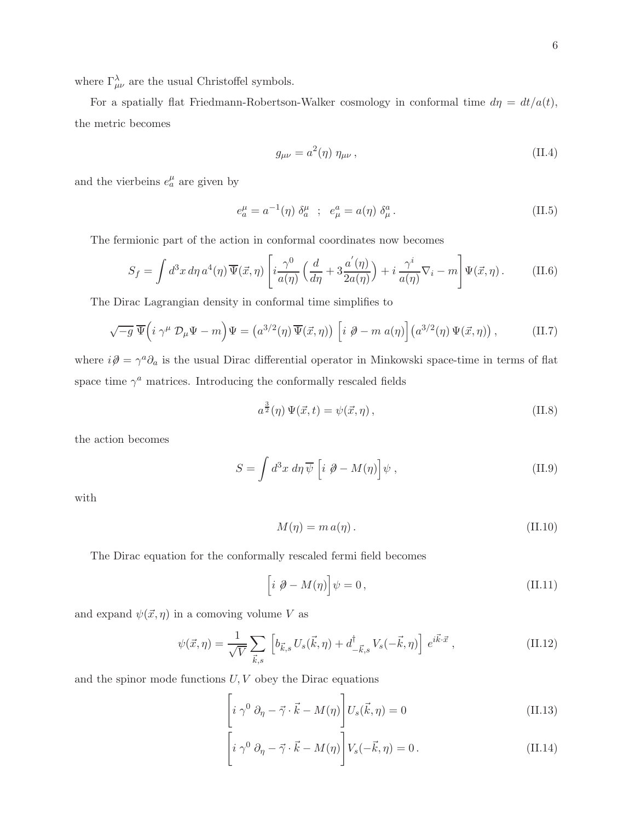where  $\Gamma_{\mu\nu}^{\lambda}$  are the usual Christoffel symbols.

For a spatially flat Friedmann-Robertson-Walker cosmology in conformal time  $d\eta = dt/a(t)$ , the metric becomes

$$
g_{\mu\nu} = a^2(\eta) \eta_{\mu\nu}, \qquad (II.4)
$$

and the vierbeins  $e_a^{\mu}$  are given by

$$
e_a^{\mu} = a^{-1}(\eta) \, \delta_a^{\mu} \; ; \; e_{\mu}^a = a(\eta) \, \delta_{\mu}^a \, . \tag{II.5}
$$

The fermionic part of the action in conformal coordinates now becomes

$$
S_f = \int d^3x \, d\eta \, a^4(\eta) \, \overline{\Psi}(\vec{x}, \eta) \left[ i \frac{\gamma^0}{a(\eta)} \left( \frac{d}{d\eta} + 3 \frac{a'(\eta)}{2a(\eta)} \right) + i \frac{\gamma^i}{a(\eta)} \nabla_i - m \right] \Psi(\vec{x}, \eta) \,. \tag{II.6}
$$

The Dirac Lagrangian density in conformal time simplifies to

$$
\sqrt{-g}\,\overline{\Psi}\Big(i\,\gamma^{\mu}\,\mathcal{D}_{\mu}\Psi - m\Big)\Psi = \left(a^{3/2}(\eta)\,\overline{\Psi}(\vec{x},\eta)\right)\,\left[i\,\,\partial - m\,a(\eta)\right]\left(a^{3/2}(\eta)\,\Psi(\vec{x},\eta)\right),\tag{II.7}
$$

where  $i\partial = \gamma^a \partial_a$  is the usual Dirac differential operator in Minkowski space-time in terms of flat space time  $\gamma^a$  matrices. Introducing the conformally rescaled fields

<span id="page-5-3"></span>
$$
a^{\frac{3}{2}}(\eta) \Psi(\vec{x},t) = \psi(\vec{x},\eta), \qquad (II.8)
$$

the action becomes

$$
S = \int d^3x \, d\eta \, \overline{\psi} \left[ i \, \partial - M(\eta) \right] \psi , \qquad (II.9)
$$

with

<span id="page-5-2"></span>
$$
M(\eta) = m a(\eta). \tag{II.10}
$$

The Dirac equation for the conformally rescaled fermi field becomes

<span id="page-5-1"></span>
$$
\[i \ \partial - M(\eta)\] \psi = 0\,,\tag{II.11}
$$

and expand  $\psi(\vec{x}, \eta)$  in a comoving volume V as

$$
\psi(\vec{x}, \eta) = \frac{1}{\sqrt{V}} \sum_{\vec{k}, s} \left[ b_{\vec{k}, s} U_s(\vec{k}, \eta) + d_{-\vec{k}, s}^{\dagger} V_s(-\vec{k}, \eta) \right] e^{i\vec{k}\cdot\vec{x}}, \qquad (II.12)
$$

and the spinor mode functions  $U, V$  obey the Dirac equations

<span id="page-5-0"></span>
$$
\left[i\ \gamma^0\ \partial_\eta - \vec{\gamma} \cdot \vec{k} - M(\eta)\right] U_s(\vec{k}, \eta) = 0 \tag{II.13}
$$

$$
\left[i\ \gamma^0\ \partial_\eta - \vec{\gamma} \cdot \vec{k} - M(\eta)\right] V_s(-\vec{k}, \eta) = 0. \tag{II.14}
$$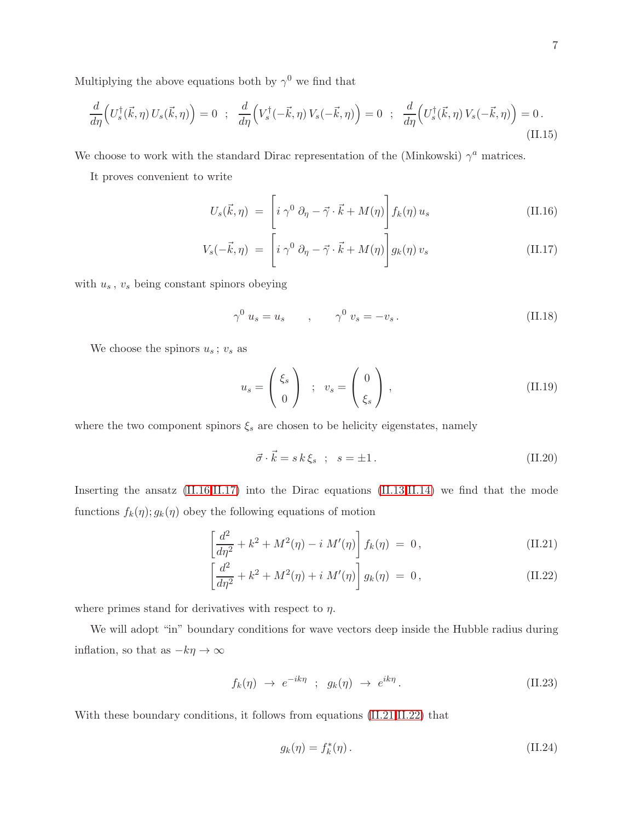Multiplying the above equations both by  $\gamma^0$  we find that

$$
\frac{d}{d\eta}\Big(U_s^{\dagger}(\vec{k},\eta)U_s(\vec{k},\eta)\Big) = 0 \quad ; \quad \frac{d}{d\eta}\Big(V_s^{\dagger}(-\vec{k},\eta)V_s(-\vec{k},\eta)\Big) = 0 \quad ; \quad \frac{d}{d\eta}\Big(U_s^{\dagger}(\vec{k},\eta)V_s(-\vec{k},\eta)\Big) = 0 \tag{II.15}
$$

We choose to work with the standard Dirac representation of the (Minkowski)  $\gamma^a$  matrices.

It proves convenient to write

<span id="page-6-0"></span>
$$
U_s(\vec{k}, \eta) = \left[ i \gamma^0 \partial_{\eta} - \vec{\gamma} \cdot \vec{k} + M(\eta) \right] f_k(\eta) u_s \tag{II.16}
$$

$$
V_s(-\vec{k},\eta) = \left[ i \gamma^0 \partial_\eta - \vec{\gamma} \cdot \vec{k} + M(\eta) \right] g_k(\eta) v_s \tag{II.17}
$$

with  $u_s$ ,  $v_s$  being constant spinors obeying

$$
\gamma^0 u_s = u_s \qquad , \qquad \gamma^0 v_s = -v_s \, . \tag{II.18}
$$

We choose the spinors  $u_s$ ;  $v_s$  as

$$
u_s = \begin{pmatrix} \xi_s \\ 0 \end{pmatrix} ; v_s = \begin{pmatrix} 0 \\ \xi_s \end{pmatrix}, \qquad (II.19)
$$

where the two component spinors  $\xi_s$  are chosen to be helicity eigenstates, namely

$$
\vec{\sigma} \cdot \vec{k} = s \, k \, \xi_s \quad ; \quad s = \pm 1 \,. \tag{II.20}
$$

Inserting the ansatz [\(II.16,II.17\)](#page-6-0) into the Dirac equations [\(II.13,II.14\)](#page-5-0) we find that the mode functions  $f_k(\eta)$ ;  $g_k(\eta)$  obey the following equations of motion

<span id="page-6-1"></span>
$$
\left[\frac{d^2}{d\eta^2} + k^2 + M^2(\eta) - i M'(\eta)\right] f_k(\eta) = 0, \qquad (II.21)
$$

$$
\left[\frac{d^2}{d\eta^2} + k^2 + M^2(\eta) + i M'(\eta)\right] g_k(\eta) = 0, \qquad (II.22)
$$

where primes stand for derivatives with respect to  $\eta$ .

We will adopt "in" boundary conditions for wave vectors deep inside the Hubble radius during inflation, so that as  $-k\eta \to \infty$ 

<span id="page-6-2"></span>
$$
f_k(\eta) \rightarrow e^{-ik\eta} \, ; \, g_k(\eta) \rightarrow e^{ik\eta} \,. \tag{II.23}
$$

With these boundary conditions, it follows from equations [\(II.21,II.22\)](#page-6-1) that

$$
g_k(\eta) = f_k^*(\eta). \tag{II.24}
$$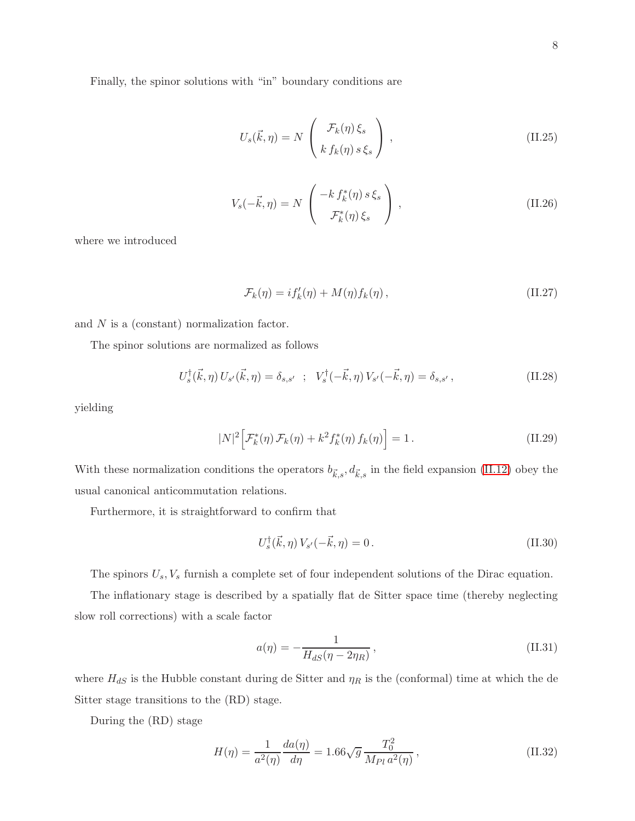<span id="page-7-2"></span><span id="page-7-1"></span>Finally, the spinor solutions with "in" boundary conditions are

$$
U_s(\vec{k}, \eta) = N \begin{pmatrix} \mathcal{F}_k(\eta) \xi_s \\ k f_k(\eta) s \xi_s \end{pmatrix},
$$
 (II.25)

$$
V_s(-\vec{k}, \eta) = N \begin{pmatrix} -k f_k^*(\eta) s \xi_s \\ \mathcal{F}_k^*(\eta) \xi_s \end{pmatrix},
$$
 (II.26)

where we introduced

<span id="page-7-3"></span>
$$
\mathcal{F}_k(\eta) = i f'_k(\eta) + M(\eta) f_k(\eta), \qquad (II.27)
$$

and N is a (constant) normalization factor.

The spinor solutions are normalized as follows

$$
U_s^{\dagger}(\vec{k},\eta) U_{s'}(\vec{k},\eta) = \delta_{s,s'} \; ; \; V_s^{\dagger}(-\vec{k},\eta) V_{s'}(-\vec{k},\eta) = \delta_{s,s'} \,, \tag{II.28}
$$

yielding

$$
|N|^2 \Big[ \mathcal{F}_k^*(\eta) \mathcal{F}_k(\eta) + k^2 f_k^*(\eta) f_k(\eta) \Big] = 1. \tag{II.29}
$$

With these normalization conditions the operators  $b_{\vec{k},s}$ ,  $d_{\vec{k},s}$  in the field expansion [\(II.12\)](#page-5-1) obey the usual canonical anticommutation relations.

Furthermore, it is straightforward to confirm that

<span id="page-7-4"></span>
$$
U_s^{\dagger}(\vec{k}, \eta) V_{s'}(-\vec{k}, \eta) = 0.
$$
 (II.30)

The spinors  $U_s$ ,  $V_s$  furnish a complete set of four independent solutions of the Dirac equation.

The inflationary stage is described by a spatially flat de Sitter space time (thereby neglecting slow roll corrections) with a scale factor

<span id="page-7-0"></span>
$$
a(\eta) = -\frac{1}{H_{dS}(\eta - 2\eta_R)},
$$
\n(II.31)

where  $H_{dS}$  is the Hubble constant during de Sitter and  $\eta_R$  is the (conformal) time at which the de Sitter stage transitions to the (RD) stage.

During the (RD) stage

$$
H(\eta) = \frac{1}{a^2(\eta)} \frac{da(\eta)}{d\eta} = 1.66\sqrt{g} \frac{T_0^2}{M_{Pl} a^2(\eta)},
$$
\n(II.32)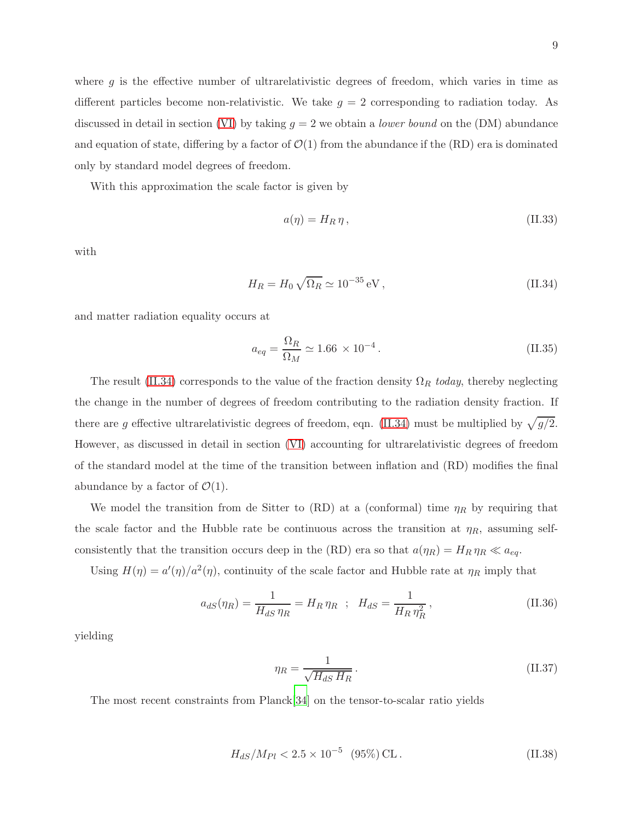where  $q$  is the effective number of ultrarelativistic degrees of freedom, which varies in time as different particles become non-relativistic. We take  $g = 2$  corresponding to radiation today. As discussed in detail in section [\(VI\)](#page-29-0) by taking  $g = 2$  we obtain a *lower bound* on the (DM) abundance and equation of state, differing by a factor of  $\mathcal{O}(1)$  from the abundance if the (RD) era is dominated only by standard model degrees of freedom.

With this approximation the scale factor is given by

$$
a(\eta) = H_R \eta, \tag{II.33}
$$

<span id="page-8-0"></span>with

$$
H_R = H_0 \sqrt{\Omega_R} \simeq 10^{-35} \,\text{eV} \,,\tag{II.34}
$$

and matter radiation equality occurs at

$$
a_{eq} = \frac{\Omega_R}{\Omega_M} \simeq 1.66 \times 10^{-4} \,. \tag{II.35}
$$

The result [\(II.34\)](#page-8-0) corresponds to the value of the fraction density  $\Omega_R$  today, thereby neglecting the change in the number of degrees of freedom contributing to the radiation density fraction. If there are g effective ultrarelativistic degrees of freedom, eqn. [\(II.34\)](#page-8-0) must be multiplied by  $\sqrt{g/2}$ . However, as discussed in detail in section [\(VI\)](#page-29-0) accounting for ultrarelativistic degrees of freedom of the standard model at the time of the transition between inflation and (RD) modifies the final abundance by a factor of  $\mathcal{O}(1)$ .

We model the transition from de Sitter to (RD) at a (conformal) time  $\eta_R$  by requiring that the scale factor and the Hubble rate be continuous across the transition at  $\eta_R$ , assuming selfconsistently that the transition occurs deep in the (RD) era so that  $a(\eta_R) = H_R \eta_R \ll a_{eq}$ .

Using  $H(\eta) = a'(\eta)/a^2(\eta)$ , continuity of the scale factor and Hubble rate at  $\eta_R$  imply that

$$
a_{dS}(\eta_R) = \frac{1}{H_{dS}\,\eta_R} = H_R\,\eta_R \;\;;\;\; H_{dS} = \frac{1}{H_R\,\eta_R^2} \,,\tag{II.36}
$$

yielding

$$
\eta_R = \frac{1}{\sqrt{H_{dS} H_R}}.\tag{II.37}
$$

The most recent constraints from Planck[\[34](#page-46-4)] on the tensor-to-scalar ratio yields

$$
H_{dS}/M_{Pl} < 2.5 \times 10^{-5} \quad (95\%) \, \text{CL} \,. \tag{II.38}
$$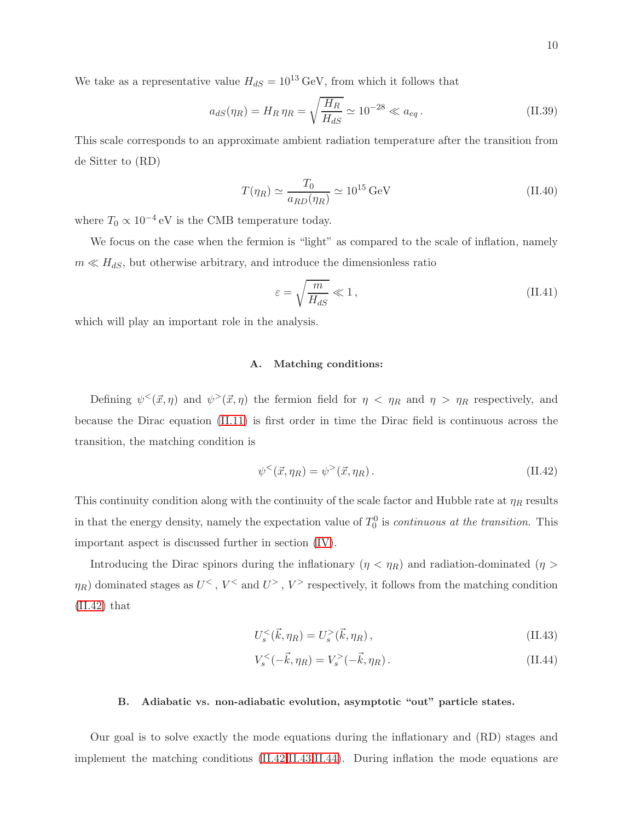We take as a representative value  $H_{dS} = 10^{13} \text{ GeV}$ , from which it follows that

$$
a_{dS}(\eta_R) = H_R \eta_R = \sqrt{\frac{H_R}{H_{dS}}} \simeq 10^{-28} \ll a_{eq}.
$$
 (II.39)

This scale corresponds to an approximate ambient radiation temperature after the transition from de Sitter to (RD)

$$
T(\eta_R) \simeq \frac{T_0}{a_{RD}(\eta_R)} \simeq 10^{15} \,\text{GeV} \tag{II.40}
$$

where  $T_0 \propto 10^{-4}$  eV is the CMB temperature today.

We focus on the case when the fermion is "light" as compared to the scale of inflation, namely  $m \ll H_{dS}$ , but otherwise arbitrary, and introduce the dimensionless ratio

<span id="page-9-2"></span>
$$
\varepsilon = \sqrt{\frac{m}{H_{dS}}} \ll 1, \qquad (II.41)
$$

which will play an important role in the analysis.

## A. Matching conditions:

Defining  $\psi^{\leq}(\vec{x},\eta)$  and  $\psi^{\geq}(\vec{x},\eta)$  the fermion field for  $\eta < \eta_R$  and  $\eta > \eta_R$  respectively, and because the Dirac equation [\(II.11\)](#page-5-2) is first order in time the Dirac field is continuous across the transition, the matching condition is

<span id="page-9-0"></span>
$$
\psi^{<}(\vec{x}, \eta_R) = \psi^{>}(\vec{x}, \eta_R). \tag{II.42}
$$

This continuity condition along with the continuity of the scale factor and Hubble rate at  $\eta_R$  results in that the energy density, namely the expectation value of  $T_0^0$  is *continuous at the transition*. This important aspect is discussed further in section [\(IV\)](#page-19-0).

Introducing the Dirac spinors during the inflationary  $(\eta < \eta_R)$  and radiation-dominated  $(\eta >$  $\eta_R$ ) dominated stages as  $U^{\lt}$ ,  $V^{\lt}$  and  $U^{\gt}$ ,  $V^{\gt}$  respectively, it follows from the matching condition [\(II.42\)](#page-9-0) that

<span id="page-9-1"></span>
$$
U_s^<(\vec{k}, \eta_R) = U_s^>(\vec{k}, \eta_R), \tag{II.43}
$$

$$
V_s^<(-\vec{k}, \eta_R) = V_s^>(-\vec{k}, \eta_R). \tag{II.44}
$$

# <span id="page-9-3"></span>B. Adiabatic vs. non-adiabatic evolution, asymptotic "out" particle states.

Our goal is to solve exactly the mode equations during the inflationary and (RD) stages and implement the matching conditions [\(II.42](#page-9-0)[,II.43,II.44\)](#page-9-1). During inflation the mode equations are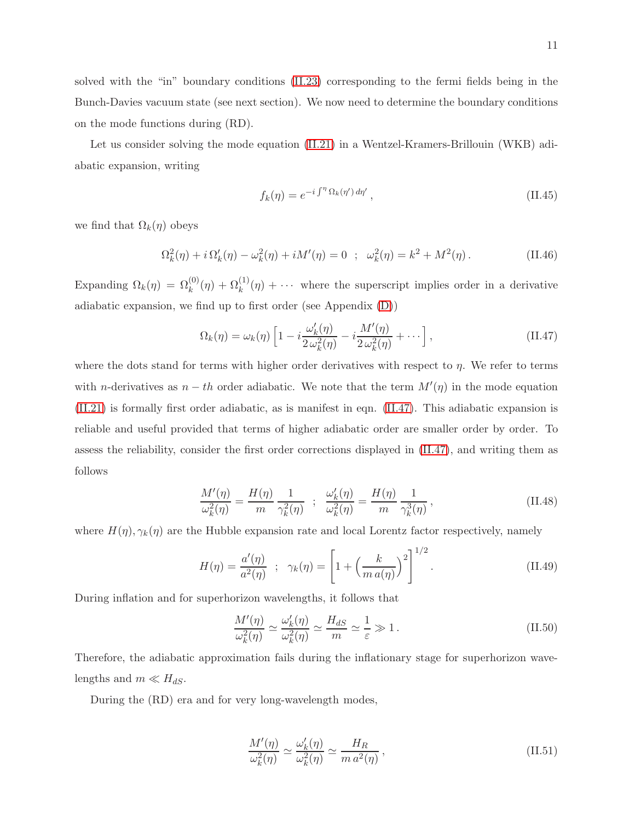solved with the "in" boundary conditions [\(II.23\)](#page-6-2) corresponding to the fermi fields being in the Bunch-Davies vacuum state (see next section). We now need to determine the boundary conditions on the mode functions during (RD).

Let us consider solving the mode equation [\(II.21\)](#page-6-1) in a Wentzel-Kramers-Brillouin (WKB) adiabatic expansion, writing

<span id="page-10-0"></span>
$$
f_k(\eta) = e^{-i \int^{\eta} \Omega_k(\eta') d\eta'}, \qquad (II.45)
$$

we find that  $\Omega_k(\eta)$  obeys

$$
\Omega_k^2(\eta) + i \, \Omega'_k(\eta) - \omega_k^2(\eta) + i M'(\eta) = 0 \quad ; \quad \omega_k^2(\eta) = k^2 + M^2(\eta) \,. \tag{II.46}
$$

Expanding  $\Omega_k(\eta) = \Omega_k^{(0)}(\eta) + \Omega_k^{(1)}(\eta) + \cdots$  where the superscript implies order in a derivative adiabatic expansion, we find up to first order (see Appendix [\(D\)](#page-42-0))

$$
\Omega_k(\eta) = \omega_k(\eta) \left[ 1 - i \frac{\omega'_k(\eta)}{2 \omega_k^2(\eta)} - i \frac{M'(\eta)}{2 \omega_k^2(\eta)} + \cdots \right],
$$
\n(II.47)

where the dots stand for terms with higher order derivatives with respect to  $\eta$ . We refer to terms with *n*-derivatives as  $n - th$  order adiabatic. We note that the term  $M'(\eta)$  in the mode equation [\(II.21\)](#page-6-1) is formally first order adiabatic, as is manifest in eqn. [\(II.47\)](#page-10-0). This adiabatic expansion is reliable and useful provided that terms of higher adiabatic order are smaller order by order. To assess the reliability, consider the first order corrections displayed in [\(II.47\)](#page-10-0), and writing them as follows

$$
\frac{M'(\eta)}{\omega_k^2(\eta)} = \frac{H(\eta)}{m} \frac{1}{\gamma_k^2(\eta)} \quad ; \quad \frac{\omega_k'(\eta)}{\omega_k^2(\eta)} = \frac{H(\eta)}{m} \frac{1}{\gamma_k^3(\eta)} \,, \tag{II.48}
$$

where  $H(\eta), \gamma_k(\eta)$  are the Hubble expansion rate and local Lorentz factor respectively, namely

$$
H(\eta) = \frac{a'(\eta)}{a^2(\eta)} \; ; \; \; \gamma_k(\eta) = \left[1 + \left(\frac{k}{m \, a(\eta)}\right)^2\right]^{1/2}.
$$
 (II.49)

During inflation and for superhorizon wavelengths, it follows that

$$
\frac{M'(\eta)}{\omega_k^2(\eta)} \simeq \frac{\omega_k'(\eta)}{\omega_k^2(\eta)} \simeq \frac{H_{dS}}{m} \simeq \frac{1}{\varepsilon} \gg 1. \tag{II.50}
$$

Therefore, the adiabatic approximation fails during the inflationary stage for superhorizon wavelengths and  $m \ll H_{dS}$ .

During the (RD) era and for very long-wavelength modes,

$$
\frac{M'(\eta)}{\omega_k^2(\eta)} \simeq \frac{\omega_k'(\eta)}{\omega_k^2(\eta)} \simeq \frac{H_R}{m \, a^2(\eta)},\tag{II.51}
$$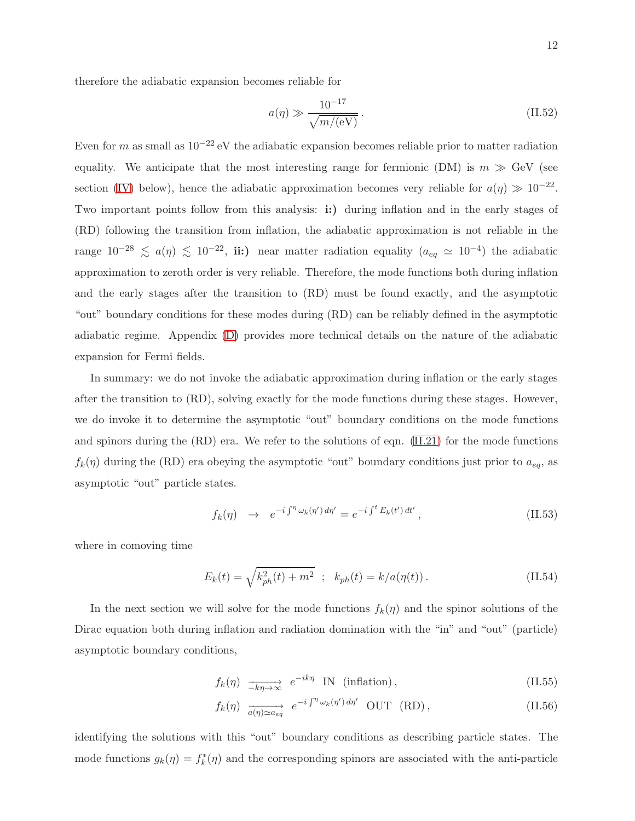therefore the adiabatic expansion becomes reliable for

$$
a(\eta) \gg \frac{10^{-17}}{\sqrt{m/(eV)}}.\tag{II.52}
$$

Even for m as small as  $10^{-22}$  eV the adiabatic expansion becomes reliable prior to matter radiation equality. We anticipate that the most interesting range for fermionic (DM) is  $m \gg \text{GeV}$  (see section [\(IV\)](#page-19-0) below), hence the adiabatic approximation becomes very reliable for  $a(\eta) \gg 10^{-22}$ . Two important points follow from this analysis: i:) during inflation and in the early stages of (RD) following the transition from inflation, the adiabatic approximation is not reliable in the range  $10^{-28} \leq a(\eta) \leq 10^{-22}$ , ii:) near matter radiation equality  $(a_{eq} \simeq 10^{-4})$  the adiabatic approximation to zeroth order is very reliable. Therefore, the mode functions both during inflation and the early stages after the transition to (RD) must be found exactly, and the asymptotic "out" boundary conditions for these modes during (RD) can be reliably defined in the asymptotic adiabatic regime. Appendix [\(D\)](#page-42-0) provides more technical details on the nature of the adiabatic expansion for Fermi fields.

In summary: we do not invoke the adiabatic approximation during inflation or the early stages after the transition to (RD), solving exactly for the mode functions during these stages. However, we do invoke it to determine the asymptotic "out" boundary conditions on the mode functions and spinors during the (RD) era. We refer to the solutions of eqn. [\(II.21\)](#page-6-1) for the mode functions  $f_k(\eta)$  during the (RD) era obeying the asymptotic "out" boundary conditions just prior to  $a_{eq}$ , as asymptotic "out" particle states.

$$
f_k(\eta) \rightarrow e^{-i\int^{\eta} \omega_k(\eta') d\eta'} = e^{-i\int^t E_k(t') dt'}, \qquad (II.53)
$$

where in comoving time

$$
E_k(t) = \sqrt{k_{ph}^2(t) + m^2} \; ; \; k_{ph}(t) = k/a(\eta(t)). \tag{II.54}
$$

In the next section we will solve for the mode functions  $f_k(\eta)$  and the spinor solutions of the Dirac equation both during inflation and radiation domination with the "in" and "out" (particle) asymptotic boundary conditions,

<span id="page-11-0"></span>
$$
f_k(\eta) \xrightarrow[k \eta \to \infty]{} e^{-ik\eta} \text{ IN (inflation)}, \qquad (II.55)
$$

$$
f_k(\eta) \xrightarrow[a(\eta)\simeq a_{eq}]{e^{-i\int^{\eta}\omega_k(\eta') d\eta'}} \text{OUT (RD)}, \qquad (II.56)
$$

identifying the solutions with this "out" boundary conditions as describing particle states. The mode functions  $g_k(\eta) = f_k^*(\eta)$  and the corresponding spinors are associated with the anti-particle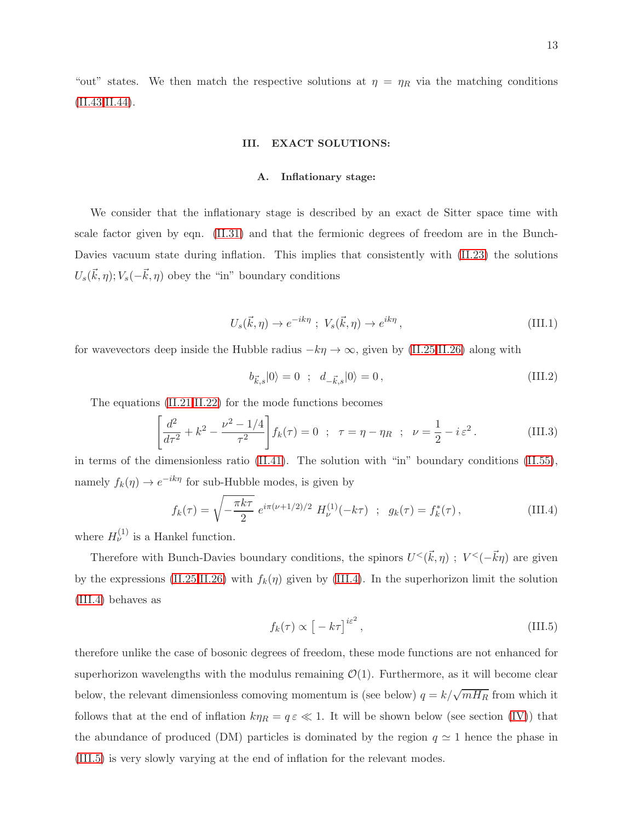"out" states. We then match the respective solutions at  $\eta = \eta_R$  via the matching conditions [\(II.43,II.44\)](#page-9-1).

# <span id="page-12-0"></span>III. EXACT SOLUTIONS:

### A. Inflationary stage:

We consider that the inflationary stage is described by an exact de Sitter space time with scale factor given by eqn. [\(II.31\)](#page-7-0) and that the fermionic degrees of freedom are in the Bunch-Davies vacuum state during inflation. This implies that consistently with  $(II.23)$  the solutions  $U_s(\vec{k}, \eta)$ ;  $V_s(-\vec{k}, \eta)$  obey the "in" boundary conditions

$$
U_s(\vec{k}, \eta) \to e^{-ik\eta} \; ; \; V_s(\vec{k}, \eta) \to e^{ik\eta} \,, \tag{III.1}
$$

for wavevectors deep inside the Hubble radius  $-k\eta \to \infty$ , given by [\(II.25,](#page-7-1)[II.26\)](#page-7-2) along with

<span id="page-12-4"></span><span id="page-12-3"></span><span id="page-12-1"></span>
$$
b_{\vec{k},s}|0\rangle = 0 \; ; \; d_{-\vec{k},s}|0\rangle = 0 \,, \tag{III.2}
$$

The equations [\(II.21,II.22\)](#page-6-1) for the mode functions becomes

$$
\left[\frac{d^2}{d\tau^2} + k^2 - \frac{\nu^2 - 1/4}{\tau^2}\right] f_k(\tau) = 0 \quad ; \quad \tau = \eta - \eta_R \quad ; \quad \nu = \frac{1}{2} - i \,\varepsilon^2 \,. \tag{III.3}
$$

in terms of the dimensionless ratio [\(II.41\)](#page-9-2). The solution with "in" boundary conditions [\(II.55\)](#page-11-0), namely  $f_k(\eta) \to e^{-ik\eta}$  for sub-Hubble modes, is given by

<span id="page-12-2"></span>
$$
f_k(\tau) = \sqrt{-\frac{\pi k \tau}{2}} e^{i\pi(\nu + 1/2)/2} H_{\nu}^{(1)}(-k\tau) \; ; \; g_k(\tau) = f_k^*(\tau) \,, \tag{III.4}
$$

where  $H_{\nu}^{(1)}$  is a Hankel function.

Therefore with Bunch-Davies boundary conditions, the spinors  $U<(\vec{k},\eta)$ ;  $V<(-\vec{k}\eta)$  are given by the expressions [\(II.25,](#page-7-1)[II.26\)](#page-7-2) with  $f_k(\eta)$  given by [\(III.4\)](#page-12-1). In the superhorizon limit the solution [\(III.4\)](#page-12-1) behaves as

$$
f_k(\tau) \propto \left[ -k\tau \right]^{i\varepsilon^2},\tag{III.5}
$$

therefore unlike the case of bosonic degrees of freedom, these mode functions are not enhanced for superhorizon wavelengths with the modulus remaining  $\mathcal{O}(1)$ . Furthermore, as it will become clear below, the relevant dimensionless comoving momentum is (see below)  $q = k/\sqrt{mH_R}$  from which it follows that at the end of inflation  $k\eta_R = q \epsilon \ll 1$ . It will be shown below (see section [\(IV\)](#page-19-0)) that the abundance of produced (DM) particles is dominated by the region  $q \simeq 1$  hence the phase in [\(III.5\)](#page-12-2) is very slowly varying at the end of inflation for the relevant modes.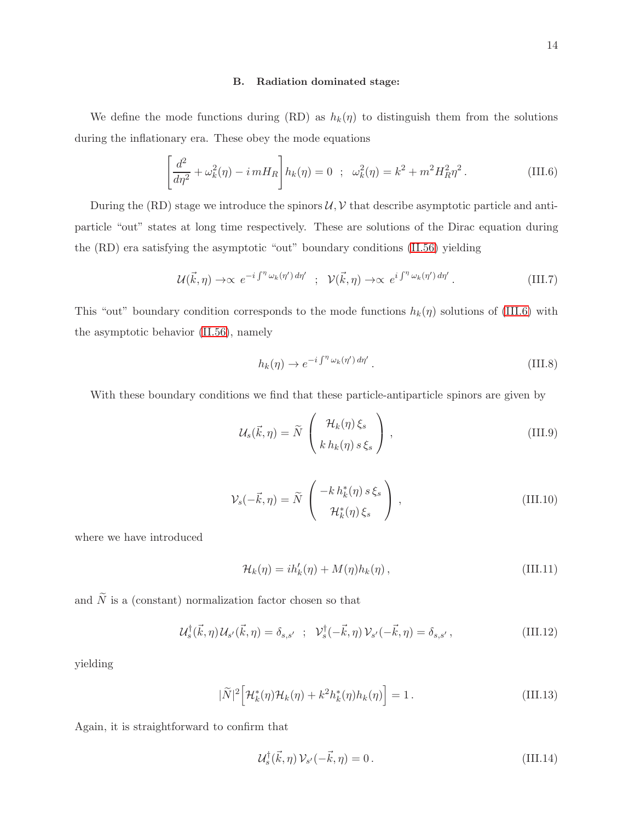### <span id="page-13-6"></span><span id="page-13-0"></span>B. Radiation dominated stage:

We define the mode functions during (RD) as  $h_k(\eta)$  to distinguish them from the solutions during the inflationary era. These obey the mode equations

$$
\left[\frac{d^2}{d\eta^2} + \omega_k^2(\eta) - i\,mH_R\right]h_k(\eta) = 0 \ ; \ \omega_k^2(\eta) = k^2 + m^2H_R^2\eta^2. \tag{III.6}
$$

During the (RD) stage we introduce the spinors  $\mathcal{U}, \mathcal{V}$  that describe asymptotic particle and antiparticle "out" states at long time respectively. These are solutions of the Dirac equation during the (RD) era satisfying the asymptotic "out" boundary conditions [\(II.56\)](#page-11-0) yielding

$$
\mathcal{U}(\vec{k},\eta) \to \propto e^{-i \int^{\eta} \omega_k(\eta') d\eta'} \quad ; \quad \mathcal{V}(\vec{k},\eta) \to \propto e^{i \int^{\eta} \omega_k(\eta') d\eta'} \,. \tag{III.7}
$$

This "out" boundary condition corresponds to the mode functions  $h_k(\eta)$  solutions of [\(III.6\)](#page-13-0) with the asymptotic behavior [\(II.56\)](#page-11-0), namely

<span id="page-13-2"></span><span id="page-13-1"></span>
$$
h_k(\eta) \to e^{-i \int^{\eta} \omega_k(\eta') d\eta'}.
$$
\n(III.8)

<span id="page-13-3"></span>With these boundary conditions we find that these particle-antiparticle spinors are given by

$$
\mathcal{U}_s(\vec{k}, \eta) = \widetilde{N} \begin{pmatrix} \mathcal{H}_k(\eta) \xi_s \\ k h_k(\eta) s \xi_s \end{pmatrix},
$$
\n(III.9)

$$
\mathcal{V}_s(-\vec{k}, \eta) = \widetilde{N} \begin{pmatrix} -k h_k^*(\eta) s \xi_s \\ \mathcal{H}_k^*(\eta) \xi_s \end{pmatrix},
$$
\n(III.10)

where we have introduced

<span id="page-13-4"></span>
$$
\mathcal{H}_k(\eta) = i h'_k(\eta) + M(\eta) h_k(\eta) , \qquad (III.11)
$$

and  $\widetilde{N}$  is a (constant) normalization factor chosen so that

$$
\mathcal{U}_s^{\dagger}(\vec{k},\eta)\mathcal{U}_{s'}(\vec{k},\eta) = \delta_{s,s'} \quad ; \quad \mathcal{V}_s^{\dagger}(-\vec{k},\eta)\mathcal{V}_{s'}(-\vec{k},\eta) = \delta_{s,s'}, \tag{III.12}
$$

yielding

$$
|\widetilde{N}|^2 \Big[ \mathcal{H}_k^*(\eta) \mathcal{H}_k(\eta) + k^2 h_k^*(\eta) h_k(\eta) \Big] = 1. \tag{III.13}
$$

Again, it is straightforward to confirm that

<span id="page-13-5"></span>
$$
\mathcal{U}_s^{\dagger}(\vec{k},\eta)\,\mathcal{V}_{s'}(-\vec{k},\eta) = 0\,. \tag{III.14}
$$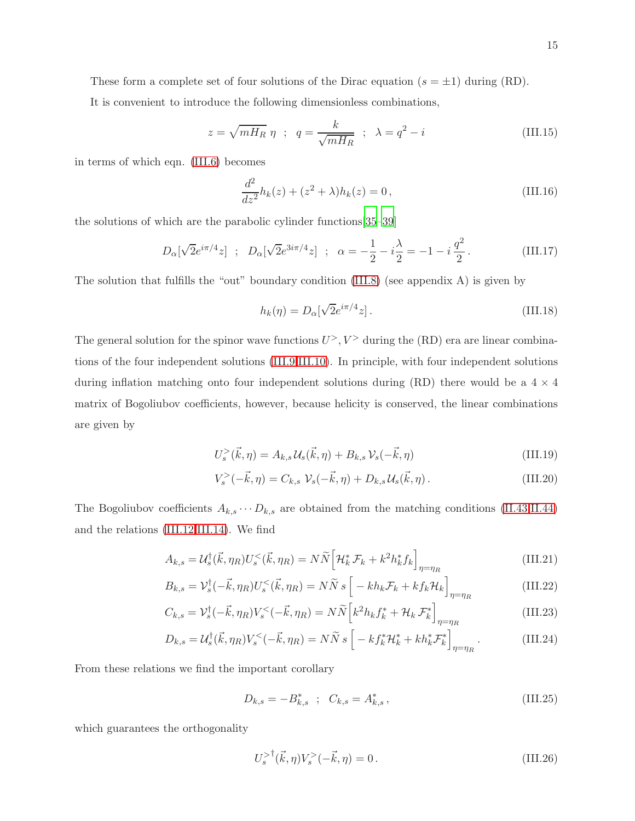These form a complete set of four solutions of the Dirac equation  $(s = \pm 1)$  during (RD).

It is convenient to introduce the following dimensionless combinations,

$$
z = \sqrt{mH_R} \eta \quad ; \quad q = \frac{k}{\sqrt{mH_R}} \quad ; \quad \lambda = q^2 - i \tag{III.15}
$$

in terms of which eqn. [\(III.6\)](#page-13-0) becomes

<span id="page-14-5"></span><span id="page-14-3"></span>
$$
\frac{d^2}{dz^2}h_k(z) + (z^2 + \lambda)h_k(z) = 0,
$$
\n(III.16)

the solutions of which are the parabolic cylinder functions[\[35](#page-46-5)[–39\]](#page-46-6)

$$
D_{\alpha}[\sqrt{2}e^{i\pi/4}z] \ ; \ D_{\alpha}[\sqrt{2}e^{3i\pi/4}z] \ ; \ \alpha = -\frac{1}{2} - i\frac{\lambda}{2} = -1 - i\frac{q^2}{2}.
$$
 (III.17)

The solution that fulfills the "out" boundary condition [\(III.8\)](#page-13-1) (see appendix A) is given by

<span id="page-14-4"></span>
$$
h_k(\eta) = D_\alpha[\sqrt{2}e^{i\pi/4}z].
$$
\n(III.18)

The general solution for the spinor wave functions  $U^>, V^>$  during the (RD) era are linear combinations of the four independent solutions [\(III.9,](#page-13-2)[III.10\)](#page-13-3). In principle, with four independent solutions during inflation matching onto four independent solutions during (RD) there would be a  $4 \times 4$ matrix of Bogoliubov coefficients, however, because helicity is conserved, the linear combinations are given by

<span id="page-14-1"></span>
$$
U_s^>(\vec{k}, \eta) = A_{k,s} \, \mathcal{U}_s(\vec{k}, \eta) + B_{k,s} \, \mathcal{V}_s(-\vec{k}, \eta) \tag{III.19}
$$

$$
V_s^>(-\vec{k}, \eta) = C_{k,s} \ \mathcal{V}_s(-\vec{k}, \eta) + D_{k,s} \mathcal{U}_s(\vec{k}, \eta) \,. \tag{III.20}
$$

The Bogoliubov coefficients  $A_{k,s} \cdots D_{k,s}$  are obtained from the matching conditions [\(II.43,II.44\)](#page-9-1) and the relations [\(III.12,](#page-13-4)[III.14\)](#page-13-5). We find

<span id="page-14-0"></span>
$$
A_{k,s} = \mathcal{U}_s^{\dagger}(\vec{k}, \eta_R) U_s^{\langle}(\vec{k}, \eta_R) = N \widetilde{N} \Big[ \mathcal{H}_k^* \mathcal{F}_k + k^2 h_k^* f_k \Big]_{\eta = \eta_R}
$$
(III.21)

$$
B_{k,s} = \mathcal{V}_s^{\dagger}(-\vec{k}, \eta_R) U_s^{\langle}(\vec{k}, \eta_R) = N\tilde{N} s \left[ -kh_k \mathcal{F}_k + kf_k \mathcal{H}_k \right]_{\eta = \eta_R}
$$
(III.22)

$$
C_{k,s} = \mathcal{V}_s^{\dagger}(-\vec{k}, \eta_R) V_s^{\langle}(-\vec{k}, \eta_R) = N\widetilde{N} \Big[ k^2 h_k f_k^* + \mathcal{H}_k \mathcal{F}_k^* \Big]_{\eta = \eta_R}
$$
(III.23)

$$
D_{k,s} = \mathcal{U}_s^{\dagger}(\vec{k}, \eta_R) V_s^{\leq}(-\vec{k}, \eta_R) = N\widetilde{N} s \left[ -kf_k^* \mathcal{H}_k^* + kh_k^* \mathcal{F}_k^* \right]_{\eta = \eta_R}.
$$
 (III.24)

From these relations we find the important corollary

<span id="page-14-2"></span>
$$
D_{k,s} = -B_{k,s}^* \; ; \; C_{k,s} = A_{k,s}^*, \tag{III.25}
$$

which guarantees the orthogonality

$$
U_s^{> \dagger}(\vec{k}, \eta) V_s^{>}(-\vec{k}, \eta) = 0.
$$
 (III.26)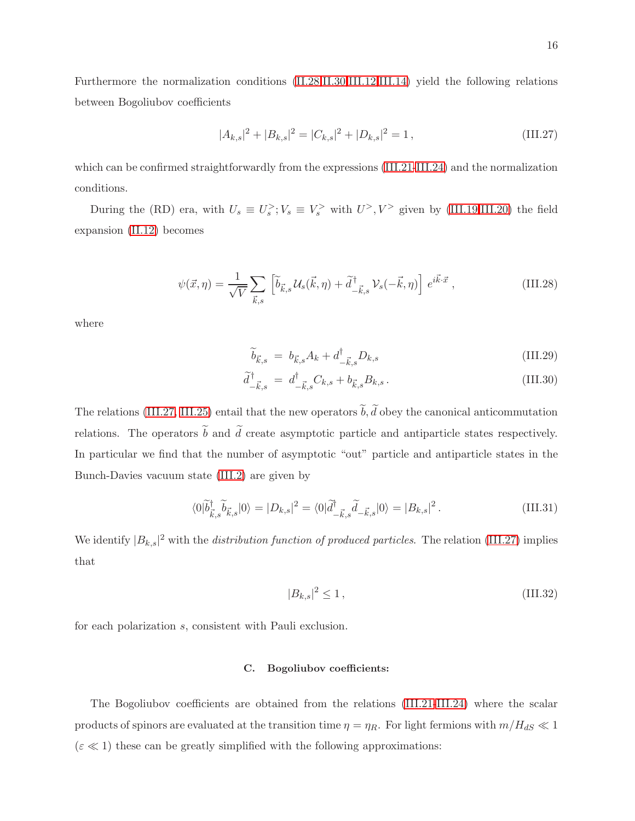Furthermore the normalization conditions [\(II.28](#page-7-3)[,II.30](#page-7-4)[,III.12,](#page-13-4)[III.14\)](#page-13-5) yield the following relations between Bogoliubov coefficients

<span id="page-15-0"></span>
$$
|A_{k,s}|^2 + |B_{k,s}|^2 = |C_{k,s}|^2 + |D_{k,s}|^2 = 1,
$$
\n(III.27)

which can be confirmed straightforwardly from the expressions [\(III.21-III.24\)](#page-14-0) and the normalization conditions.

During the (RD) era, with  $U_s \equiv U_s^>$ ;  $V_s \equiv V_s^>$  with  $U^>, V^>$  given by [\(III.19,III.20\)](#page-14-1) the field expansion [\(II.12\)](#page-5-1) becomes

$$
\psi(\vec{x}, \eta) = \frac{1}{\sqrt{V}} \sum_{\vec{k}, s} \left[ \tilde{b}_{\vec{k}, s} \mathcal{U}_s(\vec{k}, \eta) + \tilde{d}_{-\vec{k}, s}^{\dagger} \mathcal{V}_s(-\vec{k}, \eta) \right] e^{i\vec{k}\cdot\vec{x}}, \qquad (III.28)
$$

where

$$
\tilde{b}_{\vec{k},s} = b_{\vec{k},s} A_k + d_{-\vec{k},s}^{\dagger} D_{k,s}
$$
\n(III.29)

<span id="page-15-1"></span>
$$
\widetilde{d}^{\dagger}_{-\vec{k},s} = d^{\dagger}_{-\vec{k},s} C_{k,s} + b_{\vec{k},s} B_{k,s}.
$$
\n(III.30)

The relations [\(III.27,](#page-15-0) [III.25\)](#page-14-2) entail that the new operators  $\tilde{b}$ ,  $\tilde{d}$  obey the canonical anticommutation relations. The operators  $\tilde{b}$  and  $\tilde{d}$  create asymptotic particle and antiparticle states respectively. In particular we find that the number of asymptotic "out" particle and antiparticle states in the Bunch-Davies vacuum state [\(III.2\)](#page-12-3) are given by

$$
\langle 0|\tilde{b}_{\vec{k},s}^{\dagger}\tilde{b}_{\vec{k},s}|0\rangle = |D_{k,s}|^2 = \langle 0|\tilde{d}_{-\vec{k},s}^{\dagger}\tilde{d}_{-\vec{k},s}|0\rangle = |B_{k,s}|^2. \tag{III.31}
$$

We identify  $|B_{k,s}|^2$  with the *distribution function of produced particles*. The relation [\(III.27\)](#page-15-0) implies that

$$
|B_{k,s}|^2 \le 1,\tag{III.32}
$$

for each polarization s, consistent with Pauli exclusion.

# <span id="page-15-2"></span>C. Bogoliubov coefficients:

The Bogoliubov coefficients are obtained from the relations [\(III.21-III.24\)](#page-14-0) where the scalar products of spinors are evaluated at the transition time  $\eta=\eta_R.$  For light fermions with  $m/H_{dS}\ll 1$  $(\varepsilon \ll 1)$  these can be greatly simplified with the following approximations: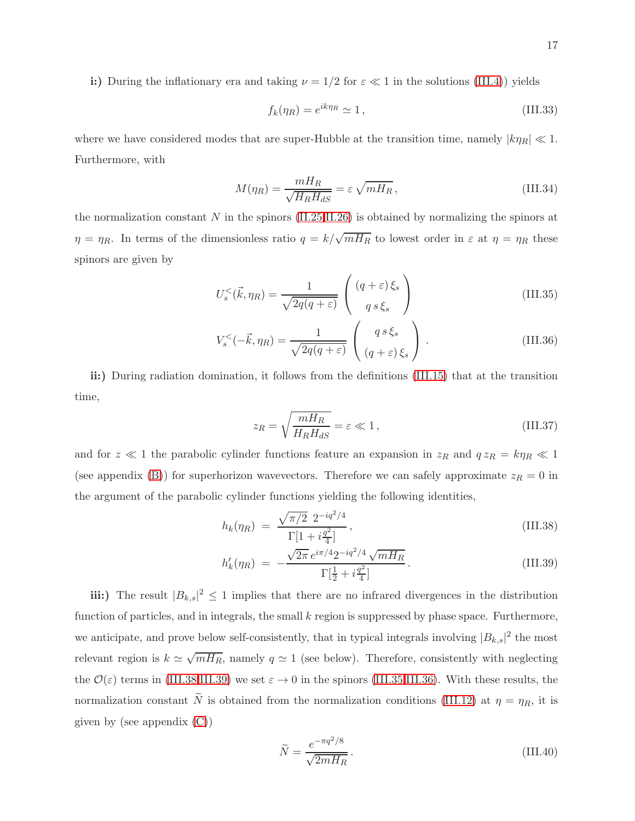i:) During the inflationary era and taking  $\nu = 1/2$  for  $\varepsilon \ll 1$  in the solutions [\(III.4\)](#page-12-1)) yields

<span id="page-16-2"></span>
$$
f_k(\eta_R) = e^{ik\eta_R} \simeq 1, \qquad (III.33)
$$

where we have considered modes that are super-Hubble at the transition time, namely  $|k\eta_R| \ll 1$ . Furthermore, with

$$
M(\eta_R) = \frac{mH_R}{\sqrt{H_R H_{dS}}} = \varepsilon \sqrt{mH_R},\qquad(III.34)
$$

the normalization constant N in the spinors  $(II.25,II.26)$  $(II.25,II.26)$  is obtained by normalizing the spinors at  $\eta = \eta_R$ . In terms of the dimensionless ratio  $q = k/\sqrt{mH_R}$  to lowest order in  $\varepsilon$  at  $\eta = \eta_R$  these spinors are given by

<span id="page-16-1"></span>
$$
U_s^<\vec{k}, \eta_R) = \frac{1}{\sqrt{2q(q+\varepsilon)}} \begin{pmatrix} (q+\varepsilon)\,\xi_s \\ q\,s\,\xi_s \end{pmatrix} \tag{III.35}
$$

$$
V_s^<(-\vec{k}, \eta_R) = \frac{1}{\sqrt{2q(q+\varepsilon)}} \begin{pmatrix} q s \xi_s \\ (q+\varepsilon) \xi_s \end{pmatrix} .
$$
 (III.36)

ii:) During radiation domination, it follows from the definitions [\(III.15\)](#page-14-3) that at the transition time,

$$
z_R = \sqrt{\frac{mH_R}{H_R H_{dS}}} = \varepsilon \ll 1, \qquad (III.37)
$$

and for  $z \ll 1$  the parabolic cylinder functions feature an expansion in  $z_R$  and  $q z_R = k \eta_R \ll 1$ (see appendix [\(B\)](#page-40-0)) for superhorizon wavevectors. Therefore we can safely approximate  $z_R = 0$  in the argument of the parabolic cylinder functions yielding the following identities,

<span id="page-16-0"></span>
$$
h_k(\eta_R) = \frac{\sqrt{\pi/2} \ 2^{-iq^2/4}}{\Gamma[1 + i\frac{q^2}{4}]},
$$
\n(III.38)

$$
h'_k(\eta_R) = -\frac{\sqrt{2\pi} \, e^{i\pi/4} 2^{-iq^2/4} \sqrt{mH_R}}{\Gamma[\frac{1}{2} + i\frac{q^2}{4}]}.
$$
\n(III.39)

**iii:**) The result  $|B_{k,s}|^2 \leq 1$  implies that there are no infrared divergences in the distribution function of particles, and in integrals, the small k region is suppressed by phase space. Furthermore, we anticipate, and prove below self-consistently, that in typical integrals involving  $|B_{k,s}|^2$  the most relevant region is  $k \simeq \sqrt{mH_R}$ , namely  $q \simeq 1$  (see below). Therefore, consistently with neglecting the  $\mathcal{O}(\varepsilon)$  terms in [\(III.38,III.39\)](#page-16-0) we set  $\varepsilon \to 0$  in the spinors [\(III.35,III.36\)](#page-16-1). With these results, the normalization constant  $\tilde{N}$  is obtained from the normalization conditions [\(III.12\)](#page-13-4) at  $\eta = \eta_R$ , it is given by (see appendix  $(C)$ )

<span id="page-16-3"></span>
$$
\widetilde{N} = \frac{e^{-\pi q^2/8}}{\sqrt{2mH_R}}.
$$
\n(III.40)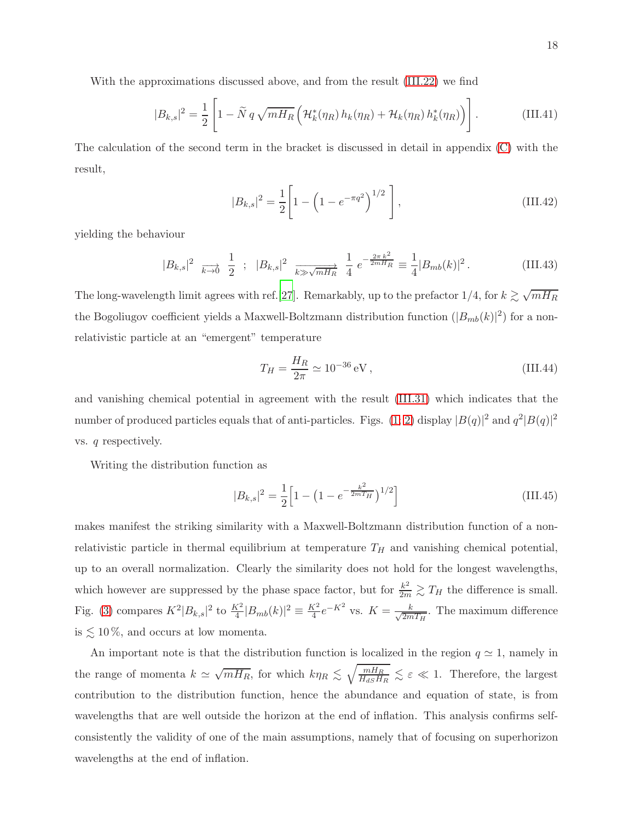With the approximations discussed above, and from the result [\(III.22\)](#page-14-0) we find

$$
|B_{k,s}|^2 = \frac{1}{2} \left[ 1 - \tilde{N} q \sqrt{mH_R} \left( \mathcal{H}_k^*(\eta_R) h_k(\eta_R) + \mathcal{H}_k(\eta_R) h_k^*(\eta_R) \right) \right]. \tag{III.41}
$$

<span id="page-17-3"></span>The calculation of the second term in the bracket is discussed in detail in appendix [\(C\)](#page-41-0) with the result,

<span id="page-17-2"></span>
$$
|B_{k,s}|^2 = \frac{1}{2} \left[ 1 - \left( 1 - e^{-\pi q^2} \right)^{1/2} \right],
$$
\n(III.42)

yielding the behaviour

<span id="page-17-0"></span>
$$
|B_{k,s}|^2 \xrightarrow[k \to \infty]{} \frac{1}{2} \; ; \; |B_{k,s}|^2 \xrightarrow[k \to \infty]{} \frac{1}{k \to \sqrt{mH_R}} \frac{1}{4} e^{-\frac{2\pi k^2}{2mH_R}} \equiv \frac{1}{4} |B_{mb}(k)|^2 \,. \tag{III.43}
$$

The long-wavelength limit agrees with ref.[\[27](#page-45-14)]. Remarkably, up to the prefactor  $1/4$ , for  $k \gtrsim \sqrt{mH_R}$ the Bogoliugov coefficient yields a Maxwell-Boltzmann distribution function  $(|B_{mb}(k)|^2)$  for a nonrelativistic particle at an "emergent" temperature

$$
T_H = \frac{H_R}{2\pi} \simeq 10^{-36} \,\text{eV} \,,\tag{III.44}
$$

and vanishing chemical potential in agreement with the result [\(III.31\)](#page-15-1) which indicates that the number of produced particles equals that of anti-particles. Figs. (1, [2\)](#page-18-1) display  $|B(q)|^2$  and  $q^2|B(q)|^2$ vs. q respectively.

Writing the distribution function as

<span id="page-17-1"></span>
$$
|B_{k,s}|^2 = \frac{1}{2} \left[ 1 - \left( 1 - e^{-\frac{k^2}{2mT_H}} \right)^{1/2} \right]
$$
 (III.45)

makes manifest the striking similarity with a Maxwell-Boltzmann distribution function of a nonrelativistic particle in thermal equilibrium at temperature  $T_H$  and vanishing chemical potential, up to an overall normalization. Clearly the similarity does not hold for the longest wavelengths, which however are suppressed by the phase space factor, but for  $\frac{k^2}{2m} \gtrsim T_H$  the difference is small. Fig. [\(3\)](#page-19-1) compares  $K^2|B_{k,s}|^2$  to  $\frac{K^2}{4}|B_{mb}(k)|^2 \equiv \frac{K^2}{4}$  $\frac{K^2}{4}e^{-K^2}$  vs.  $K = \frac{k}{\sqrt{2m}}$  $\frac{k}{2mT_H}$ . The maximum difference is  $\lesssim 10\%$ , and occurs at low momenta.

An important note is that the distribution function is localized in the region  $q \approx 1$ , namely in the range of momenta  $k \simeq \sqrt{mH_R}$ , for which  $k\eta_R \lesssim \sqrt{\frac{mH_R}{H_{dS}H}}$  $\frac{m_{R}}{H_{dS}H_{R}} \lesssim \varepsilon \ll 1$ . Therefore, the largest contribution to the distribution function, hence the abundance and equation of state, is from wavelengths that are well outside the horizon at the end of inflation. This analysis confirms selfconsistently the validity of one of the main assumptions, namely that of focusing on superhorizon wavelengths at the end of inflation.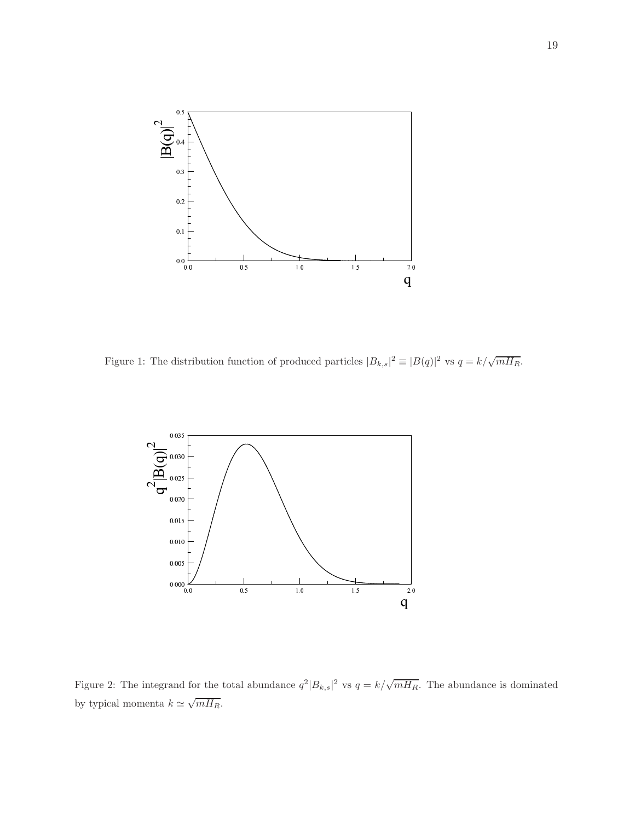

<span id="page-18-0"></span>Figure 1: The distribution function of produced particles  $|B_{k,s}|^2 \equiv |B(q)|^2$  vs  $q = k/\sqrt{mH_R}$ .



<span id="page-18-1"></span>Figure 2: The integrand for the total abundance  $q^2|B_{k,s}|^2$  vs  $q = k/\sqrt{mH_R}$ . The abundance is dominated by typical momenta  $k \simeq \sqrt{mH_R}$ .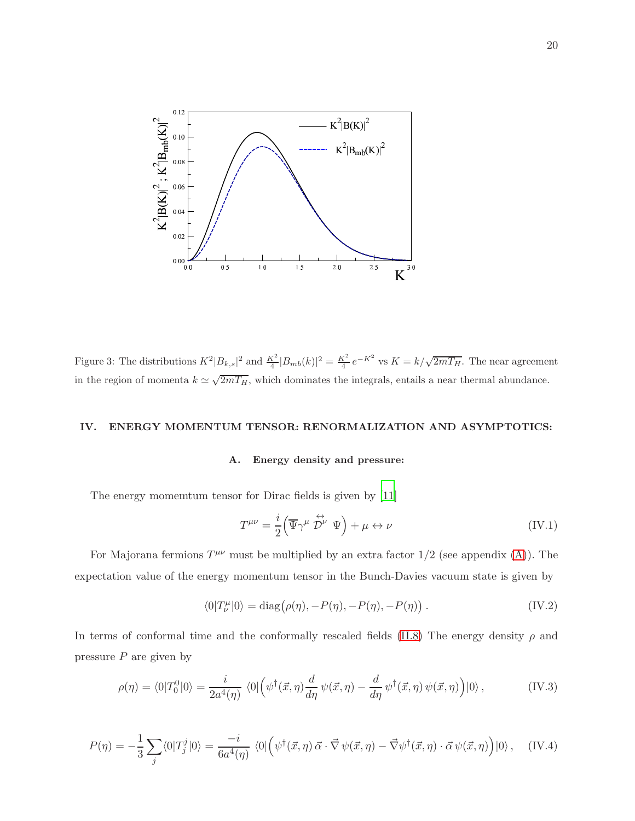

<span id="page-19-1"></span>Figure 3: The distributions  $K^2|B_{k,s}|^2$  and  $\frac{K^2}{4}|B_{mb}(k)|^2 = \frac{K^2}{4}e^{-K^2}$  vs  $K = k/\sqrt{2mT_H}$ . The near agreement in the region of momenta  $k \simeq \sqrt{2mT_H}$ , which dominates the integrals, entails a near thermal abundance.

# <span id="page-19-0"></span>IV. ENERGY MOMENTUM TENSOR: RENORMALIZATION AND ASYMPTOTICS:

### A. Energy density and pressure:

The energy momemtum tensor for Dirac fields is given by [\[11](#page-45-16)]

$$
T^{\mu\nu} = \frac{i}{2} \left( \overline{\Psi} \gamma^{\mu} \stackrel{\leftrightarrow}{\mathcal{D}}^{\nu} \Psi \right) + \mu \leftrightarrow \nu
$$
 (IV.1)

For Majorana fermions  $T^{\mu\nu}$  must be multiplied by an extra factor  $1/2$  (see appendix [\(A\)](#page-39-0)). The expectation value of the energy momentum tensor in the Bunch-Davies vacuum state is given by

$$
\langle 0|T^{\mu}_{\nu}|0\rangle = \text{diag}(\rho(\eta), -P(\eta), -P(\eta), -P(\eta)). \qquad (IV.2)
$$

In terms of conformal time and the conformally rescaled fields [\(II.8\)](#page-5-3) The energy density  $\rho$  and pressure  $P$  are given by

$$
\rho(\eta) = \langle 0|T_0^0|0\rangle = \frac{i}{2a^4(\eta)} \langle 0|\left(\psi^\dagger(\vec{x},\eta)\frac{d}{d\eta}\,\psi(\vec{x},\eta) - \frac{d}{d\eta}\,\psi^\dagger(\vec{x},\eta)\,\psi(\vec{x},\eta)\right)|0\rangle\,,\tag{IV.3}
$$

$$
P(\eta) = -\frac{1}{3} \sum_{j} \langle 0|T_{j}^{j}|0\rangle = \frac{-i}{6a^{4}(\eta)} \langle 0| \left( \psi^{\dagger}(\vec{x}, \eta) \vec{\alpha} \cdot \vec{\nabla} \psi(\vec{x}, \eta) - \vec{\nabla} \psi^{\dagger}(\vec{x}, \eta) \cdot \vec{\alpha} \psi(\vec{x}, \eta) \right) |0\rangle, \quad (\text{IV.4})
$$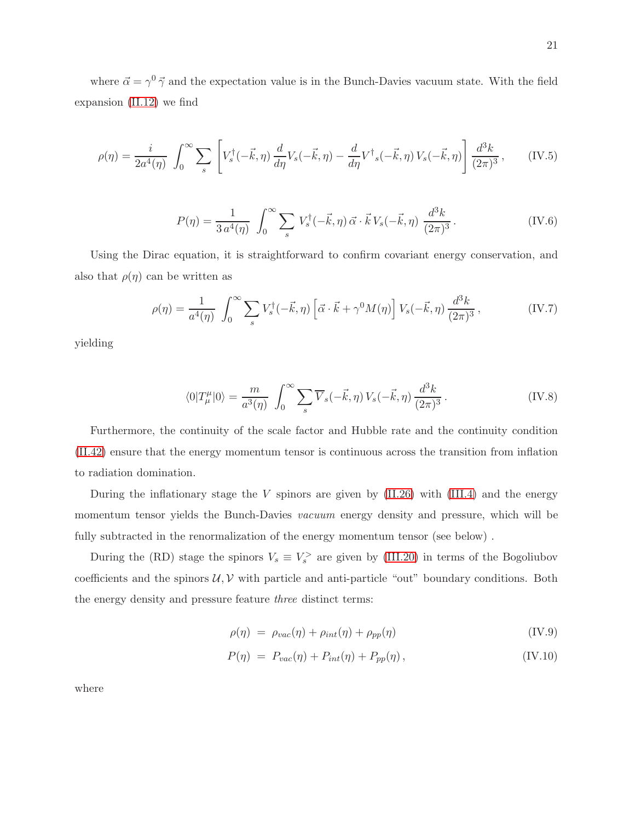where  $\vec{\alpha} = \gamma^0 \vec{\gamma}$  and the expectation value is in the Bunch-Davies vacuum state. With the field expansion [\(II.12\)](#page-5-1) we find

$$
\rho(\eta) = \frac{i}{2a^4(\eta)} \int_0^\infty \sum_s \left[ V_s^\dagger(-\vec{k}, \eta) \frac{d}{d\eta} V_s(-\vec{k}, \eta) - \frac{d}{d\eta} V^\dagger_s(-\vec{k}, \eta) V_s(-\vec{k}, \eta) \right] \frac{d^3k}{(2\pi)^3}, \tag{IV.5}
$$

$$
P(\eta) = \frac{1}{3 a^4(\eta)} \int_0^\infty \sum_s V_s^{\dagger}(-\vec{k}, \eta) \, \vec{\alpha} \cdot \vec{k} \, V_s(-\vec{k}, \eta) \, \frac{d^3 k}{(2\pi)^3} \,. \tag{IV.6}
$$

Using the Dirac equation, it is straightforward to confirm covariant energy conservation, and also that  $\rho(\eta)$  can be written as

$$
\rho(\eta) = \frac{1}{a^4(\eta)} \int_0^\infty \sum_s V_s^\dagger(-\vec{k}, \eta) \left[ \vec{\alpha} \cdot \vec{k} + \gamma^0 M(\eta) \right] V_s(-\vec{k}, \eta) \frac{d^3 k}{(2\pi)^3}, \tag{IV.7}
$$

yielding

$$
\langle 0|T^{\mu}_{\mu}|0\rangle = \frac{m}{a^3(\eta)} \int_0^{\infty} \sum_s \overline{V}_s(-\vec{k}, \eta) V_s(-\vec{k}, \eta) \frac{d^3k}{(2\pi)^3}.
$$
 (IV.8)

Furthermore, the continuity of the scale factor and Hubble rate and the continuity condition [\(II.42\)](#page-9-0) ensure that the energy momentum tensor is continuous across the transition from inflation to radiation domination.

During the inflationary stage the V spinors are given by  $(II.26)$  with  $(III.4)$  and the energy momentum tensor yields the Bunch-Davies *vacuum* energy density and pressure, which will be fully subtracted in the renormalization of the energy momentum tensor (see below) .

During the (RD) stage the spinors  $V_s \equiv V_s^>$  are given by [\(III.20\)](#page-14-1) in terms of the Bogoliubov coefficients and the spinors  $U, V$  with particle and anti-particle "out" boundary conditions. Both the energy density and pressure feature three distinct terms:

$$
\rho(\eta) = \rho_{vac}(\eta) + \rho_{int}(\eta) + \rho_{pp}(\eta) \tag{IV.9}
$$

$$
P(\eta) = P_{vac}(\eta) + P_{int}(\eta) + P_{pp}(\eta), \qquad (IV.10)
$$

where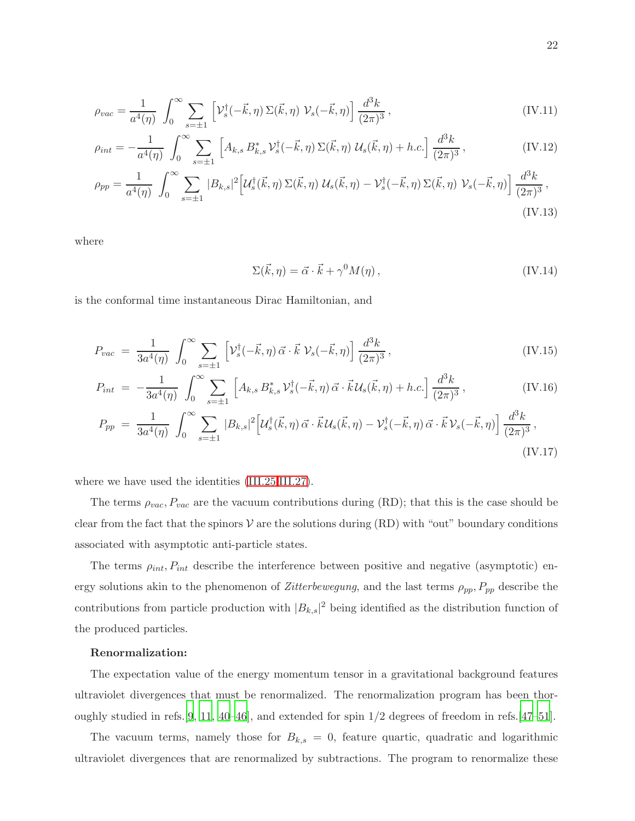<span id="page-21-0"></span>
$$
\rho_{vac} = \frac{1}{a^4(\eta)} \int_0^\infty \sum_{s=\pm 1} \left[ \mathcal{V}_s^\dagger(-\vec{k}, \eta) \Sigma(\vec{k}, \eta) \mathcal{V}_s(-\vec{k}, \eta) \right] \frac{d^3k}{(2\pi)^3},\tag{IV.11}
$$

$$
\rho_{int} = -\frac{1}{a^4(\eta)} \int_0^\infty \sum_{s=\pm 1} \left[ A_{k,s} B_{k,s}^* \mathcal{V}_s^\dagger(-\vec{k}, \eta) \Sigma(\vec{k}, \eta) \mathcal{U}_s(\vec{k}, \eta) + h.c. \right] \frac{d^3 k}{(2\pi)^3}, \tag{IV.12}
$$

$$
\rho_{pp} = \frac{1}{a^4(\eta)} \int_0^\infty \sum_{s=\pm 1} |B_{k,s}|^2 \left[ \mathcal{U}_s^\dagger(\vec{k},\eta) \Sigma(\vec{k},\eta) \mathcal{U}_s(\vec{k},\eta) - \mathcal{V}_s^\dagger(-\vec{k},\eta) \Sigma(\vec{k},\eta) \mathcal{V}_s(-\vec{k},\eta) \right] \frac{d^3k}{(2\pi)^3},\tag{IV.13}
$$

where

$$
\Sigma(\vec{k}, \eta) = \vec{\alpha} \cdot \vec{k} + \gamma^0 M(\eta) , \qquad (IV.14)
$$

is the conformal time instantaneous Dirac Hamiltonian, and

$$
P_{vac} = \frac{1}{3a^4(\eta)} \int_0^\infty \sum_{s=\pm 1} \left[ \mathcal{V}_s^\dagger(-\vec{k}, \eta) \, \vec{\alpha} \cdot \vec{k} \, \mathcal{V}_s(-\vec{k}, \eta) \right] \frac{d^3k}{(2\pi)^3},\tag{IV.15}
$$

$$
P_{int} = -\frac{1}{3a^4(\eta)} \int_0^\infty \sum_{s=\pm 1} \left[ A_{k,s} B_{k,s}^* \mathcal{V}_s^\dagger(-\vec{k}, \eta) \, \vec{\alpha} \cdot \vec{k} \mathcal{U}_s(\vec{k}, \eta) + h.c. \right] \frac{d^3k}{(2\pi)^3},\tag{IV.16}
$$

$$
P_{pp} = \frac{1}{3a^4(\eta)} \int_0^\infty \sum_{s=\pm 1} |B_{k,s}|^2 \Big[ \mathcal{U}_s^\dagger(\vec{k},\eta) \, \vec{\alpha} \cdot \vec{k} \, \mathcal{U}_s(\vec{k},\eta) - \mathcal{V}_s^\dagger(-\vec{k},\eta) \, \vec{\alpha} \cdot \vec{k} \, \mathcal{V}_s(-\vec{k},\eta) \Big] \, \frac{d^3k}{(2\pi)^3} \,, \tag{IV.17}
$$

where we have used the identities [\(III.25](#page-14-2), III.27).

The terms  $\rho_{vac}, P_{vac}$  are the vacuum contributions during (RD); that this is the case should be clear from the fact that the spinors  $V$  are the solutions during (RD) with "out" boundary conditions associated with asymptotic anti-particle states.

The terms  $\rho_{int}$ ,  $P_{int}$  describe the interference between positive and negative (asymptotic) energy solutions akin to the phenomenon of Zitterbewegung, and the last terms  $\rho_{pp}, P_{pp}$  describe the contributions from particle production with  $|B_{k,s}|^2$  being identified as the distribution function of the produced particles.

# Renormalization:

The expectation value of the energy momentum tensor in a gravitational background features ultraviolet divergences that must be renormalized. The renormalization program has been thor-oughly studied in refs. [\[9,](#page-45-15) [11](#page-45-16), [40](#page-46-7)[–46](#page-46-8)], and extended for spin  $1/2$  degrees of freedom in refs. [\[47](#page-46-9)[–51](#page-46-10)].

The vacuum terms, namely those for  $B_{k,s} = 0$ , feature quartic, quadratic and logarithmic ultraviolet divergences that are renormalized by subtractions. The program to renormalize these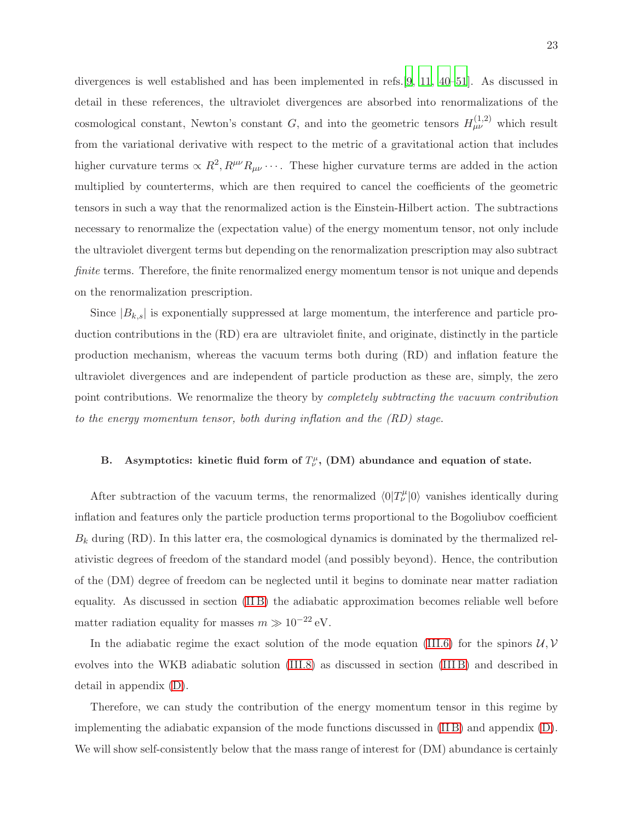divergences is well established and has been implemented in refs.[\[9,](#page-45-15) [11](#page-45-16), [40](#page-46-7)[–51\]](#page-46-10). As discussed in detail in these references, the ultraviolet divergences are absorbed into renormalizations of the cosmological constant, Newton's constant G, and into the geometric tensors  $H_{\mu\nu}^{(1,2)}$  which result from the variational derivative with respect to the metric of a gravitational action that includes higher curvature terms  $\propto R^2, R^{\mu\nu}R_{\mu\nu} \cdots$ . These higher curvature terms are added in the action multiplied by counterterms, which are then required to cancel the coefficients of the geometric tensors in such a way that the renormalized action is the Einstein-Hilbert action. The subtractions necessary to renormalize the (expectation value) of the energy momentum tensor, not only include the ultraviolet divergent terms but depending on the renormalization prescription may also subtract finite terms. Therefore, the finite renormalized energy momentum tensor is not unique and depends on the renormalization prescription.

Since  $|B_{k,s}|$  is exponentially suppressed at large momentum, the interference and particle production contributions in the (RD) era are ultraviolet finite, and originate, distinctly in the particle production mechanism, whereas the vacuum terms both during (RD) and inflation feature the ultraviolet divergences and are independent of particle production as these are, simply, the zero point contributions. We renormalize the theory by completely subtracting the vacuum contribution to the energy momentum tensor, both during inflation and the (RD) stage.

# B. Asymptotics: kinetic fluid form of  $T^{\mu}_{\nu}$ , (DM) abundance and equation of state.

After subtraction of the vacuum terms, the renormalized  $\langle 0|T^{\mu}_{\nu}|0\rangle$  vanishes identically during inflation and features only the particle production terms proportional to the Bogoliubov coefficient  $B_k$  during (RD). In this latter era, the cosmological dynamics is dominated by the thermalized relativistic degrees of freedom of the standard model (and possibly beyond). Hence, the contribution of the (DM) degree of freedom can be neglected until it begins to dominate near matter radiation equality. As discussed in section [\(II B\)](#page-9-3) the adiabatic approximation becomes reliable well before matter radiation equality for masses  $m \gg 10^{-22}$  eV.

In the adiabatic regime the exact solution of the mode equation [\(III.6\)](#page-13-0) for the spinors  $\mathcal{U}, \mathcal{V}$ evolves into the WKB adiabatic solution [\(III.8\)](#page-13-1) as discussed in section [\(III B\)](#page-13-6) and described in detail in appendix [\(D\)](#page-42-0).

Therefore, we can study the contribution of the energy momentum tensor in this regime by implementing the adiabatic expansion of the mode functions discussed in [\(II B\)](#page-9-3) and appendix [\(D\)](#page-42-0). We will show self-consistently below that the mass range of interest for  $(DM)$  abundance is certainly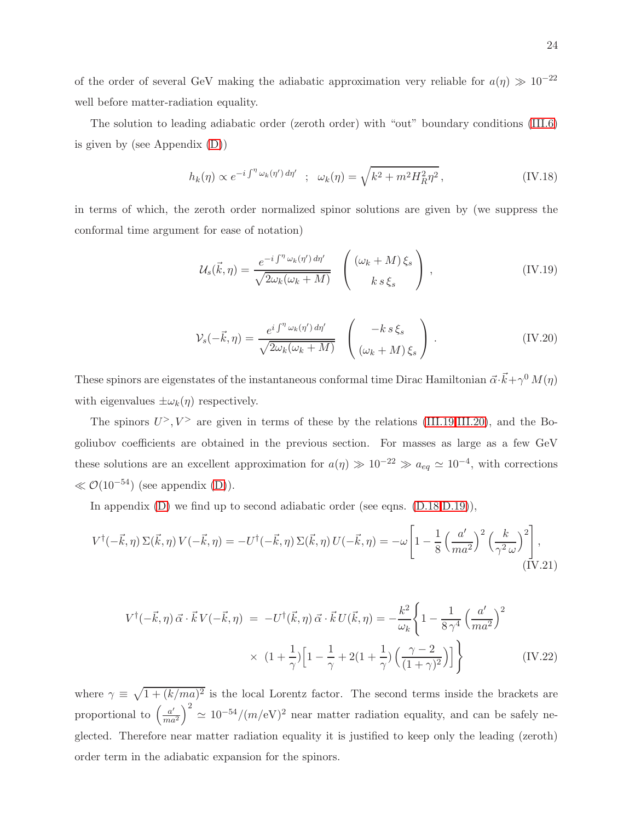of the order of several GeV making the adiabatic approximation very reliable for  $a(\eta) \gg 10^{-22}$ well before matter-radiation equality.

The solution to leading adiabatic order (zeroth order) with "out" boundary conditions [\(III.6\)](#page-13-0) is given by (see Appendix [\(D\)](#page-42-0))

<span id="page-23-2"></span>
$$
h_k(\eta) \propto e^{-i \int^{\eta} \omega_k(\eta') d\eta'} \quad ; \quad \omega_k(\eta) = \sqrt{k^2 + m^2 H_R^2 \eta^2} \,, \tag{IV.18}
$$

<span id="page-23-1"></span>in terms of which, the zeroth order normalized spinor solutions are given by (we suppress the conformal time argument for ease of notation)

<span id="page-23-0"></span>
$$
\mathcal{U}_{s}(\vec{k},\eta) = \frac{e^{-i\int^{\eta} \omega_{k}(\eta') d\eta'}}{\sqrt{2\omega_{k}(\omega_{k}+M)}} \quad \left(\begin{array}{c} (\omega_{k}+M)\,\xi_{s} \\ k\,s\,\xi_{s} \end{array}\right) , \tag{IV.19}
$$

$$
\mathcal{V}_s(-\vec{k}, \eta) = \frac{e^{i \int^{\eta} \omega_k(\eta') d\eta'}}{\sqrt{2\omega_k(\omega_k + M)}} \quad \left(\begin{array}{c} -k s \xi_s \\ (\omega_k + M) \xi_s \end{array}\right). \tag{IV.20}
$$

These spinors are eigenstates of the instantaneous conformal time Dirac Hamiltonian  $\vec{\alpha} \cdot \vec{k} + \gamma^0 M(\eta)$ with eigenvalues  $\pm \omega_k(\eta)$  respectively.

The spinors  $U^{\geq}, V^{\geq}$  are given in terms of these by the relations [\(III.19,III.20\)](#page-14-1), and the Bogoliubov coefficients are obtained in the previous section. For masses as large as a few GeV these solutions are an excellent approximation for  $a(\eta) \gg 10^{-22} \gg a_{eq} \simeq 10^{-4}$ , with corrections ≪ O(10−54) (see appendix [\(D\)](#page-42-0)).

In appendix [\(D\)](#page-42-0) we find up to second adiabatic order (see eqns.  $(D.18,D.19)$  $(D.18,D.19)$ ),

$$
V^{\dagger}(-\vec{k},\eta) \Sigma(\vec{k},\eta) V(-\vec{k},\eta) = -U^{\dagger}(-\vec{k},\eta) \Sigma(\vec{k},\eta) U(-\vec{k},\eta) = -\omega \left[ 1 - \frac{1}{8} \left( \frac{a'}{ma^2} \right)^2 \left( \frac{k}{\gamma^2 \omega} \right)^2 \right],
$$
\n(IV.21)

$$
V^{\dagger}(-\vec{k},\eta)\,\vec{\alpha}\cdot\vec{k}\,V(-\vec{k},\eta) = -U^{\dagger}(\vec{k},\eta)\,\vec{\alpha}\cdot\vec{k}\,U(\vec{k},\eta) = -\frac{k^2}{\omega_k}\left\{1 - \frac{1}{8\,\gamma^4}\left(\frac{a'}{ma^2}\right)^2\right.\times\left. (1 + \frac{1}{\gamma})\left[1 - \frac{1}{\gamma} + 2(1 + \frac{1}{\gamma})\left(\frac{\gamma - 2}{(1 + \gamma)^2}\right)\right]\right\}
$$
(IV.22)

where  $\gamma \equiv \sqrt{1 + (k/ma)^2}$  is the local Lorentz factor. The second terms inside the brackets are proportional to  $\left(\frac{a'}{ma^2}\right)$  $\int^2 \approx 10^{-54} / (m/eV)^2$  near matter radiation equality, and can be safely neglected. Therefore near matter radiation equality it is justified to keep only the leading (zeroth) order term in the adiabatic expansion for the spinors.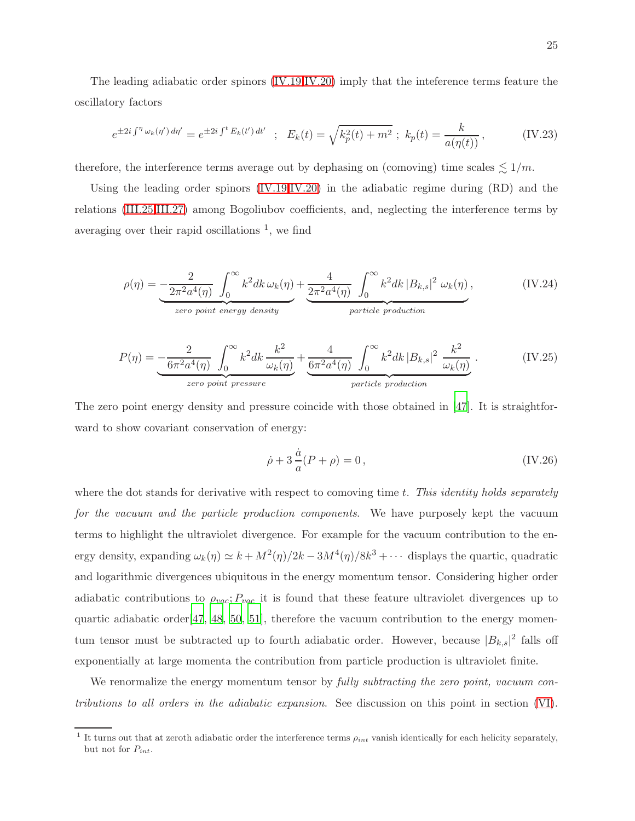The leading adiabatic order spinors [\(IV.19,](#page-23-0)[IV.20\)](#page-23-1) imply that the inteference terms feature the oscillatory factors

$$
e^{\pm 2i\int^{\eta} \omega_k(\eta') d\eta'} = e^{\pm 2i\int^t E_k(t') dt'} \quad ; \quad E_k(t) = \sqrt{k_p^2(t) + m^2} \; ; \; k_p(t) = \frac{k}{a(\eta(t))} \,, \tag{IV.23}
$$

therefore, the interference terms average out by dephasing on (comoving) time scales  $\lesssim 1/m$ .

<span id="page-24-1"></span>Using the leading order spinors [\(IV.19,](#page-23-0)[IV.20\)](#page-23-1) in the adiabatic regime during (RD) and the relations [\(III.25,](#page-14-2)[III.27\)](#page-15-0) among Bogoliubov coefficients, and, neglecting the interference terms by averaging over their rapid oscillations  $<sup>1</sup>$ , we find</sup>

$$
\rho(\eta) = -\frac{2}{2\pi^2 a^4(\eta)} \int_0^\infty k^2 dk \,\omega_k(\eta) + \underbrace{\frac{4}{2\pi^2 a^4(\eta)}}_{\text{particle production}} \int_0^\infty k^2 dk \, |B_{k,s}|^2 \,\omega_k(\eta), \tag{IV.24}
$$

<span id="page-24-2"></span>
$$
P(\eta) = -\frac{2}{6\pi^2 a^4(\eta)} \int_0^\infty k^2 dk \frac{k^2}{\omega_k(\eta)} + \frac{4}{6\pi^2 a^4(\eta)} \int_0^\infty k^2 dk |B_{k,s}|^2 \frac{k^2}{\omega_k(\eta)}.
$$
 (IV.25)

The zero point energy density and pressure coincide with those obtained in [\[47](#page-46-9)]. It is straightforward to show covariant conservation of energy:

<span id="page-24-0"></span>
$$
\dot{\rho} + 3\frac{\dot{a}}{a}(P + \rho) = 0, \qquad (IV.26)
$$

where the dot stands for derivative with respect to comoving time  $t$ . This identity holds separately for the vacuum and the particle production components. We have purposely kept the vacuum terms to highlight the ultraviolet divergence. For example for the vacuum contribution to the energy density, expanding  $\omega_k(\eta) \simeq k + M^2(\eta)/2k - 3M^4(\eta)/8k^3 + \cdots$  displays the quartic, quadratic and logarithmic divergences ubiquitous in the energy momentum tensor. Considering higher order adiabatic contributions to  $\rho_{vac}$ ;  $P_{vac}$  it is found that these feature ultraviolet divergences up to quartic adiabatic order  $[47, 48, 50, 51]$  $[47, 48, 50, 51]$  $[47, 48, 50, 51]$  $[47, 48, 50, 51]$  $[47, 48, 50, 51]$  $[47, 48, 50, 51]$ , therefore the vacuum contribution to the energy momentum tensor must be subtracted up to fourth adiabatic order. However, because  $|B_{k,s}|^2$  falls off exponentially at large momenta the contribution from particle production is ultraviolet finite.

We renormalize the energy momentum tensor by *fully subtracting the zero point, vacuum con*tributions to all orders in the adiabatic expansion. See discussion on this point in section [\(VI\)](#page-29-0).

<sup>&</sup>lt;sup>1</sup> It turns out that at zeroth adiabatic order the interference terms  $\rho_{int}$  vanish identically for each helicity separately, but not for  $P_{int}$ .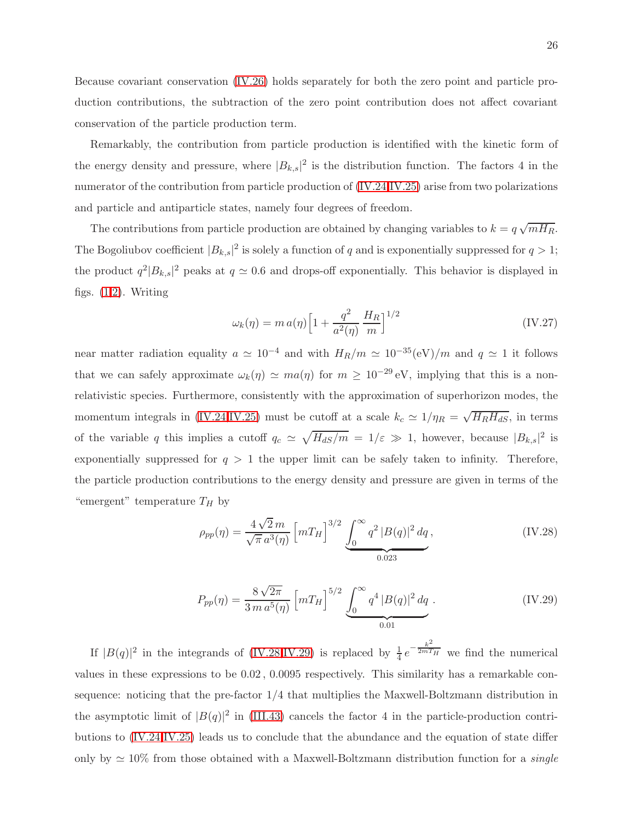Because covariant conservation [\(IV.26\)](#page-24-0) holds separately for both the zero point and particle production contributions, the subtraction of the zero point contribution does not affect covariant conservation of the particle production term.

Remarkably, the contribution from particle production is identified with the kinetic form of the energy density and pressure, where  $|B_{k,s}|^2$  is the distribution function. The factors 4 in the numerator of the contribution from particle production of [\(IV.24,](#page-24-1)[IV.25\)](#page-24-2) arise from two polarizations and particle and antiparticle states, namely four degrees of freedom.

The contributions from particle production are obtained by changing variables to  $k = q\sqrt{mH_R}$ . The Bogoliubov coefficient  $|B_{k,s}|^2$  is solely a function of q and is exponentially suppressed for  $q > 1$ ; the product  $q^2|B_{k,s}|^2$  peaks at  $q \simeq 0.6$  and drops-off exponentially. This behavior is displayed in figs.  $(1,2)$  $(1,2)$ . Writing

$$
\omega_k(\eta) = m a(\eta) \left[ 1 + \frac{q^2}{a^2(\eta)} \frac{H_R}{m} \right]^{1/2} \tag{IV.27}
$$

near matter radiation equality  $a \simeq 10^{-4}$  and with  $H_R/m \simeq 10^{-35}$ (eV)/m and  $q \simeq 1$  it follows that we can safely approximate  $\omega_k(\eta) \simeq ma(\eta)$  for  $m \geq 10^{-29}$  eV, implying that this is a nonrelativistic species. Furthermore, consistently with the approximation of superhorizon modes, the momentum integrals in [\(IV.24](#page-24-1)[,IV.25\)](#page-24-2) must be cutoff at a scale  $k_c \simeq 1/\eta_R = \sqrt{H_R H_{dS}}$ , in terms of the variable q this implies a cutoff  $q_c \simeq \sqrt{H_{dS}/m} = 1/\varepsilon \gg 1$ , however, because  $|B_{k,s}|^2$  is exponentially suppressed for  $q > 1$  the upper limit can be safely taken to infinity. Therefore, the particle production contributions to the energy density and pressure are given in terms of the "emergent" temperature  $T_H$  by

<span id="page-25-0"></span>
$$
\rho_{pp}(\eta) = \frac{4\sqrt{2}m}{\sqrt{\pi} a^3(\eta)} \left[ m T_H \right]^{3/2} \underbrace{\int_0^\infty q^2 |B(q)|^2 dq}_{0.023},
$$
\n(IV.28)

$$
P_{pp}(\eta) = \frac{8\sqrt{2\pi}}{3\,m\,a^5(\eta)} \left[ mT_H \right]^{5/2} \underbrace{\int_0^\infty q^4 |B(q)|^2 dq}_{0.01} \,. \tag{IV.29}
$$

<span id="page-25-1"></span>If  $|B(q)|^2$  in the integrands of [\(IV.28](#page-25-0)[,IV.29\)](#page-25-1) is replaced by  $\frac{1}{4}e^{-\frac{k^2}{2mT}}$  $\sqrt{2mT_H}$  we find the numerical values in these expressions to be 0.02 , 0.0095 respectively. This similarity has a remarkable consequence: noticing that the pre-factor  $1/4$  that multiplies the Maxwell-Boltzmann distribution in the asymptotic limit of  $|B(q)|^2$  in [\(III.43\)](#page-17-0) cancels the factor 4 in the particle-production contributions to [\(IV.24,](#page-24-1)[IV.25\)](#page-24-2) leads us to conclude that the abundance and the equation of state differ only by  $\simeq 10\%$  from those obtained with a Maxwell-Boltzmann distribution function for a *single*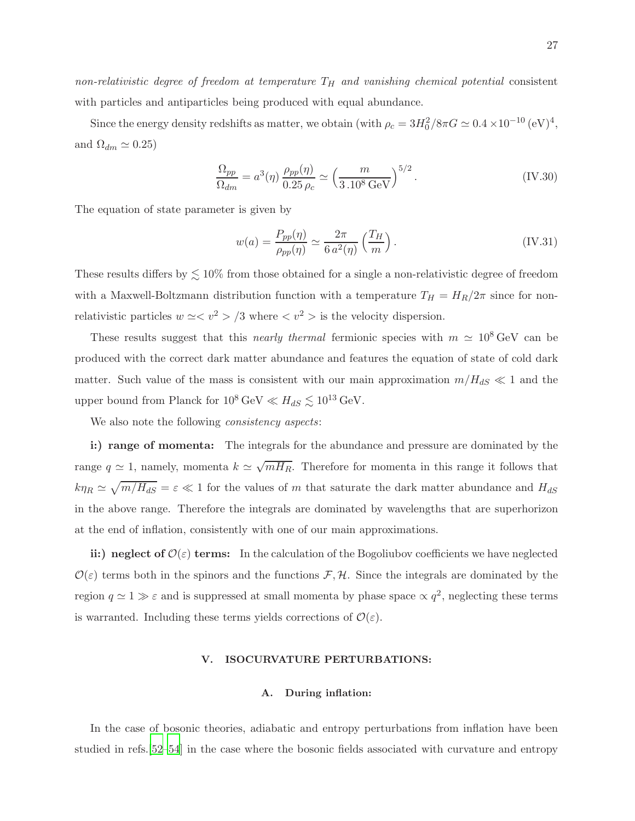non-relativistic degree of freedom at temperature  $T_H$  and vanishing chemical potential consistent with particles and antiparticles being produced with equal abundance.

Since the energy density redshifts as matter, we obtain (with  $\rho_c = 3H_0^2/8\pi G \simeq 0.4 \times 10^{-10} \, (\text{eV})^4$ , and  $\Omega_{dm} \simeq 0.25$ )

<span id="page-26-1"></span>
$$
\frac{\Omega_{pp}}{\Omega_{dm}} = a^3(\eta) \frac{\rho_{pp}(\eta)}{0.25 \,\rho_c} \simeq \left(\frac{m}{3.10^8 \,\text{GeV}}\right)^{5/2}.\tag{IV.30}
$$

The equation of state parameter is given by

$$
w(a) = \frac{P_{pp}(\eta)}{\rho_{pp}(\eta)} \simeq \frac{2\pi}{6 a^2(\eta)} \left(\frac{T_H}{m}\right). \tag{IV.31}
$$

These results differs by  $\lesssim 10\%$  from those obtained for a single a non-relativistic degree of freedom with a Maxwell-Boltzmann distribution function with a temperature  $T_H = H_R/2\pi$  since for nonrelativistic particles  $w \simeq \langle v^2 \rangle / 3$  where  $\langle v^2 \rangle$  is the velocity dispersion.

These results suggest that this *nearly thermal* fermionic species with  $m \simeq 10^8 \,\text{GeV}$  can be produced with the correct dark matter abundance and features the equation of state of cold dark matter. Such value of the mass is consistent with our main approximation  $m/H_{dS} \ll 1$  and the upper bound from Planck for  $10^8 \,\text{GeV} \ll H_{dS} \lesssim 10^{13} \,\text{GeV}$ .

We also note the following *consistency* aspects:

i:) range of momenta: The integrals for the abundance and pressure are dominated by the range  $q \simeq 1$ , namely, momenta  $k \simeq \sqrt{mH_R}$ . Therefore for momenta in this range it follows that  $k\eta_R \simeq \sqrt{m/H_{dS}} = \varepsilon \ll 1$  for the values of m that saturate the dark matter abundance and  $H_{dS}$ in the above range. Therefore the integrals are dominated by wavelengths that are superhorizon at the end of inflation, consistently with one of our main approximations.

ii:) neglect of  $\mathcal{O}(\varepsilon)$  terms: In the calculation of the Bogoliubov coefficients we have neglected  $\mathcal{O}(\varepsilon)$  terms both in the spinors and the functions  $\mathcal{F}, \mathcal{H}$ . Since the integrals are dominated by the region  $q \simeq 1 \gg \varepsilon$  and is suppressed at small momenta by phase space  $\propto q^2$ , neglecting these terms is warranted. Including these terms yields corrections of  $\mathcal{O}(\varepsilon)$ .

### <span id="page-26-0"></span>V. ISOCURVATURE PERTURBATIONS:

### A. During inflation:

In the case of bosonic theories, adiabatic and entropy perturbations from inflation have been studied in refs.[\[52](#page-46-13)[–54](#page-46-14)] in the case where the bosonic fields associated with curvature and entropy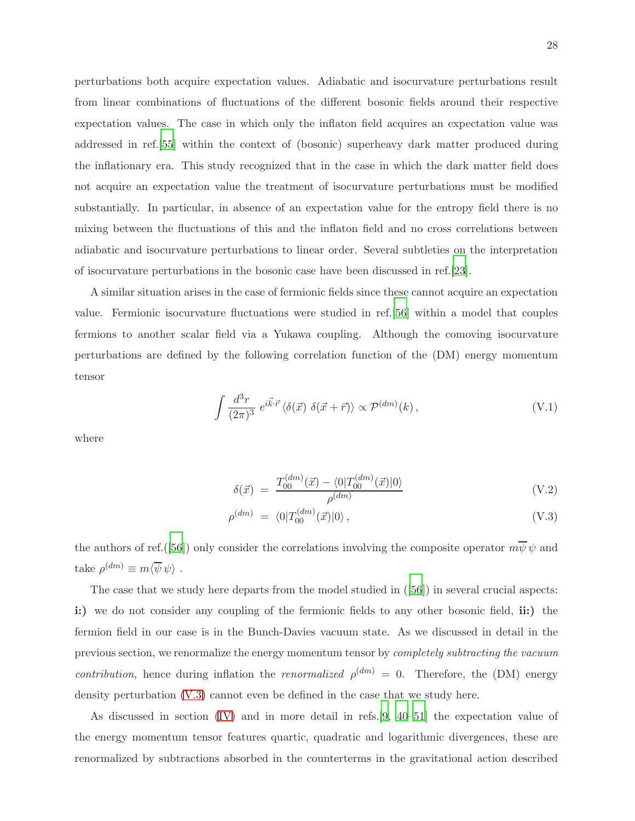perturbations both acquire expectation values. Adiabatic and isocurvature perturbations result from linear combinations of fluctuations of the different bosonic fields around their respective expectation values. The case in which only the inflaton field acquires an expectation value was addressed in ref.[\[55](#page-46-15)] within the context of (bosonic) superheavy dark matter produced during the inflationary era. This study recognized that in the case in which the dark matter field does not acquire an expectation value the treatment of isocurvature perturbations must be modified substantially. In particular, in absence of an expectation value for the entropy field there is no mixing between the fluctuations of this and the inflaton field and no cross correlations between adiabatic and isocurvature perturbations to linear order. Several subtleties on the interpretation of isocurvature perturbations in the bosonic case have been discussed in ref.[\[23\]](#page-45-10).

A similar situation arises in the case of fermionic fields since these cannot acquire an expectation value. Fermionic isocurvature fluctuations were studied in ref.[\[56](#page-46-16)] within a model that couples fermions to another scalar field via a Yukawa coupling. Although the comoving isocurvature perturbations are defined by the following correlation function of the (DM) energy momentum tensor

$$
\int \frac{d^3r}{(2\pi)^3} e^{i\vec{k}\cdot\vec{r}} \langle \delta(\vec{x}) \ \delta(\vec{x} + \vec{r}) \rangle \propto \mathcal{P}^{(dm)}(k) \,, \tag{V.1}
$$

where

<span id="page-27-0"></span>
$$
\delta(\vec{x}) = \frac{T_{00}^{(dm)}(\vec{x}) - \langle 0|T_{00}^{(dm)}(\vec{x})|0\rangle}{\rho^{(dm)}}
$$
(V.2)

$$
\rho^{(dm)} = \langle 0|T_{00}^{(dm)}(\vec{x})|0\rangle, \qquad (V.3)
$$

the authors of ref.([\[56](#page-46-16)]) only consider the correlations involving the composite operator  $m\overline{\psi}\psi$  and take  $\rho^{(dm)} \equiv m \langle \overline{\psi} \psi \rangle$ .

The case that we study here departs from the model studied in([\[56](#page-46-16)]) in several crucial aspects: i:) we do not consider any coupling of the fermionic fields to any other bosonic field, ii:) the fermion field in our case is in the Bunch-Davies vacuum state. As we discussed in detail in the previous section, we renormalize the energy momentum tensor by completely subtracting the vacuum contribution, hence during inflation the renormalized  $\rho^{(dm)} = 0$ . Therefore, the (DM) energy density perturbation [\(V.3\)](#page-27-0) cannot even be defined in the case that we study here.

As discussed in section [\(IV\)](#page-19-0) and in more detail in refs.[\[9](#page-45-15), [40](#page-46-7)[–51\]](#page-46-10) the expectation value of the energy momentum tensor features quartic, quadratic and logarithmic divergences, these are renormalized by subtractions absorbed in the counterterms in the gravitational action described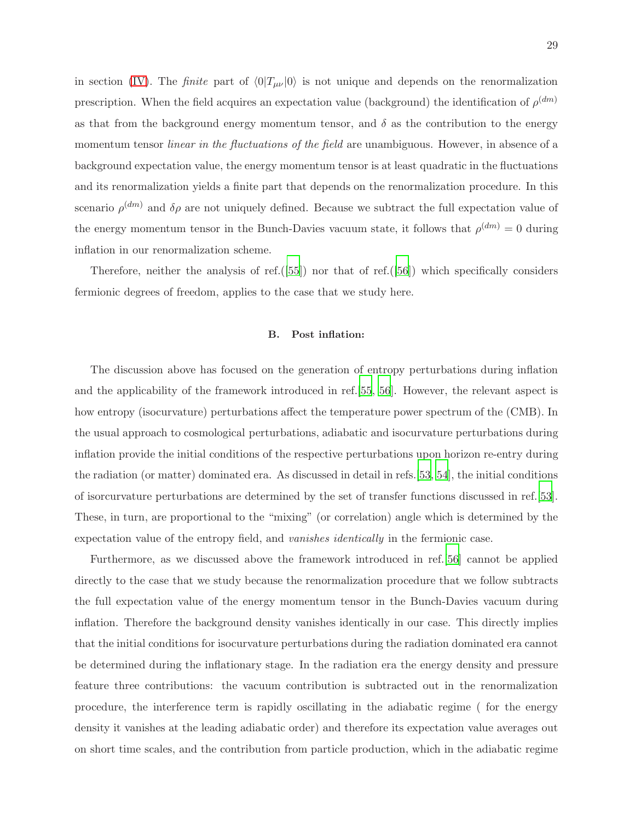in section [\(IV\)](#page-19-0). The *finite* part of  $\langle 0|T_{\mu\nu}|0\rangle$  is not unique and depends on the renormalization prescription. When the field acquires an expectation value (background) the identification of  $\rho^{(dm)}$ as that from the background energy momentum tensor, and  $\delta$  as the contribution to the energy momentum tensor *linear in the fluctuations of the field* are unambiguous. However, in absence of a background expectation value, the energy momentum tensor is at least quadratic in the fluctuations and its renormalization yields a finite part that depends on the renormalization procedure. In this scenario  $\rho^{(dm)}$  and  $\delta\rho$  are not uniquely defined. Because we subtract the full expectation value of the energy momentum tensor in the Bunch-Davies vacuum state, it follows that  $\rho^{(dm)} = 0$  during inflation in our renormalization scheme.

Therefore, neither the analysis of ref. $(55)$  nor that of ref. $(56)$  which specifically considers fermionic degrees of freedom, applies to the case that we study here.

### B. Post inflation:

The discussion above has focused on the generation of entropy perturbations during inflation and the applicability of the framework introduced in ref.[\[55,](#page-46-15) [56\]](#page-46-16). However, the relevant aspect is how entropy (isocurvature) perturbations affect the temperature power spectrum of the (CMB). In the usual approach to cosmological perturbations, adiabatic and isocurvature perturbations during inflation provide the initial conditions of the respective perturbations upon horizon re-entry during the radiation (or matter) dominated era. As discussed in detail in refs.[\[53](#page-46-17), [54](#page-46-14)], the initial conditions of isorcurvature perturbations are determined by the set of transfer functions discussed in ref.[\[53](#page-46-17)]. These, in turn, are proportional to the "mixing" (or correlation) angle which is determined by the expectation value of the entropy field, and vanishes identically in the fermionic case.

Furthermore, as we discussed above the framework introduced in ref.[\[56](#page-46-16)] cannot be applied directly to the case that we study because the renormalization procedure that we follow subtracts the full expectation value of the energy momentum tensor in the Bunch-Davies vacuum during inflation. Therefore the background density vanishes identically in our case. This directly implies that the initial conditions for isocurvature perturbations during the radiation dominated era cannot be determined during the inflationary stage. In the radiation era the energy density and pressure feature three contributions: the vacuum contribution is subtracted out in the renormalization procedure, the interference term is rapidly oscillating in the adiabatic regime ( for the energy density it vanishes at the leading adiabatic order) and therefore its expectation value averages out on short time scales, and the contribution from particle production, which in the adiabatic regime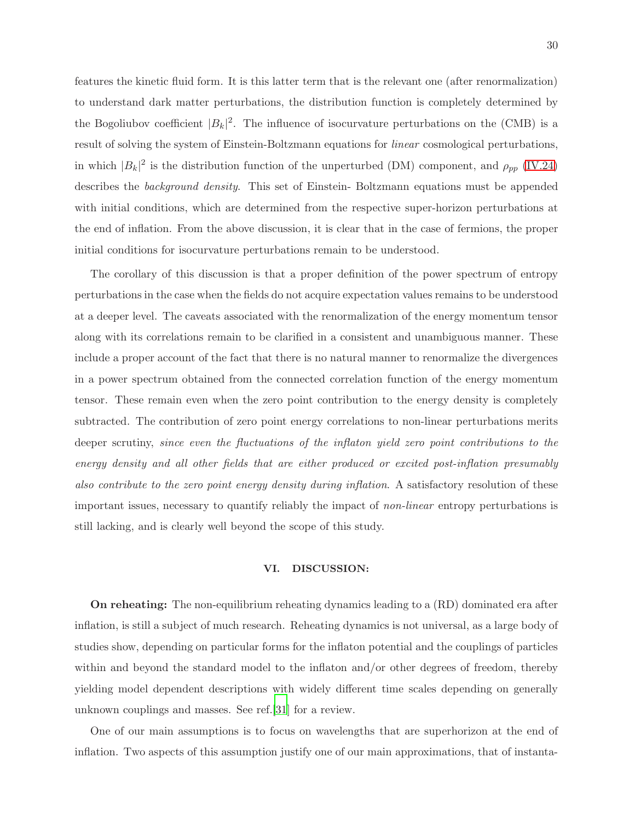features the kinetic fluid form. It is this latter term that is the relevant one (after renormalization) to understand dark matter perturbations, the distribution function is completely determined by the Bogoliubov coefficient  $|B_k|^2$ . The influence of isocurvature perturbations on the (CMB) is a result of solving the system of Einstein-Boltzmann equations for linear cosmological perturbations, in which  $|B_k|^2$  is the distribution function of the unperturbed (DM) component, and  $\rho_{pp}$  [\(IV.24\)](#page-24-1) describes the background density. This set of Einstein- Boltzmann equations must be appended with initial conditions, which are determined from the respective super-horizon perturbations at the end of inflation. From the above discussion, it is clear that in the case of fermions, the proper initial conditions for isocurvature perturbations remain to be understood.

The corollary of this discussion is that a proper definition of the power spectrum of entropy perturbations in the case when the fields do not acquire expectation values remains to be understood at a deeper level. The caveats associated with the renormalization of the energy momentum tensor along with its correlations remain to be clarified in a consistent and unambiguous manner. These include a proper account of the fact that there is no natural manner to renormalize the divergences in a power spectrum obtained from the connected correlation function of the energy momentum tensor. These remain even when the zero point contribution to the energy density is completely subtracted. The contribution of zero point energy correlations to non-linear perturbations merits deeper scrutiny, since even the fluctuations of the inflaton yield zero point contributions to the energy density and all other fields that are either produced or excited post-inflation presumably also contribute to the zero point energy density during inflation. A satisfactory resolution of these important issues, necessary to quantify reliably the impact of non-linear entropy perturbations is still lacking, and is clearly well beyond the scope of this study.

### <span id="page-29-0"></span>VI. DISCUSSION:

On reheating: The non-equilibrium reheating dynamics leading to a (RD) dominated era after inflation, is still a subject of much research. Reheating dynamics is not universal, as a large body of studies show, depending on particular forms for the inflaton potential and the couplings of particles within and beyond the standard model to the inflaton and/or other degrees of freedom, thereby yielding model dependent descriptions with widely different time scales depending on generally unknown couplings and masses. See ref.[\[31\]](#page-46-1) for a review.

One of our main assumptions is to focus on wavelengths that are superhorizon at the end of inflation. Two aspects of this assumption justify one of our main approximations, that of instanta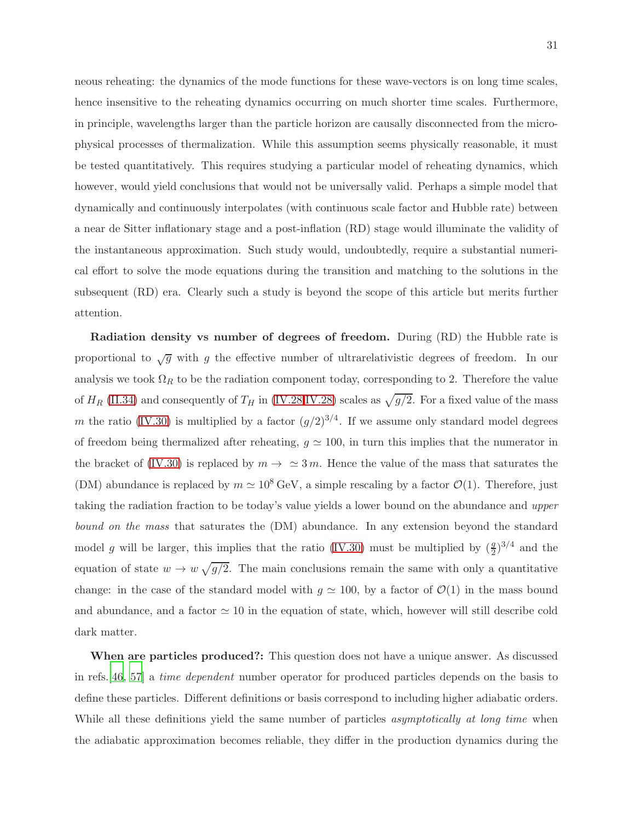neous reheating: the dynamics of the mode functions for these wave-vectors is on long time scales, hence insensitive to the reheating dynamics occurring on much shorter time scales. Furthermore, in principle, wavelengths larger than the particle horizon are causally disconnected from the microphysical processes of thermalization. While this assumption seems physically reasonable, it must be tested quantitatively. This requires studying a particular model of reheating dynamics, which however, would yield conclusions that would not be universally valid. Perhaps a simple model that dynamically and continuously interpolates (with continuous scale factor and Hubble rate) between a near de Sitter inflationary stage and a post-inflation (RD) stage would illuminate the validity of the instantaneous approximation. Such study would, undoubtedly, require a substantial numerical effort to solve the mode equations during the transition and matching to the solutions in the subsequent (RD) era. Clearly such a study is beyond the scope of this article but merits further attention.

Radiation density vs number of degrees of freedom. During (RD) the Hubble rate is proportional to  $\sqrt{g}$  with g the effective number of ultrarelativistic degrees of freedom. In our analysis we took  $\Omega_R$  to be the radiation component today, corresponding to 2. Therefore the value of  $H_R$  [\(II.34\)](#page-8-0) and consequently of  $T_H$  in [\(IV.28,IV.28\)](#page-25-0) scales as  $\sqrt{g/2}$ . For a fixed value of the mass m the ratio [\(IV.30\)](#page-26-1) is multiplied by a factor  $(g/2)^{3/4}$ . If we assume only standard model degrees of freedom being thermalized after reheating,  $g \approx 100$ , in turn this implies that the numerator in the bracket of [\(IV.30\)](#page-26-1) is replaced by  $m \to \simeq 3 m$ . Hence the value of the mass that saturates the (DM) abundance is replaced by  $m \simeq 10^8$  GeV, a simple rescaling by a factor  $\mathcal{O}(1)$ . Therefore, just taking the radiation fraction to be today's value yields a lower bound on the abundance and upper bound on the mass that saturates the (DM) abundance. In any extension beyond the standard model g will be larger, this implies that the ratio [\(IV.30\)](#page-26-1) must be multiplied by  $(\frac{g}{2})^{3/4}$  and the equation of state  $w \to w \sqrt{g/2}$ . The main conclusions remain the same with only a quantitative change: in the case of the standard model with  $g \approx 100$ , by a factor of  $\mathcal{O}(1)$  in the mass bound and abundance, and a factor  $\simeq 10$  in the equation of state, which, however will still describe cold dark matter.

When are particles produced?: This question does not have a unique answer. As discussed in refs.[\[46,](#page-46-8) [57\]](#page-46-18) a time dependent number operator for produced particles depends on the basis to define these particles. Different definitions or basis correspond to including higher adiabatic orders. While all these definitions yield the same number of particles *asymptotically at long time* when the adiabatic approximation becomes reliable, they differ in the production dynamics during the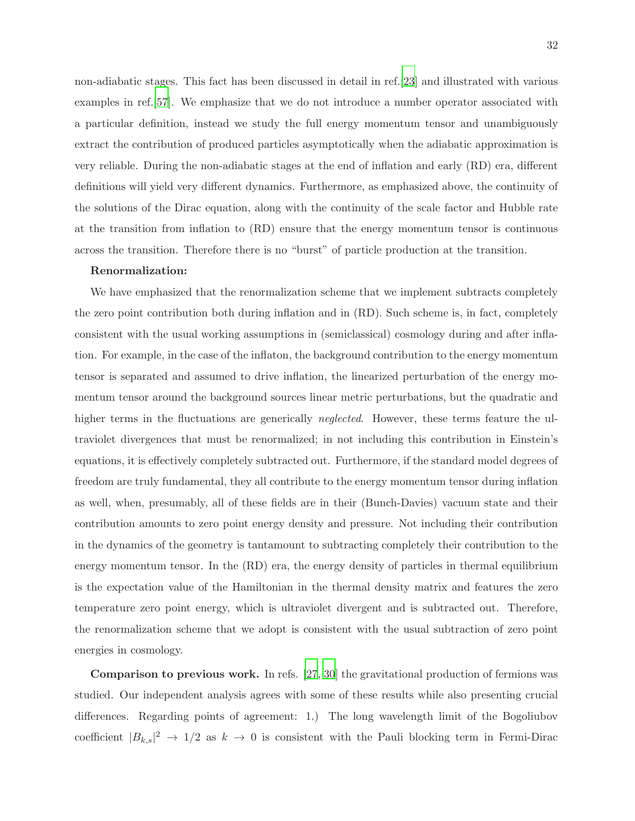non-adiabatic stages. This fact has been discussed in detail in ref.[\[23](#page-45-10)] and illustrated with various examples in ref.[\[57](#page-46-18)]. We emphasize that we do not introduce a number operator associated with a particular definition, instead we study the full energy momentum tensor and unambiguously extract the contribution of produced particles asymptotically when the adiabatic approximation is very reliable. During the non-adiabatic stages at the end of inflation and early (RD) era, different definitions will yield very different dynamics. Furthermore, as emphasized above, the continuity of the solutions of the Dirac equation, along with the continuity of the scale factor and Hubble rate at the transition from inflation to (RD) ensure that the energy momentum tensor is continuous across the transition. Therefore there is no "burst" of particle production at the transition.

### Renormalization:

We have emphasized that the renormalization scheme that we implement subtracts completely the zero point contribution both during inflation and in (RD). Such scheme is, in fact, completely consistent with the usual working assumptions in (semiclassical) cosmology during and after inflation. For example, in the case of the inflaton, the background contribution to the energy momentum tensor is separated and assumed to drive inflation, the linearized perturbation of the energy momentum tensor around the background sources linear metric perturbations, but the quadratic and higher terms in the fluctuations are generically *neglected*. However, these terms feature the ultraviolet divergences that must be renormalized; in not including this contribution in Einstein's equations, it is effectively completely subtracted out. Furthermore, if the standard model degrees of freedom are truly fundamental, they all contribute to the energy momentum tensor during inflation as well, when, presumably, all of these fields are in their (Bunch-Davies) vacuum state and their contribution amounts to zero point energy density and pressure. Not including their contribution in the dynamics of the geometry is tantamount to subtracting completely their contribution to the energy momentum tensor. In the (RD) era, the energy density of particles in thermal equilibrium is the expectation value of the Hamiltonian in the thermal density matrix and features the zero temperature zero point energy, which is ultraviolet divergent and is subtracted out. Therefore, the renormalization scheme that we adopt is consistent with the usual subtraction of zero point energies in cosmology.

Comparison to previous work. In refs. [\[27](#page-45-14), [30](#page-46-0)] the gravitational production of fermions was studied. Our independent analysis agrees with some of these results while also presenting crucial differences. Regarding points of agreement: 1.) The long wavelength limit of the Bogoliubov coefficient  $|B_{k,s}|^2 \to 1/2$  as  $k \to 0$  is consistent with the Pauli blocking term in Fermi-Dirac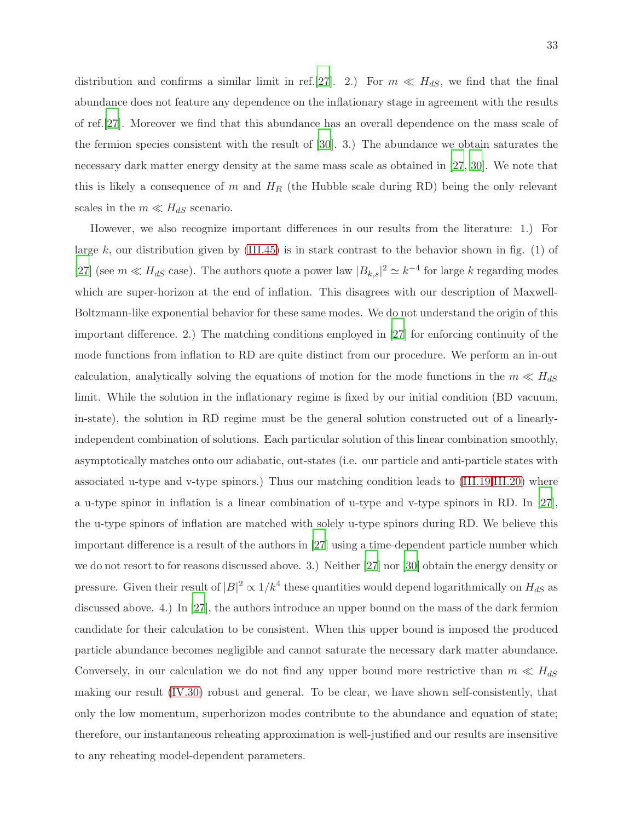distribution and confirms a similar limit in ref.[\[27\]](#page-45-14). 2.) For  $m \ll H_{dS}$ , we find that the final abundance does not feature any dependence on the inflationary stage in agreement with the results of ref.[\[27](#page-45-14)]. Moreover we find that this abundance has an overall dependence on the mass scale of the fermion species consistent with the result of [\[30](#page-46-0)]. 3.) The abundance we obtain saturates the necessary dark matter energy density at the same mass scale as obtained in [\[27](#page-45-14), [30\]](#page-46-0). We note that this is likely a consequence of m and  $H_R$  (the Hubble scale during RD) being the only relevant scales in the  $m \ll H_{dS}$  scenario.

However, we also recognize important differences in our results from the literature: 1.) For large  $k$ , our distribution given by  $(III.45)$  is in stark contrast to the behavior shown in fig. (1) of [\[27\]](#page-45-14) (see  $m \ll H_{dS}$  case). The authors quote a power law  $|B_{k,s}|^2 \simeq k^{-4}$  for large k regarding modes which are super-horizon at the end of inflation. This disagrees with our description of Maxwell-Boltzmann-like exponential behavior for these same modes. We do not understand the origin of this important difference. 2.) The matching conditions employed in [\[27\]](#page-45-14) for enforcing continuity of the mode functions from inflation to RD are quite distinct from our procedure. We perform an in-out calculation, analytically solving the equations of motion for the mode functions in the  $m \ll H_{dS}$ limit. While the solution in the inflationary regime is fixed by our initial condition (BD vacuum, in-state), the solution in RD regime must be the general solution constructed out of a linearlyindependent combination of solutions. Each particular solution of this linear combination smoothly, asymptotically matches onto our adiabatic, out-states (i.e. our particle and anti-particle states with associated u-type and v-type spinors.) Thus our matching condition leads to [\(III.19,III.20\)](#page-14-1) where a u-type spinor in inflation is a linear combination of u-type and v-type spinors in RD. In [\[27](#page-45-14)], the u-type spinors of inflation are matched with solely u-type spinors during RD. We believe this important difference is a result of the authors in [\[27\]](#page-45-14) using a time-dependent particle number which we do not resort to for reasons discussed above. 3.) Neither [\[27](#page-45-14)] nor [\[30](#page-46-0)] obtain the energy density or pressure. Given their result of  $|B|^2 \propto 1/k^4$  these quantities would depend logarithmically on  $H_{dS}$  as discussed above. 4.) In [\[27\]](#page-45-14), the authors introduce an upper bound on the mass of the dark fermion candidate for their calculation to be consistent. When this upper bound is imposed the produced particle abundance becomes negligible and cannot saturate the necessary dark matter abundance. Conversely, in our calculation we do not find any upper bound more restrictive than  $m \ll H_{dS}$ making our result [\(IV.30\)](#page-26-1) robust and general. To be clear, we have shown self-consistently, that only the low momentum, superhorizon modes contribute to the abundance and equation of state; therefore, our instantaneous reheating approximation is well-justified and our results are insensitive to any reheating model-dependent parameters.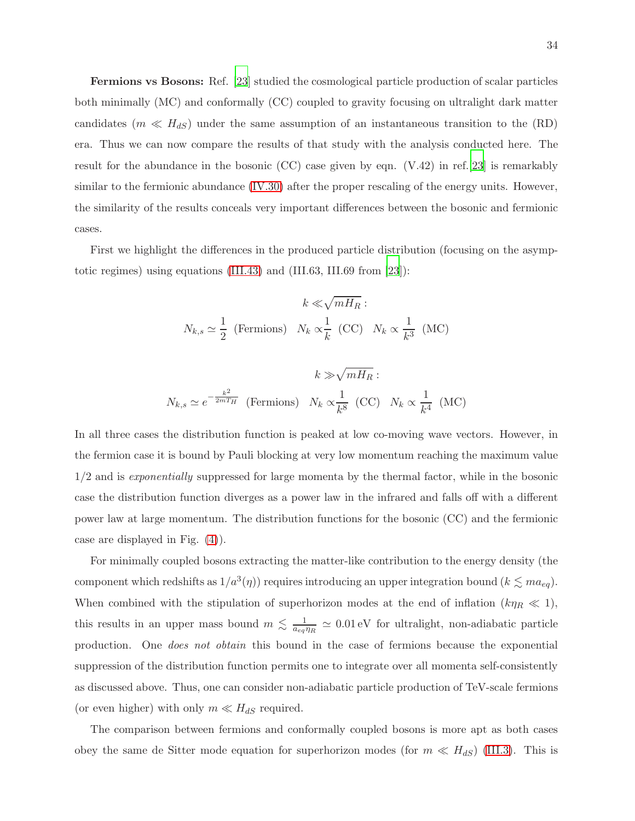Fermions vs Bosons: Ref. [\[23](#page-45-10)] studied the cosmological particle production of scalar particles both minimally (MC) and conformally (CC) coupled to gravity focusing on ultralight dark matter candidates ( $m \ll H_{dS}$ ) under the same assumption of an instantaneous transition to the (RD) era. Thus we can now compare the results of that study with the analysis conducted here. The result for the abundance in the bosonic  $(CC)$  case given by eqn.  $(V.42)$  in ref.[\[23](#page-45-10)] is remarkably similar to the fermionic abundance [\(IV.30\)](#page-26-1) after the proper rescaling of the energy units. However, the similarity of the results conceals very important differences between the bosonic and fermionic cases.

First we highlight the differences in the produced particle distribution (focusing on the asymptotic regimes) using equations [\(III.43\)](#page-17-0) and (III.63, III.69 from [\[23](#page-45-10)]):

$$
k \ll \sqrt{mH_R}:
$$
  

$$
N_{k,s} \simeq \frac{1}{2} \text{ (Fermions)} \quad N_k \propto \frac{1}{k} \text{ (CC)} \quad N_k \propto \frac{1}{k^3} \text{ (MC)}
$$
  

$$
k \gg \sqrt{mH_R}:
$$
  

$$
N_{k,s} \simeq e^{-\frac{k^2}{2mT_H}} \text{ (Fermions)} \quad N_k \propto \frac{1}{k^8} \text{ (CC)} \quad N_k \propto \frac{1}{k^4} \text{ (MC)}
$$

In all three cases the distribution function is peaked at low co-moving wave vectors. However, in the fermion case it is bound by Pauli blocking at very low momentum reaching the maximum value 1/2 and is exponentially suppressed for large momenta by the thermal factor, while in the bosonic case the distribution function diverges as a power law in the infrared and falls off with a different power law at large momentum. The distribution functions for the bosonic (CC) and the fermionic case are displayed in Fig. [\(4\)](#page-34-0)).

For minimally coupled bosons extracting the matter-like contribution to the energy density (the component which redshifts as  $1/a^3(\eta)$  requires introducing an upper integration bound  $(k \leq ma_{eq})$ . When combined with the stipulation of superhorizon modes at the end of inflation  $(k\eta_R \ll 1)$ , this results in an upper mass bound  $m \leq \frac{1}{2}$  $\frac{1}{a_{eq} \eta_R} \simeq 0.01 \,\text{eV}$  for ultralight, non-adiabatic particle production. One does not obtain this bound in the case of fermions because the exponential suppression of the distribution function permits one to integrate over all momenta self-consistently as discussed above. Thus, one can consider non-adiabatic particle production of TeV-scale fermions (or even higher) with only  $m \ll H_{dS}$  required.

The comparison between fermions and conformally coupled bosons is more apt as both cases obey the same de Sitter mode equation for superhorizon modes (for  $m \ll H_{dS}$ ) [\(III.3\)](#page-12-4). This is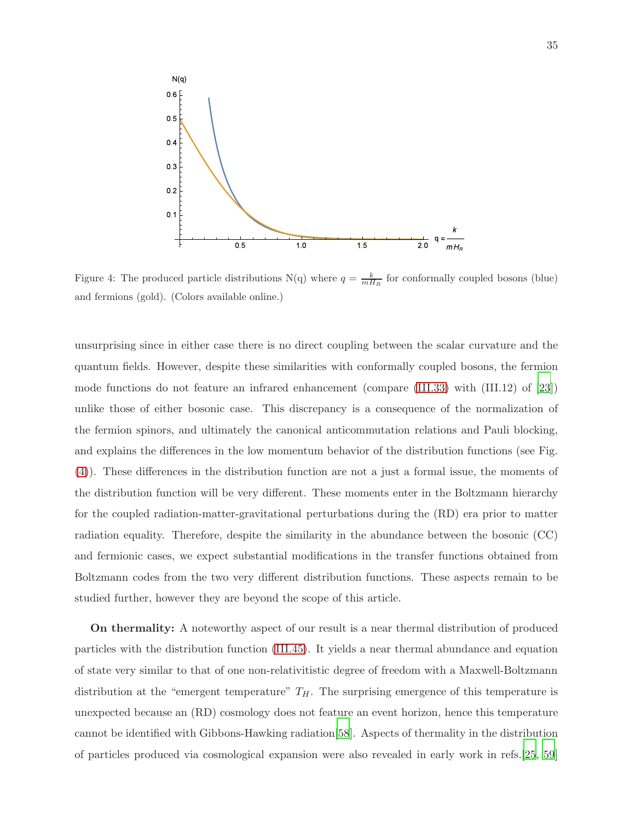

<span id="page-34-0"></span>Figure 4: The produced particle distributions  $N(q)$  where  $q = \frac{k}{mH_R}$  for conformally coupled bosons (blue) and fermions (gold). (Colors available online.)

unsurprising since in either case there is no direct coupling between the scalar curvature and the quantum fields. However, despite these similarities with conformally coupled bosons, the fermion mode functions do not feature an infrared enhancement (compare [\(III.33\)](#page-16-2) with (III.12) of [\[23\]](#page-45-10)) unlike those of either bosonic case. This discrepancy is a consequence of the normalization of the fermion spinors, and ultimately the canonical anticommutation relations and Pauli blocking, and explains the differences in the low momentum behavior of the distribution functions (see Fig. [\(4\)](#page-34-0)). These differences in the distribution function are not a just a formal issue, the moments of the distribution function will be very different. These moments enter in the Boltzmann hierarchy for the coupled radiation-matter-gravitational perturbations during the (RD) era prior to matter radiation equality. Therefore, despite the similarity in the abundance between the bosonic (CC) and fermionic cases, we expect substantial modifications in the transfer functions obtained from Boltzmann codes from the two very different distribution functions. These aspects remain to be studied further, however they are beyond the scope of this article.

On thermality: A noteworthy aspect of our result is a near thermal distribution of produced particles with the distribution function [\(III.45\)](#page-17-1). It yields a near thermal abundance and equation of state very similar to that of one non-relativitistic degree of freedom with a Maxwell-Boltzmann distribution at the "emergent temperature"  $T_H$ . The surprising emergence of this temperature is unexpected because an (RD) cosmology does not feature an event horizon, hence this temperature cannot be identified with Gibbons-Hawking radiation[\[58](#page-46-19)]. Aspects of thermality in the distribution of particles produced via cosmological expansion were also revealed in early work in refs.[\[25](#page-45-12), [59](#page-46-20)]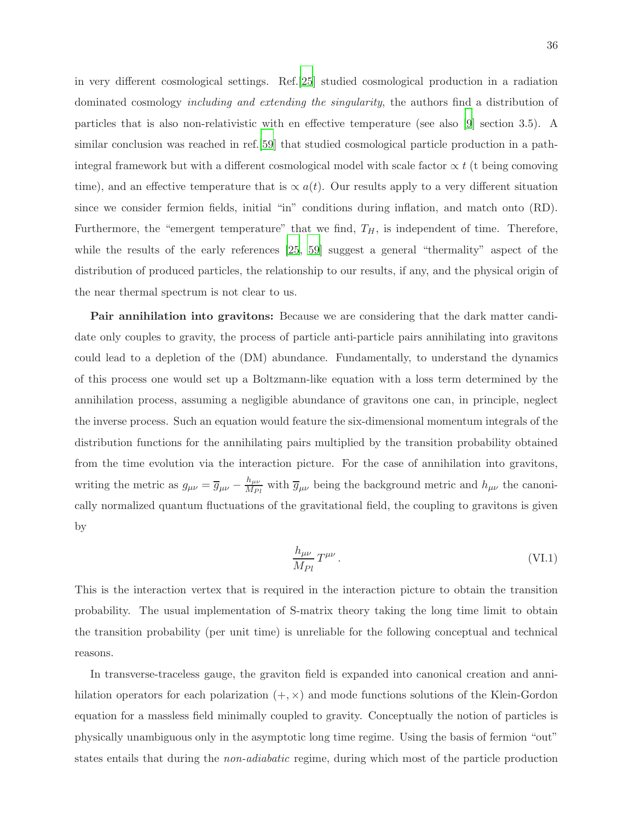in very different cosmological settings. Ref.[\[25\]](#page-45-12) studied cosmological production in a radiation dominated cosmology including and extending the singularity, the authors find a distribution of particles that is also non-relativistic with en effective temperature (see also [\[9](#page-45-15)] section 3.5). A similar conclusion was reached in ref.[\[59\]](#page-46-20) that studied cosmological particle production in a pathintegral framework but with a different cosmological model with scale factor  $\propto t$  (t being comoving time), and an effective temperature that is  $\propto a(t)$ . Our results apply to a very different situation since we consider fermion fields, initial "in" conditions during inflation, and match onto (RD). Furthermore, the "emergent temperature" that we find,  $T_H$ , is independent of time. Therefore, while the results of the early references [\[25,](#page-45-12) [59](#page-46-20)] suggest a general "thermality" aspect of the distribution of produced particles, the relationship to our results, if any, and the physical origin of the near thermal spectrum is not clear to us.

Pair annihilation into gravitons: Because we are considering that the dark matter candidate only couples to gravity, the process of particle anti-particle pairs annihilating into gravitons could lead to a depletion of the (DM) abundance. Fundamentally, to understand the dynamics of this process one would set up a Boltzmann-like equation with a loss term determined by the annihilation process, assuming a negligible abundance of gravitons one can, in principle, neglect the inverse process. Such an equation would feature the six-dimensional momentum integrals of the distribution functions for the annihilating pairs multiplied by the transition probability obtained from the time evolution via the interaction picture. For the case of annihilation into gravitons, writing the metric as  $g_{\mu\nu} = \overline{g}_{\mu\nu} - \frac{h_{\mu\nu}}{M_P}$  $\frac{n_{\mu\nu}}{M_{Pl}}$  with  $\overline{g}_{\mu\nu}$  being the background metric and  $h_{\mu\nu}$  the canonically normalized quantum fluctuations of the gravitational field, the coupling to gravitons is given by

$$
\frac{h_{\mu\nu}}{M_{Pl}} T^{\mu\nu} \,. \tag{VI.1}
$$

<span id="page-35-0"></span>This is the interaction vertex that is required in the interaction picture to obtain the transition probability. The usual implementation of S-matrix theory taking the long time limit to obtain the transition probability (per unit time) is unreliable for the following conceptual and technical reasons.

In transverse-traceless gauge, the graviton field is expanded into canonical creation and annihilation operators for each polarization  $(+, \times)$  and mode functions solutions of the Klein-Gordon equation for a massless field minimally coupled to gravity. Conceptually the notion of particles is physically unambiguous only in the asymptotic long time regime. Using the basis of fermion "out" states entails that during the non-adiabatic regime, during which most of the particle production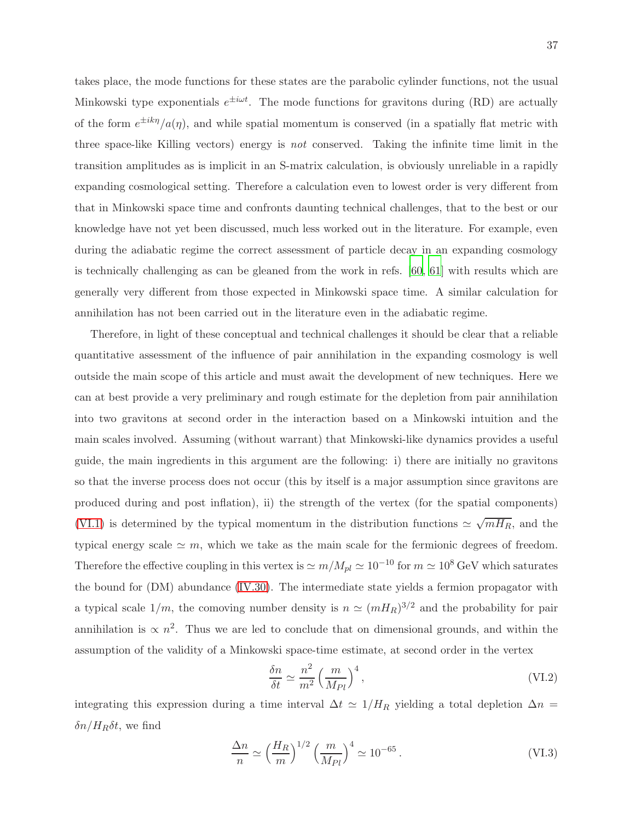takes place, the mode functions for these states are the parabolic cylinder functions, not the usual Minkowski type exponentials  $e^{\pm i\omega t}$ . The mode functions for gravitons during (RD) are actually of the form  $e^{\pm ik\eta}/a(\eta)$ , and while spatial momentum is conserved (in a spatially flat metric with three space-like Killing vectors) energy is not conserved. Taking the infinite time limit in the transition amplitudes as is implicit in an S-matrix calculation, is obviously unreliable in a rapidly expanding cosmological setting. Therefore a calculation even to lowest order is very different from that in Minkowski space time and confronts daunting technical challenges, that to the best or our knowledge have not yet been discussed, much less worked out in the literature. For example, even during the adiabatic regime the correct assessment of particle decay in an expanding cosmology is technically challenging as can be gleaned from the work in refs. [\[60](#page-47-0), [61](#page-47-1)] with results which are generally very different from those expected in Minkowski space time. A similar calculation for annihilation has not been carried out in the literature even in the adiabatic regime.

Therefore, in light of these conceptual and technical challenges it should be clear that a reliable quantitative assessment of the influence of pair annihilation in the expanding cosmology is well outside the main scope of this article and must await the development of new techniques. Here we can at best provide a very preliminary and rough estimate for the depletion from pair annihilation into two gravitons at second order in the interaction based on a Minkowski intuition and the main scales involved. Assuming (without warrant) that Minkowski-like dynamics provides a useful guide, the main ingredients in this argument are the following: i) there are initially no gravitons so that the inverse process does not occur (this by itself is a major assumption since gravitons are produced during and post inflation), ii) the strength of the vertex (for the spatial components) [\(VI.1\)](#page-35-0) is determined by the typical momentum in the distribution functions  $\simeq \sqrt{mH_R}$ , and the typical energy scale  $\approx m$ , which we take as the main scale for the fermionic degrees of freedom. Therefore the effective coupling in this vertex is  $\simeq m/M_{pl} \simeq 10^{-10}$  for  $m \simeq 10^8 \,\text{GeV}$  which saturates the bound for (DM) abundance [\(IV.30\)](#page-26-1). The intermediate state yields a fermion propagator with a typical scale  $1/m$ , the comoving number density is  $n \simeq (mH_R)^{3/2}$  and the probability for pair annihilation is  $\propto n^2$ . Thus we are led to conclude that on dimensional grounds, and within the assumption of the validity of a Minkowski space-time estimate, at second order in the vertex

$$
\frac{\delta n}{\delta t} \simeq \frac{n^2}{m^2} \left(\frac{m}{M_{Pl}}\right)^4,\tag{VI.2}
$$

integrating this expression during a time interval  $\Delta t \simeq 1/H_R$  yielding a total depletion  $\Delta n =$  $\delta n/H_R\delta t$ , we find

$$
\frac{\Delta n}{n} \simeq \left(\frac{H_R}{m}\right)^{1/2} \left(\frac{m}{M_{Pl}}\right)^4 \simeq 10^{-65} \,. \tag{VI.3}
$$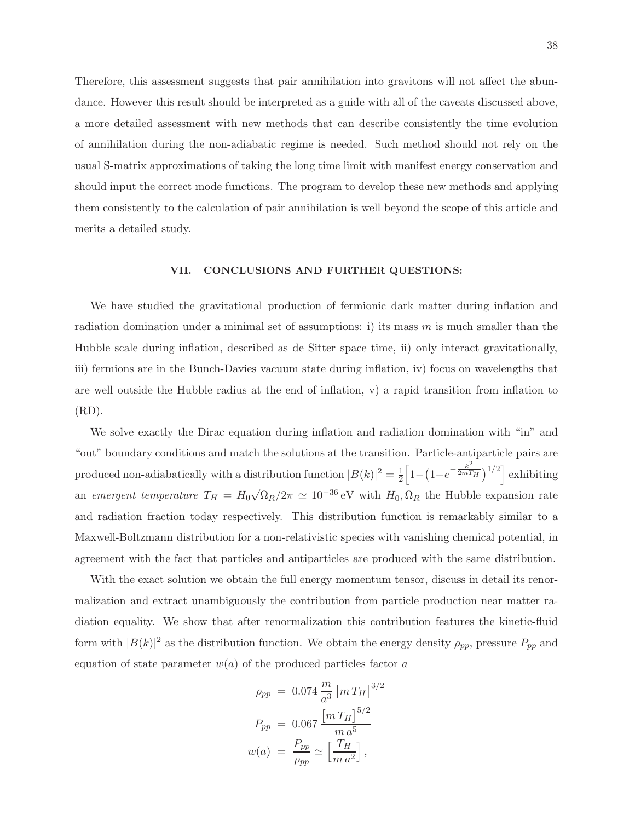Therefore, this assessment suggests that pair annihilation into gravitons will not affect the abundance. However this result should be interpreted as a guide with all of the caveats discussed above, a more detailed assessment with new methods that can describe consistently the time evolution of annihilation during the non-adiabatic regime is needed. Such method should not rely on the usual S-matrix approximations of taking the long time limit with manifest energy conservation and should input the correct mode functions. The program to develop these new methods and applying them consistently to the calculation of pair annihilation is well beyond the scope of this article and merits a detailed study.

### <span id="page-37-0"></span>VII. CONCLUSIONS AND FURTHER QUESTIONS:

We have studied the gravitational production of fermionic dark matter during inflation and radiation domination under a minimal set of assumptions: i) its mass  $m$  is much smaller than the Hubble scale during inflation, described as de Sitter space time, ii) only interact gravitationally, iii) fermions are in the Bunch-Davies vacuum state during inflation, iv) focus on wavelengths that are well outside the Hubble radius at the end of inflation, v) a rapid transition from inflation to  $(RD)$ .

We solve exactly the Dirac equation during inflation and radiation domination with "in" and "out" boundary conditions and match the solutions at the transition. Particle-antiparticle pairs are produced non-adiabatically with a distribution function  $|B(k)|^2 = \frac{1}{2}$ 2  $\Biggl[1-\left(1-e^{-\frac{k^2}{2mT}}\right.$  $\left[\frac{k^2}{2mT_H}\right]^{1/2}$  exhibiting an emergent temperature  $T_H = H_0 \sqrt{\Omega_R}/2\pi \simeq 10^{-36}$  eV with  $H_0, \Omega_R$  the Hubble expansion rate and radiation fraction today respectively. This distribution function is remarkably similar to a Maxwell-Boltzmann distribution for a non-relativistic species with vanishing chemical potential, in agreement with the fact that particles and antiparticles are produced with the same distribution.

With the exact solution we obtain the full energy momentum tensor, discuss in detail its renormalization and extract unambiguously the contribution from particle production near matter radiation equality. We show that after renormalization this contribution features the kinetic-fluid form with  $|B(k)|^2$  as the distribution function. We obtain the energy density  $\rho_{pp}$ , pressure  $P_{pp}$  and equation of state parameter  $w(a)$  of the produced particles factor a

$$
\rho_{pp} = 0.074 \frac{m}{a^3} [m T_H]^{3/2}
$$

$$
P_{pp} = 0.067 \frac{[m T_H]^{5/2}}{m a^5}
$$

$$
w(a) = \frac{P_{pp}}{\rho_{pp}} \simeq \left[\frac{T_H}{m a^2}\right],
$$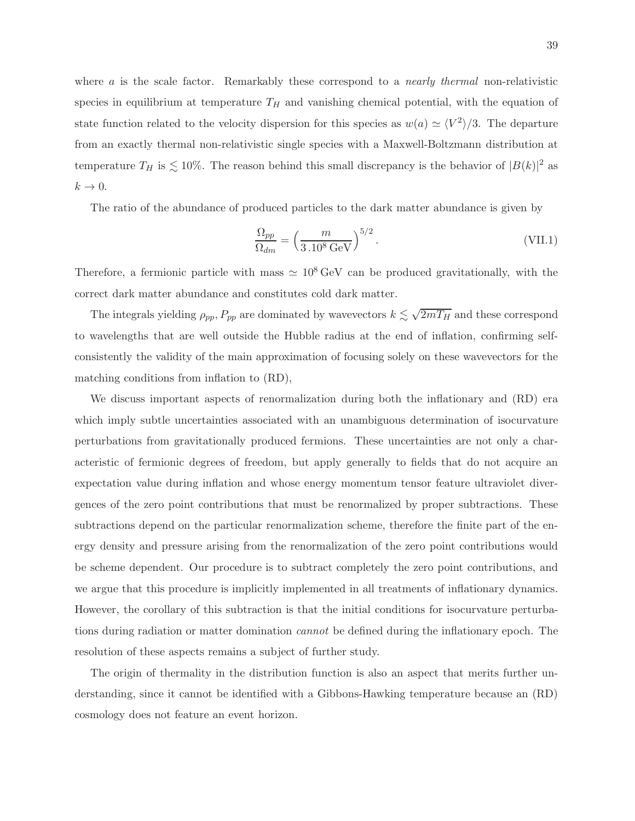where  $\alpha$  is the scale factor. Remarkably these correspond to a *nearly thermal* non-relativistic species in equilibrium at temperature  $T_H$  and vanishing chemical potential, with the equation of state function related to the velocity dispersion for this species as  $w(a) \simeq \langle V^2 \rangle /3$ . The departure from an exactly thermal non-relativistic single species with a Maxwell-Boltzmann distribution at temperature  $T_H$  is  $\lesssim 10\%$ . The reason behind this small discrepancy is the behavior of  $|B(k)|^2$  as  $k \rightarrow 0$ .

The ratio of the abundance of produced particles to the dark matter abundance is given by

$$
\frac{\Omega_{pp}}{\Omega_{dm}} = \left(\frac{m}{3.10^8 \,\text{GeV}}\right)^{5/2}.\tag{VII.1}
$$

Therefore, a fermionic particle with mass  $\simeq 10^8 \,\text{GeV}$  can be produced gravitationally, with the correct dark matter abundance and constitutes cold dark matter.

The integrals yielding  $\rho_{pp}$ ,  $P_{pp}$  are dominated by wavevectors  $k \lesssim \sqrt{2mT_H}$  and these correspond to wavelengths that are well outside the Hubble radius at the end of inflation, confirming selfconsistently the validity of the main approximation of focusing solely on these wavevectors for the matching conditions from inflation to (RD),

We discuss important aspects of renormalization during both the inflationary and (RD) era which imply subtle uncertainties associated with an unambiguous determination of isocurvature perturbations from gravitationally produced fermions. These uncertainties are not only a characteristic of fermionic degrees of freedom, but apply generally to fields that do not acquire an expectation value during inflation and whose energy momentum tensor feature ultraviolet divergences of the zero point contributions that must be renormalized by proper subtractions. These subtractions depend on the particular renormalization scheme, therefore the finite part of the energy density and pressure arising from the renormalization of the zero point contributions would be scheme dependent. Our procedure is to subtract completely the zero point contributions, and we argue that this procedure is implicitly implemented in all treatments of inflationary dynamics. However, the corollary of this subtraction is that the initial conditions for isocurvature perturbations during radiation or matter domination cannot be defined during the inflationary epoch. The resolution of these aspects remains a subject of further study.

The origin of thermality in the distribution function is also an aspect that merits further understanding, since it cannot be identified with a Gibbons-Hawking temperature because an (RD) cosmology does not feature an event horizon.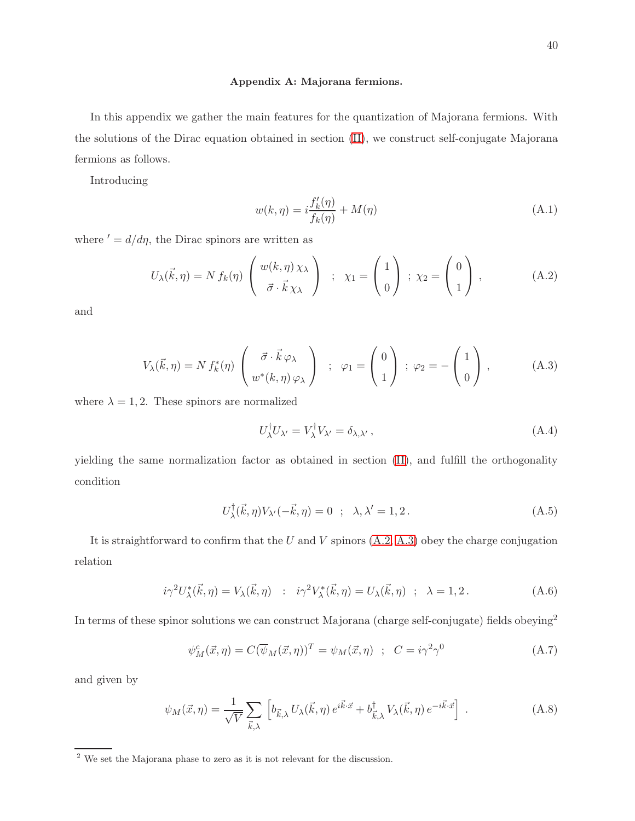### <span id="page-39-0"></span>Appendix A: Majorana fermions.

In this appendix we gather the main features for the quantization of Majorana fermions. With the solutions of the Dirac equation obtained in section [\(II\)](#page-3-0), we construct self-conjugate Majorana fermions as follows.

Introducing

<span id="page-39-1"></span>
$$
w(k,\eta) = i\frac{f'_k(\eta)}{f_k(\eta)} + M(\eta)
$$
\n(A.1)

where  $' = d/d\eta$ , the Dirac spinors are written as

$$
U_{\lambda}(\vec{k},\eta) = N f_k(\eta) \begin{pmatrix} w(k,\eta) \chi_{\lambda} \\ \vec{\sigma} \cdot \vec{k} \chi_{\lambda} \end{pmatrix} ; \chi_1 = \begin{pmatrix} 1 \\ 0 \end{pmatrix} ; \chi_2 = \begin{pmatrix} 0 \\ 1 \end{pmatrix} , \qquad (A.2)
$$

<span id="page-39-2"></span>and

$$
V_{\lambda}(\vec{k},\eta) = N f_{k}^{*}(\eta) \begin{pmatrix} \vec{\sigma} \cdot \vec{k} \varphi_{\lambda} \\ w^{*}(k,\eta) \varphi_{\lambda} \end{pmatrix} ; \varphi_{1} = \begin{pmatrix} 0 \\ 1 \end{pmatrix} ; \varphi_{2} = -\begin{pmatrix} 1 \\ 0 \end{pmatrix} ,
$$
 (A.3)

where  $\lambda = 1, 2$ . These spinors are normalized

$$
U^{\dagger}_{\lambda} U_{\lambda'} = V^{\dagger}_{\lambda} V_{\lambda'} = \delta_{\lambda, \lambda'}, \tag{A.4}
$$

yielding the same normalization factor as obtained in section [\(II\)](#page-3-0), and fulfill the orthogonality condition

$$
U^{\dagger}_{\lambda}(\vec{k},\eta)V_{\lambda'}(-\vec{k},\eta) = 0 \quad ; \quad \lambda, \lambda' = 1,2 \,. \tag{A.5}
$$

It is straightforward to confirm that the  $U$  and  $V$  spinors  $(A.2, A.3)$  $(A.2, A.3)$  obey the charge conjugation relation

$$
i\gamma^2 U_{\lambda}^*(\vec{k},\eta) = V_{\lambda}(\vec{k},\eta) \quad : \quad i\gamma^2 V_{\lambda}^*(\vec{k},\eta) = U_{\lambda}(\vec{k},\eta) \quad ; \quad \lambda = 1,2 \,. \tag{A.6}
$$

In terms of these spinor solutions we can construct Majorana (charge self-conjugate) fields obeying<sup>2</sup>

$$
\psi_M^c(\vec{x}, \eta) = C(\overline{\psi}_M(\vec{x}, \eta))^T = \psi_M(\vec{x}, \eta) \quad ; \quad C = i\gamma^2 \gamma^0 \tag{A.7}
$$

and given by

$$
\psi_M(\vec{x}, \eta) = \frac{1}{\sqrt{V}} \sum_{\vec{k}, \lambda} \left[ b_{\vec{k}, \lambda} U_{\lambda}(\vec{k}, \eta) e^{i\vec{k}\cdot\vec{x}} + b_{\vec{k}, \lambda}^{\dagger} V_{\lambda}(\vec{k}, \eta) e^{-i\vec{k}\cdot\vec{x}} \right]. \tag{A.8}
$$

 $^2$  We set the Majorana phase to zero as it is not relevant for the discussion.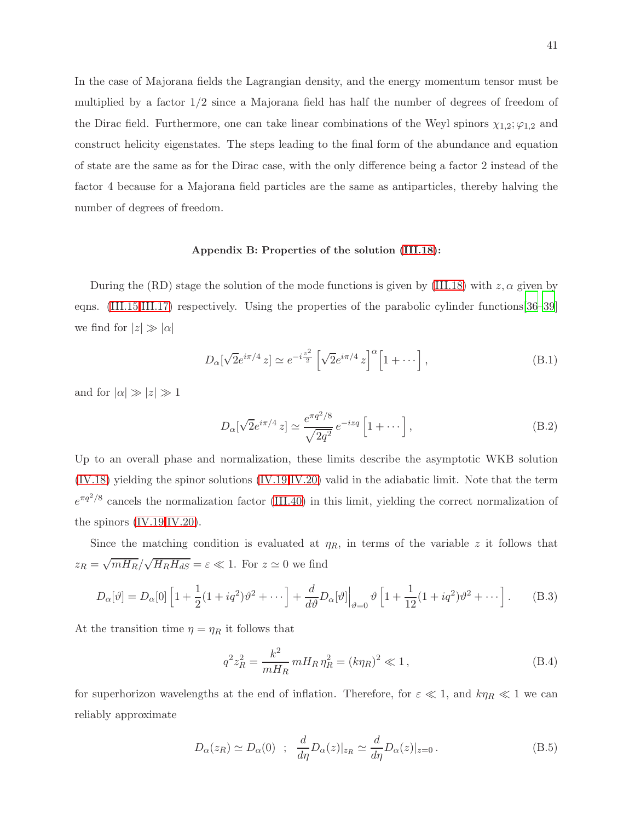In the case of Majorana fields the Lagrangian density, and the energy momentum tensor must be multiplied by a factor 1/2 since a Majorana field has half the number of degrees of freedom of the Dirac field. Furthermore, one can take linear combinations of the Weyl spinors  $\chi_{1,2}$ ;  $\varphi_{1,2}$  and construct helicity eigenstates. The steps leading to the final form of the abundance and equation of state are the same as for the Dirac case, with the only difference being a factor 2 instead of the factor 4 because for a Majorana field particles are the same as antiparticles, thereby halving the number of degrees of freedom.

### <span id="page-40-0"></span>Appendix B: Properties of the solution [\(III.18\)](#page-14-4):

During the (RD) stage the solution of the mode functions is given by [\(III.18\)](#page-14-4) with  $z, \alpha$  given by eqns. [\(III.15](#page-14-3)[,III.17\)](#page-14-5) respectively. Using the properties of the parabolic cylinder functions[\[36](#page-46-21)[–39](#page-46-6)] we find for  $|z| \gg |\alpha|$ 

$$
D_{\alpha}[\sqrt{2}e^{i\pi/4}z] \simeq e^{-i\frac{z^2}{2}}\left[\sqrt{2}e^{i\pi/4}z\right]^{\alpha}\left[1+\cdots\right],\tag{B.1}
$$

and for  $|\alpha| \gg |z| \gg 1$ 

$$
D_{\alpha}[\sqrt{2}e^{i\pi/4}z] \simeq \frac{e^{\pi q^2/8}}{\sqrt{2q^2}}e^{-izq}\left[1+\cdots\right],\tag{B.2}
$$

Up to an overall phase and normalization, these limits describe the asymptotic WKB solution [\(IV.18\)](#page-23-2) yielding the spinor solutions [\(IV.19](#page-23-0)[,IV.20\)](#page-23-1) valid in the adiabatic limit. Note that the term  $e^{\pi q^2/8}$  cancels the normalization factor [\(III.40\)](#page-16-3) in this limit, yielding the correct normalization of the spinors [\(IV.19](#page-23-0)[,IV.20\)](#page-23-1).

Since the matching condition is evaluated at  $\eta_R$ , in terms of the variable z it follows that  $z_R = \sqrt{mH_R}/\sqrt{H_R H_{dS}} = \varepsilon \ll 1$ . For  $z \simeq 0$  we find

$$
D_{\alpha}[\vartheta] = D_{\alpha}[0] \left[ 1 + \frac{1}{2} (1 + iq^2) \vartheta^2 + \cdots \right] + \frac{d}{d\vartheta} D_{\alpha}[\vartheta] \Big|_{\vartheta = 0} \vartheta \left[ 1 + \frac{1}{12} (1 + iq^2) \vartheta^2 + \cdots \right].
$$
 (B.3)

At the transition time  $\eta = \eta_R$  it follows that

$$
q^2 z_R^2 = \frac{k^2}{mH_R} mH_R \eta_R^2 = (k\eta_R)^2 \ll 1, \qquad (B.4)
$$

for superhorizon wavelengths at the end of inflation. Therefore, for  $\varepsilon \ll 1$ , and  $k\eta_R \ll 1$  we can reliably approximate

$$
D_{\alpha}(z_R) \simeq D_{\alpha}(0) \quad ; \quad \frac{d}{d\eta} D_{\alpha}(z)|_{z_R} \simeq \frac{d}{d\eta} D_{\alpha}(z)|_{z=0} \,. \tag{B.5}
$$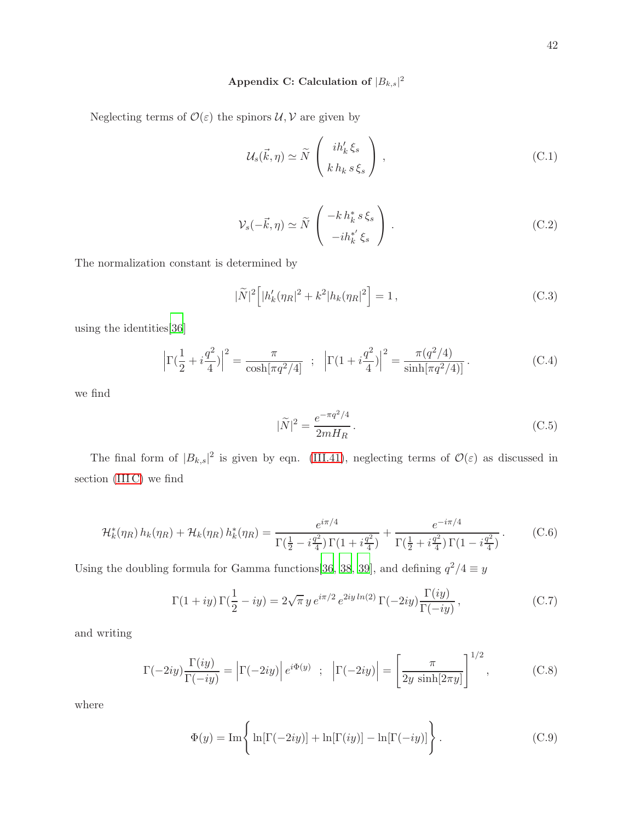# <span id="page-41-0"></span>Appendix C: Calculation of  $|B_{k,s}|^2$

Neglecting terms of  $\mathcal{O}(\varepsilon)$  the spinors  $\mathcal{U}, \mathcal{V}$  are given by

$$
\mathcal{U}_s(\vec{k}, \eta) \simeq \widetilde{N} \begin{pmatrix} i h'_k \xi_s \\ k h_k s \xi_s \end{pmatrix},
$$
\n(C.1)

$$
\mathcal{V}_s(-\vec{k}, \eta) \simeq \widetilde{N} \begin{pmatrix} -k h_k^* s \xi_s \\ -i h_k^* \xi_s \end{pmatrix} . \tag{C.2}
$$

The normalization constant is determined by

$$
|\tilde{N}|^2 \Big[ |h'_k(\eta_R)|^2 + k^2 |h_k(\eta_R)|^2 \Big] = 1,
$$
\n(C.3)

using the identities[\[36](#page-46-21)]

$$
\left|\Gamma(\frac{1}{2} + i\frac{q^2}{4})\right|^2 = \frac{\pi}{\cosh[\pi q^2/4]} \quad ; \quad \left|\Gamma(1 + i\frac{q^2}{4})\right|^2 = \frac{\pi(q^2/4)}{\sinh[\pi q^2/4]} \,. \tag{C.4}
$$

we find

$$
|\tilde{N}|^2 = \frac{e^{-\pi q^2/4}}{2mH_R}.
$$
\n(C.5)

The final form of  $|B_{k,s}|^2$  is given by eqn. [\(III.41\)](#page-17-2), neglecting terms of  $\mathcal{O}(\varepsilon)$  as discussed in section (IIIC) we find

$$
\mathcal{H}_k^*(\eta_R) h_k(\eta_R) + \mathcal{H}_k(\eta_R) h_k^*(\eta_R) = \frac{e^{i\pi/4}}{\Gamma(\frac{1}{2} - i\frac{q^2}{4})\Gamma(1 + i\frac{q^2}{4})} + \frac{e^{-i\pi/4}}{\Gamma(\frac{1}{2} + i\frac{q^2}{4})\Gamma(1 - i\frac{q^2}{4})}.
$$
 (C.6)

Using the doubling formula for Gamma functions[\[36,](#page-46-21) [38](#page-46-22), [39\]](#page-46-6), and defining  $q^2/4 \equiv y$ 

$$
\Gamma(1+iy)\,\Gamma(\frac{1}{2}-iy) = 2\sqrt{\pi}\,y\,e^{i\pi/2}\,e^{2iy\ln(2)}\,\Gamma(-2iy)\frac{\Gamma(iy)}{\Gamma(-iy)},\tag{C.7}
$$

and writing

$$
\Gamma(-2iy)\frac{\Gamma(iy)}{\Gamma(-iy)} = \left|\Gamma(-2iy)\right|e^{i\Phi(y)} \quad ; \quad \left|\Gamma(-2iy)\right| = \left[\frac{\pi}{2y\sinh[2\pi y]}\right]^{1/2},\tag{C.8}
$$

where

$$
\Phi(y) = \text{Im}\left\{\ln[\Gamma(-2iy)] + \ln[\Gamma(iy)] - \ln[\Gamma(-iy)]\right\}.
$$
\n(C.9)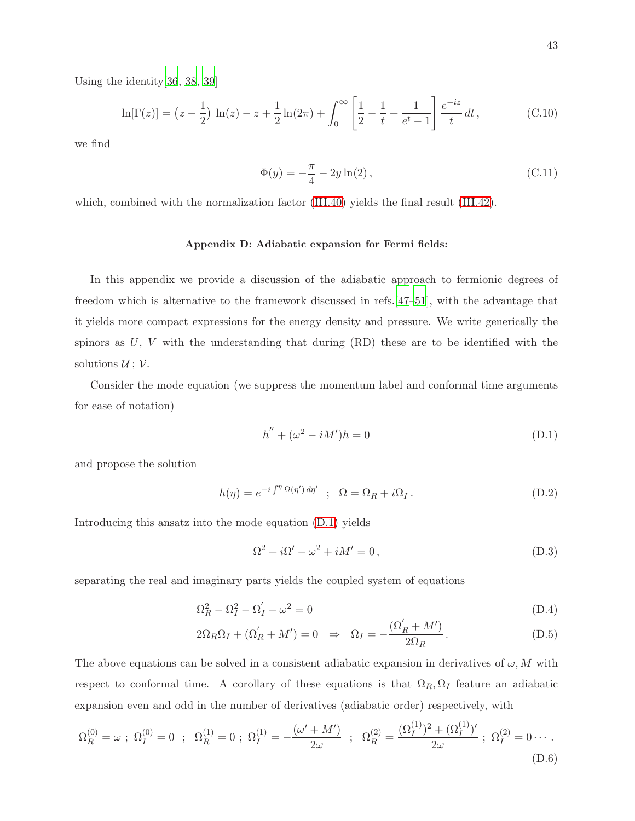Using the identity[\[36](#page-46-21), [38](#page-46-22), [39](#page-46-6)]

$$
\ln[\Gamma(z)] = (z - \frac{1}{2}) \ln(z) - z + \frac{1}{2} \ln(2\pi) + \int_0^\infty \left[ \frac{1}{2} - \frac{1}{t} + \frac{1}{e^t - 1} \right] \frac{e^{-iz}}{t} dt,
$$
 (C.10)

we find

$$
\Phi(y) = -\frac{\pi}{4} - 2y \ln(2), \qquad (C.11)
$$

which, combined with the normalization factor [\(III.40\)](#page-16-3) yields the final result [\(III.42\)](#page-17-3).

### <span id="page-42-0"></span>Appendix D: Adiabatic expansion for Fermi fields:

In this appendix we provide a discussion of the adiabatic approach to fermionic degrees of freedom which is alternative to the framework discussed in refs.[\[47](#page-46-9)[–51](#page-46-10)], with the advantage that it yields more compact expressions for the energy density and pressure. We write generically the spinors as  $U, V$  with the understanding that during  $(RD)$  these are to be identified with the solutions  $\mathcal{U}$ ;  $\mathcal{V}$ .

Consider the mode equation (we suppress the momentum label and conformal time arguments for ease of notation)

<span id="page-42-1"></span>
$$
h'' + (\omega^2 - iM')h = 0
$$
 (D.1)

and propose the solution

<span id="page-42-2"></span>
$$
h(\eta) = e^{-i \int^{\eta} \Omega(\eta') d\eta'} \quad ; \quad \Omega = \Omega_R + i\Omega_I \,. \tag{D.2}
$$

Introducing this ansatz into the mode equation [\(D.1\)](#page-42-1) yields

$$
\Omega^2 + i\Omega' - \omega^2 + iM' = 0, \qquad (D.3)
$$

separating the real and imaginary parts yields the coupled system of equations

<span id="page-42-3"></span>
$$
\Omega_R^2 - \Omega_I^2 - \Omega_I' - \omega^2 = 0\tag{D.4}
$$

$$
2\Omega_R \Omega_I + (\Omega'_R + M') = 0 \quad \Rightarrow \quad \Omega_I = -\frac{(\Omega'_R + M')}{2\Omega_R} \,. \tag{D.5}
$$

The above equations can be solved in a consistent adiabatic expansion in derivatives of  $\omega$ , M with respect to conformal time. A corollary of these equations is that  $\Omega_R, \Omega_I$  feature an adiabatic expansion even and odd in the number of derivatives (adiabatic order) respectively, with

$$
\Omega_R^{(0)} = \omega \; ; \; \Omega_I^{(0)} = 0 \; ; \; \Omega_R^{(1)} = 0 \; ; \; \Omega_I^{(1)} = -\frac{(\omega' + M')}{2\omega} \; ; \; \Omega_R^{(2)} = \frac{(\Omega_I^{(1)})^2 + (\Omega_I^{(1)})'}{2\omega} \; ; \; \Omega_I^{(2)} = 0 \cdots \, .
$$
\n(D.6)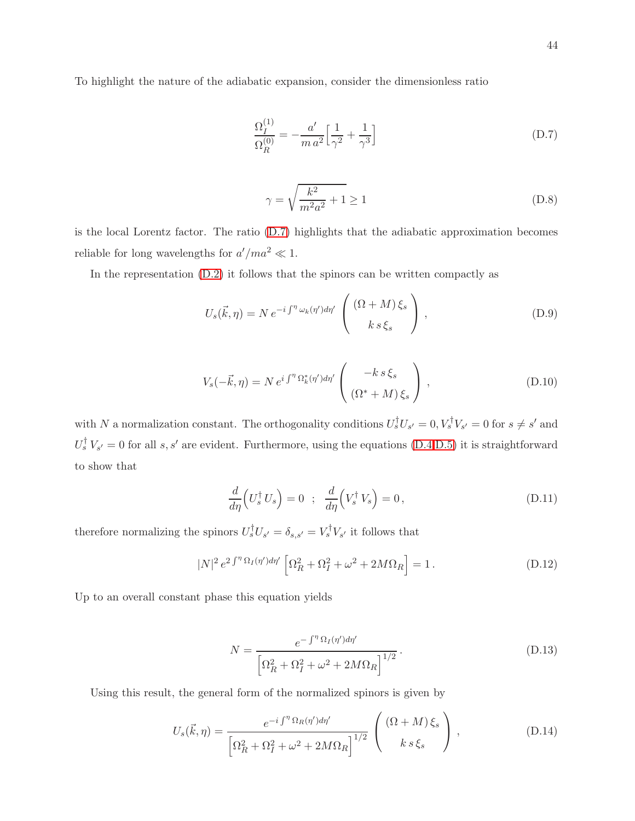<span id="page-43-0"></span>To highlight the nature of the adiabatic expansion, consider the dimensionless ratio

$$
\frac{\Omega_{I}^{(1)}}{\Omega_{R}^{(0)}} = -\frac{a'}{m a^2} \Big[ \frac{1}{\gamma^2} + \frac{1}{\gamma^3} \Big] \tag{D.7}
$$

$$
\gamma = \sqrt{\frac{k^2}{m^2 a^2} + 1} \ge 1
$$
\n(D.8)

is the local Lorentz factor. The ratio [\(D.7\)](#page-43-0) highlights that the adiabatic approximation becomes reliable for long wavelengths for  $a'/ma^2 \ll 1$ .

In the representation  $(D.2)$  it follows that the spinors can be written compactly as

$$
U_s(\vec{k}, \eta) = N e^{-i \int^{\eta} \omega_k(\eta') d\eta'} \left( \frac{(\Omega + M) \xi_s}{k s \xi_s} \right), \qquad (D.9)
$$

$$
V_s(-\vec{k}, \eta) = N e^{i \int^{\eta} \Omega_k^*(\eta') d\eta'} \begin{pmatrix} -k s \xi_s \\ (\Omega^* + M) \xi_s \end{pmatrix},
$$
 (D.10)

with N a normalization constant. The orthogonality conditions  $U_s^{\dagger}U_{s'}=0, V_s^{\dagger}V_{s'}=0$  for  $s \neq s'$  and  $U_s^{\dagger} V_{s'} = 0$  for all s, s' are evident. Furthermore, using the equations [\(D.4,D.5\)](#page-42-3) it is straightforward to show that

$$
\frac{d}{d\eta} \left( U_s^{\dagger} \, U_s \right) = 0 \quad ; \quad \frac{d}{d\eta} \left( V_s^{\dagger} \, V_s \right) = 0 \,, \tag{D.11}
$$

therefore normalizing the spinors  $U_s^{\dagger} U_{s'} = \delta_{s,s'} = V_s^{\dagger} V_{s'}$  it follows that

$$
|N|^2 e^{2\int^{\eta} \Omega_I(\eta') d\eta'} \left[ \Omega_R^2 + \Omega_I^2 + \omega^2 + 2M\Omega_R \right] = 1.
$$
 (D.12)

Up to an overall constant phase this equation yields

$$
N = \frac{e^{-\int^{\eta} \Omega_I(\eta') d\eta'}}{\left[\Omega_R^2 + \Omega_I^2 + \omega^2 + 2M\Omega_R\right]^{1/2}}.
$$
\n(D.13)

Using this result, the general form of the normalized spinors is given by

$$
U_s(\vec{k},\eta) = \frac{e^{-i\int^{\eta} \Omega_R(\eta')d\eta'}}{\left[\Omega_R^2 + \Omega_I^2 + \omega^2 + 2M\Omega_R\right]^{1/2}} \left(\frac{(\Omega + M)\xi_s}{k s \xi_s}\right),\tag{D.14}
$$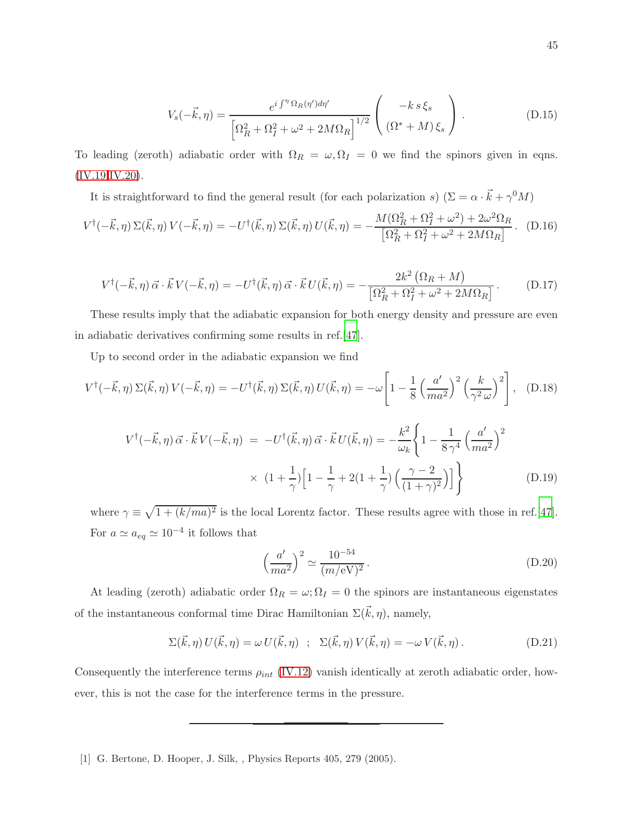$$
V_s(-\vec{k},\eta) = \frac{e^{i\int^{\eta} \Omega_R(\eta')d\eta'}}{\left[\Omega_R^2 + \Omega_I^2 + \omega^2 + 2M\Omega_R\right]^{1/2}} \left(\frac{-k s \xi_s}{\left(\Omega^* + M\right)\xi_s}\right). \tag{D.15}
$$

To leading (zeroth) adiabatic order with  $\Omega_R = \omega, \Omega_I = 0$  we find the spinors given in eqns. [\(IV.19](#page-23-0)[,IV.20\)](#page-23-1).

It is straightforward to find the general result (for each polarization s)  $(\Sigma = \alpha \cdot \vec{k} + \gamma^0 M)$ 

$$
V^{\dagger}(-\vec{k},\eta) \Sigma(\vec{k},\eta) V(-\vec{k},\eta) = -U^{\dagger}(\vec{k},\eta) \Sigma(\vec{k},\eta) U(\vec{k},\eta) = -\frac{M(\Omega_R^2 + \Omega_I^2 + \omega^2) + 2\omega^2 \Omega_R}{\left[\Omega_R^2 + \Omega_I^2 + \omega^2 + 2M\Omega_R\right]}.
$$
 (D.16)

$$
V^{\dagger}(-\vec{k},\eta)\,\vec{\alpha}\cdot\vec{k}\,V(-\vec{k},\eta) = -U^{\dagger}(\vec{k},\eta)\,\vec{\alpha}\cdot\vec{k}\,U(\vec{k},\eta) = -\frac{2k^2\left(\Omega_R + M\right)}{\left[\Omega_R^2 + \Omega_I^2 + \omega^2 + 2M\Omega_R\right]} \,. \tag{D.17}
$$

These results imply that the adiabatic expansion for both energy density and pressure are even in adiabatic derivatives confirming some results in ref.[\[47](#page-46-9)].

Up to second order in the adiabatic expansion we find

$$
V^{\dagger}(-\vec{k},\eta) \Sigma(\vec{k},\eta) V(-\vec{k},\eta) = -U^{\dagger}(\vec{k},\eta) \Sigma(\vec{k},\eta) U(\vec{k},\eta) = -\omega \left[ 1 - \frac{1}{8} \left( \frac{a'}{ma^2} \right)^2 \left( \frac{k}{\gamma^2 \omega} \right)^2 \right], \quad (D.18)
$$

<span id="page-44-2"></span>
$$
V^{\dagger}(-\vec{k},\eta)\,\vec{\alpha}\cdot\vec{k}\,V(-\vec{k},\eta) = -U^{\dagger}(\vec{k},\eta)\,\vec{\alpha}\cdot\vec{k}\,U(\vec{k},\eta) = -\frac{k^2}{\omega_k}\bigg\{1 - \frac{1}{8\,\gamma^4}\left(\frac{a'}{ma^2}\right)^2
$$

$$
\times \left(1 + \frac{1}{\gamma}\right)\left[1 - \frac{1}{\gamma} + 2\left(1 + \frac{1}{\gamma}\right)\left(\frac{\gamma - 2}{(1 + \gamma)^2}\right)\right]\bigg\}
$$
(D.19)

where  $\gamma \equiv \sqrt{1 + (k/ma)^2}$  is the local Lorentz factor. These results agree with those in ref.[\[47](#page-46-9)]. For  $a \simeq a_{eq} \simeq 10^{-4}$  it follows that

<span id="page-44-1"></span>
$$
\left(\frac{a'}{ma^2}\right)^2 \simeq \frac{10^{-54}}{(m/\text{eV})^2} \,. \tag{D.20}
$$

At leading (zeroth) adiabatic order  $\Omega_R = \omega; \Omega_I = 0$  the spinors are instantaneous eigenstates of the instantaneous conformal time Dirac Hamiltonian  $\Sigma(\vec{k}, \eta)$ , namely,

$$
\Sigma(\vec{k},\eta) U(\vec{k},\eta) = \omega U(\vec{k},\eta) \quad ; \quad \Sigma(\vec{k},\eta) V(\vec{k},\eta) = -\omega V(\vec{k},\eta) \,. \tag{D.21}
$$

Consequently the interference terms  $\rho_{int}$  [\(IV.12\)](#page-21-0) vanish identically at zeroth adiabatic order, however, this is not the case for the interference terms in the pressure.

<span id="page-44-0"></span>[1] G. Bertone, D. Hooper, J. Silk, , Physics Reports 405, 279 (2005).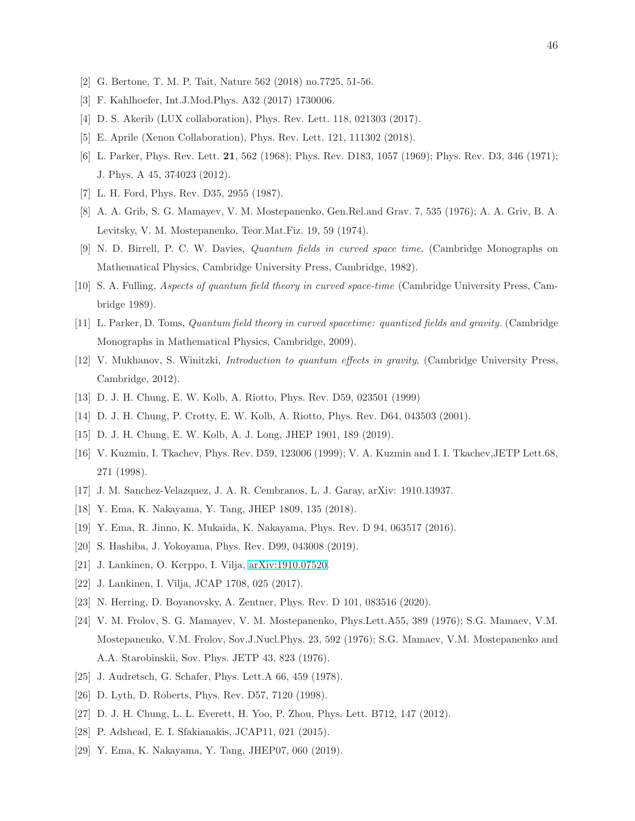- [2] G. Bertone, T. M. P. Tait, Nature 562 (2018) no.7725, 51-56.
- [3] F. Kahlhoefer, Int.J.Mod.Phys. A32 (2017) 1730006.
- [4] D. S. Akerib (LUX collaboration), Phys. Rev. Lett. 118, 021303 (2017).
- <span id="page-45-0"></span>[5] E. Aprile (Xenon Collaboration), Phys. Rev. Lett. 121, 111302 (2018).
- <span id="page-45-1"></span>[6] L. Parker, Phys. Rev. Lett. 21, 562 (1968); Phys. Rev. D183, 1057 (1969); Phys. Rev. D3, 346 (1971); J. Phys. A 45, 374023 (2012).
- [7] L. H. Ford, Phys. Rev. D35, 2955 (1987).
- [8] A. A. Grib, S. G. Mamayev, V. M. Mostepanenko, Gen.Rel.and Grav. 7, 535 (1976); A. A. Griv, B. A. Levitsky, V. M. Mostepanenko, Teor.Mat.Fiz. 19, 59 (1974).
- <span id="page-45-15"></span>[9] N. D. Birrell, P. C. W. Davies, Quantum fields in curved space time, (Cambridge Monographs on Mathematical Physics, Cambridge University Press, Cambridge, 1982).
- [10] S. A. Fulling, Aspects of quantum field theory in curved space-time (Cambridge University Press, Cambridge 1989).
- <span id="page-45-16"></span>[11] L. Parker, D. Toms, Quantum field theory in curved spacetime: quantized fields and gravity. (Cambridge Monographs in Mathematical Physics, Cambridge, 2009).
- <span id="page-45-2"></span>[12] V. Mukhanov, S. Winitzki, Introduction to quantum effects in gravity, (Cambridge University Press, Cambridge, 2012).
- <span id="page-45-3"></span>[13] D. J. H. Chung, E. W. Kolb, A. Riotto, Phys. Rev. D59, 023501 (1999)
- [14] D. J. H. Chung, P. Crotty, E. W. Kolb, A. Riotto, Phys. Rev. D64, 043503 (2001).
- [15] D. J. H. Chung, E. W. Kolb, A. J. Long, JHEP 1901, 189 (2019).
- <span id="page-45-4"></span>[16] V. Kuzmin, I. Tkachev, Phys. Rev. D59, 123006 (1999); V. A. Kuzmin and I. I. Tkachev,JETP Lett.68, 271 (1998).
- <span id="page-45-5"></span>[17] J. M. Sanchez-Velazquez, J. A. R. Cembranos, L. J. Garay, arXiv: 1910.13937.
- [18] Y. Ema, K. Nakayama, Y. Tang, JHEP 1809, 135 (2018).
- <span id="page-45-6"></span>[19] Y. Ema, R. Jinno, K. Mukaida, K. Nakayama, Phys. Rev. D 94, 063517 (2016).
- <span id="page-45-7"></span>[20] S. Hashiba, J. Yokoyama, Phys. Rev. D99, 043008 (2019).
- <span id="page-45-8"></span>[21] J. Lankinen, O. Kerppo, I. Vilja, [arXiv:1910.07520.](http://arxiv.org/abs/1910.07520)
- <span id="page-45-9"></span>[22] J. Lankinen, I. Vilja, JCAP 1708, 025 (2017).
- <span id="page-45-10"></span>[23] N. Herring, D. Boyanovsky, A. Zentner, Phys. Rev. D 101, 083516 (2020).
- <span id="page-45-11"></span>[24] V. M. Frolov, S. G. Mamayev, V. M. Mostepanenko, Phys.Lett.A55, 389 (1976); S.G. Mamaev, V.M. Mostepanenko, V.M. Frolov, Sov.J.Nucl.Phys. 23, 592 (1976); S.G. Mamaev, V.M. Mostepanenko and A.A. Starobinskii, Sov. Phys. JETP 43, 823 (1976).
- <span id="page-45-12"></span>[25] J. Audretsch, G. Schafer, Phys. Lett.A 66, 459 (1978).
- <span id="page-45-13"></span>[26] D. Lyth, D. Roberts, Phys. Rev. D57, 7120 (1998).
- <span id="page-45-14"></span>[27] D. J. H. Chung, L. L. Everett, H. Yoo, P. Zhou, Phys. Lett. B712, 147 (2012).
- [28] P. Adshead, E. I. Sfakianakis, JCAP11, 021 (2015).
- [29] Y. Ema, K. Nakayama, Y. Tang, JHEP07, 060 (2019).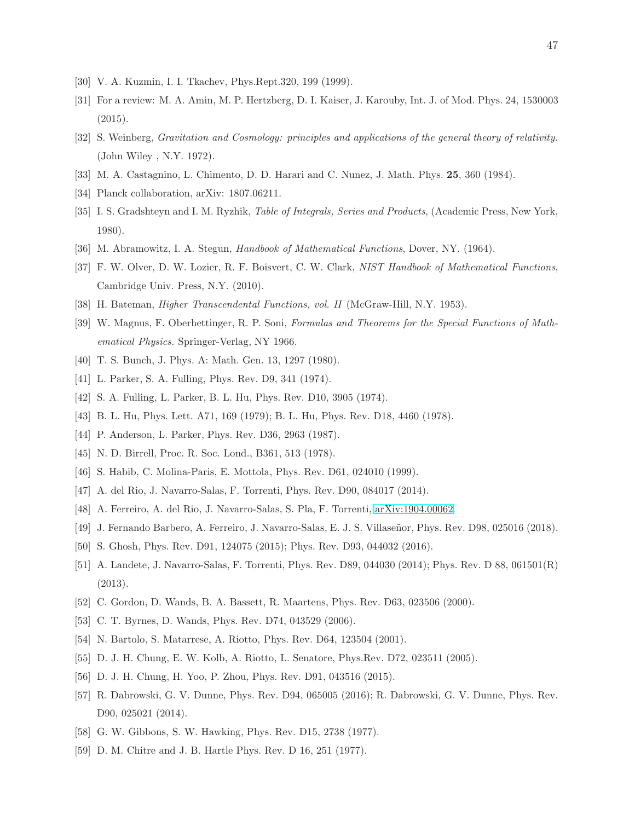- <span id="page-46-1"></span><span id="page-46-0"></span>[30] V. A. Kuzmin, I. I. Tkachev, Phys.Rept.320, 199 (1999).
- [31] For a review: M. A. Amin, M. P. Hertzberg, D. I. Kaiser, J. Karouby, Int. J. of Mod. Phys. 24, 1530003 (2015).
- <span id="page-46-2"></span>[32] S. Weinberg, Gravitation and Cosmology: principles and applications of the general theory of relativity. (John Wiley , N.Y. 1972).
- <span id="page-46-3"></span>[33] M. A. Castagnino, L. Chimento, D. D. Harari and C. Nunez, J. Math. Phys. 25, 360 (1984).
- <span id="page-46-4"></span>[34] Planck collaboration, arXiv: 1807.06211.
- <span id="page-46-5"></span>[35] I. S. Gradshteyn and I. M. Ryzhik, Table of Integrals, Series and Products, (Academic Press, New York, 1980).
- <span id="page-46-21"></span>[36] M. Abramowitz, I. A. Stegun, Handbook of Mathematical Functions, Dover, NY. (1964).
- [37] F. W. Olver, D. W. Lozier, R. F. Boisvert, C. W. Clark, NIST Handbook of Mathematical Functions, Cambridge Univ. Press, N.Y. (2010).
- <span id="page-46-22"></span>[38] H. Bateman, Higher Transcendental Functions, vol. II (McGraw-Hill, N.Y. 1953).
- <span id="page-46-6"></span>[39] W. Magnus, F. Oberhettinger, R. P. Soni, Formulas and Theorems for the Special Functions of Mathematical Physics. Springer-Verlag, NY 1966.
- <span id="page-46-7"></span>[40] T. S. Bunch, J. Phys. A: Math. Gen. 13, 1297 (1980).
- [41] L. Parker, S. A. Fulling, Phys. Rev. D9, 341 (1974).
- [42] S. A. Fulling, L. Parker, B. L. Hu, Phys. Rev. D10, 3905 (1974).
- [43] B. L. Hu, Phys. Lett. A71, 169 (1979); B. L. Hu, Phys. Rev. D18, 4460 (1978).
- [44] P. Anderson, L. Parker, Phys. Rev. D36, 2963 (1987).
- [45] N. D. Birrell, Proc. R. Soc. Lond., B361, 513 (1978).
- <span id="page-46-8"></span>[46] S. Habib, C. Molina-Paris, E. Mottola, Phys. Rev. D61, 024010 (1999).
- <span id="page-46-9"></span>[47] A. del Rio, J. Navarro-Salas, F. Torrenti, Phys. Rev. D90, 084017 (2014).
- <span id="page-46-11"></span>[48] A. Ferreiro, A. del Rio, J. Navarro-Salas, S. Pla, F. Torrenti, [arXiv:1904.00062.](http://arxiv.org/abs/1904.00062)
- [49] J. Fernando Barbero, A. Ferreiro, J. Navarro-Salas, E. J. S. Villaseñor, Phys. Rev. D98, 025016 (2018).
- <span id="page-46-12"></span>[50] S. Ghosh, Phys. Rev. D91, 124075 (2015); Phys. Rev. D93, 044032 (2016).
- <span id="page-46-10"></span>[51] A. Landete, J. Navarro-Salas, F. Torrenti, Phys. Rev. D89, 044030 (2014); Phys. Rev. D 88, 061501(R) (2013).
- <span id="page-46-13"></span>[52] C. Gordon, D. Wands, B. A. Bassett, R. Maartens, Phys. Rev. D63, 023506 (2000).
- <span id="page-46-17"></span>[53] C. T. Byrnes, D. Wands, Phys. Rev. D74, 043529 (2006).
- <span id="page-46-14"></span>[54] N. Bartolo, S. Matarrese, A. Riotto, Phys. Rev. D64, 123504 (2001).
- <span id="page-46-15"></span>[55] D. J. H. Chung, E. W. Kolb, A. Riotto, L. Senatore, Phys.Rev. D72, 023511 (2005).
- <span id="page-46-16"></span>[56] D. J. H. Chung, H. Yoo, P. Zhou, Phys. Rev. D91, 043516 (2015).
- <span id="page-46-18"></span>[57] R. Dabrowski, G. V. Dunne, Phys. Rev. D94, 065005 (2016); R. Dabrowski, G. V. Dunne, Phys. Rev. D90, 025021 (2014).
- <span id="page-46-19"></span>[58] G. W. Gibbons, S. W. Hawking, Phys. Rev. D15, 2738 (1977).
- <span id="page-46-20"></span>[59] D. M. Chitre and J. B. Hartle Phys. Rev. D 16, 251 (1977).